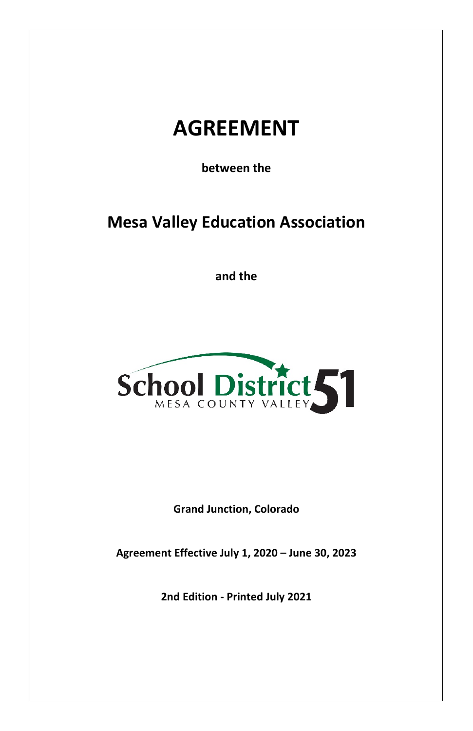# **AGREEMENT**

**between the**

**Mesa Valley Education Association** 

**and the** 



**Grand Junction, Colorado**

**Agreement Effective July 1, 2020 – June 30, 2023**

**2nd Edition - Printed July 2021**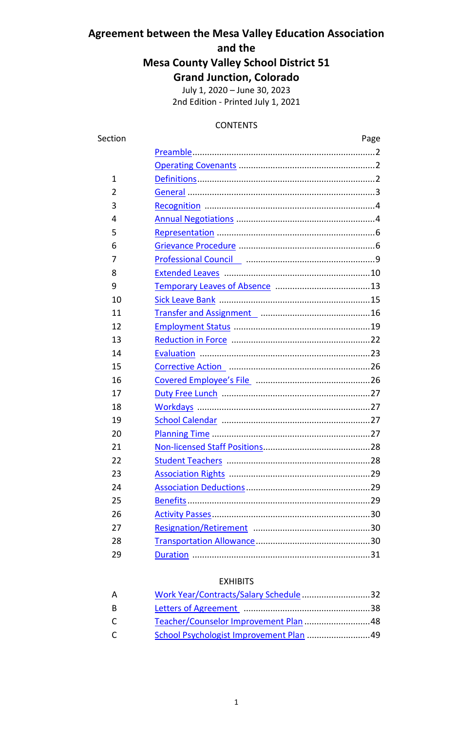# **Agreement between the Mesa Valley Education Association and the Mesa County Valley School District 51 Grand Junction, Colorado**

July 1, 2020 – June 30, 2023 2nd Edition - Printed July 1, 2021

## CONTENTS

| Section       | Page                                                        |  |
|---------------|-------------------------------------------------------------|--|
|               |                                                             |  |
|               |                                                             |  |
| $\mathbf{1}$  |                                                             |  |
| $\mathfrak z$ |                                                             |  |
| 3             |                                                             |  |
| 4             |                                                             |  |
| 5             |                                                             |  |
| 6             |                                                             |  |
| 7             |                                                             |  |
| 8             |                                                             |  |
| 9             |                                                             |  |
| 10            |                                                             |  |
| 11            | Transfer and Assignment<br>manufactured manufactured and 16 |  |
| 12            |                                                             |  |
| 13            |                                                             |  |
| 14            |                                                             |  |
| 15            |                                                             |  |
| 16            |                                                             |  |
| 17            |                                                             |  |
| 18            |                                                             |  |
| 19            |                                                             |  |
| 20            |                                                             |  |
| 21            |                                                             |  |
| 22            |                                                             |  |
| 23            |                                                             |  |
| 24            |                                                             |  |
| 25            |                                                             |  |
| 26            |                                                             |  |
| 27            |                                                             |  |
| 28            |                                                             |  |
| 29            |                                                             |  |

# EXHIBITS

| A | Work Year/Contracts/Salary Schedule 32 |  |
|---|----------------------------------------|--|
| B |                                        |  |
| C |                                        |  |
| C |                                        |  |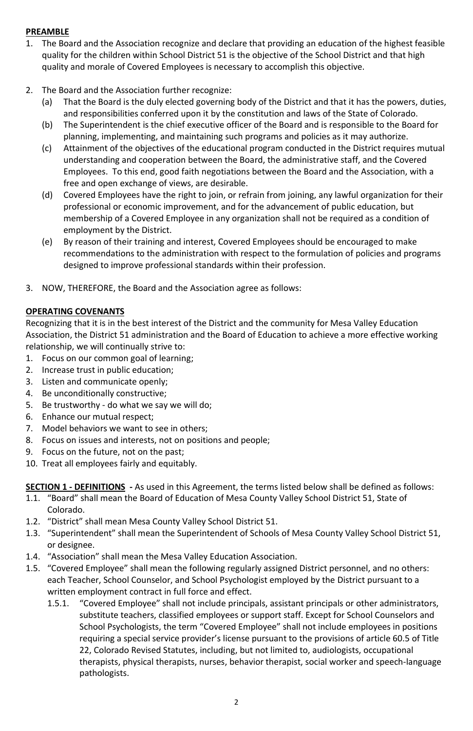# <span id="page-2-0"></span>**PREAMBLE**

- 1. The Board and the Association recognize and declare that providing an education of the highest feasible quality for the children within School District 51 is the objective of the School District and that high quality and morale of Covered Employees is necessary to accomplish this objective.
- 2. The Board and the Association further recognize:
	- (a) That the Board is the duly elected governing body of the District and that it has the powers, duties, and responsibilities conferred upon it by the constitution and laws of the State of Colorado.
	- (b) The Superintendent is the chief executive officer of the Board and is responsible to the Board for planning, implementing, and maintaining such programs and policies as it may authorize.
	- (c) Attainment of the objectives of the educational program conducted in the District requires mutual understanding and cooperation between the Board, the administrative staff, and the Covered Employees. To this end, good faith negotiations between the Board and the Association, with a free and open exchange of views, are desirable.
	- (d) Covered Employees have the right to join, or refrain from joining, any lawful organization for their professional or economic improvement, and for the advancement of public education, but membership of a Covered Employee in any organization shall not be required as a condition of employment by the District.
	- (e) By reason of their training and interest, Covered Employees should be encouraged to make recommendations to the administration with respect to the formulation of policies and programs designed to improve professional standards within their profession.
- 3. NOW, THEREFORE, the Board and the Association agree as follows:

# <span id="page-2-1"></span>**OPERATING COVENANTS**

Recognizing that it is in the best interest of the District and the community for Mesa Valley Education Association, the District 51 administration and the Board of Education to achieve a more effective working relationship, we will continually strive to:

- 1. Focus on our common goal of learning;
- 2. Increase trust in public education;
- 3. Listen and communicate openly;
- 4. Be unconditionally constructive;
- 5. Be trustworthy do what we say we will do;
- 6. Enhance our mutual respect;
- 7. Model behaviors we want to see in others;
- 8. Focus on issues and interests, not on positions and people;
- 9. Focus on the future, not on the past;
- 10. Treat all employees fairly and equitably.

<span id="page-2-2"></span>**SECTION 1 - DEFINITIONS -** As used in this Agreement, the terms listed below shall be defined as follows:

- 1.1. "Board" shall mean the Board of Education of Mesa County Valley School District 51, State of Colorado.
- 1.2. "District" shall mean Mesa County Valley School District 51.
- 1.3. "Superintendent" shall mean the Superintendent of Schools of Mesa County Valley School District 51, or designee.
- 1.4. "Association" shall mean the Mesa Valley Education Association.
- 1.5. "Covered Employee" shall mean the following regularly assigned District personnel, and no others: each Teacher, School Counselor, and School Psychologist employed by the District pursuant to a written employment contract in full force and effect.
	- 1.5.1. "Covered Employee" shall not include principals, assistant principals or other administrators, substitute teachers, classified employees or support staff. Except for School Counselors and School Psychologists, the term "Covered Employee" shall not include employees in positions requiring a special service provider's license pursuant to the provisions of article 60.5 of Title 22, Colorado Revised Statutes, including, but not limited to, audiologists, occupational therapists, physical therapists, nurses, behavior therapist, social worker and speech-language pathologists.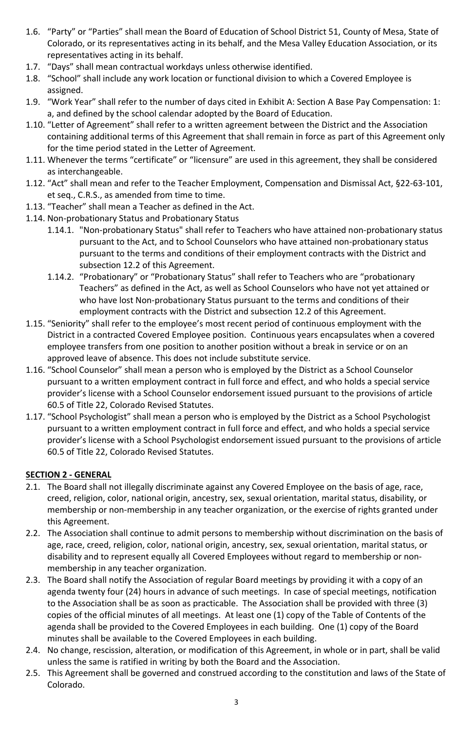- 1.6. "Party" or "Parties" shall mean the Board of Education of School District 51, County of Mesa, State of Colorado, or its representatives acting in its behalf, and the Mesa Valley Education Association, or its representatives acting in its behalf.
- 1.7. "Days" shall mean contractual workdays unless otherwise identified.
- 1.8. "School" shall include any work location or functional division to which a Covered Employee is assigned.
- 1.9. "Work Year" shall refer to the number of days cited in Exhibit A: Section A Base Pay Compensation: 1: a, and defined by the school calendar adopted by the Board of Education.
- 1.10. "Letter of Agreement" shall refer to a written agreement between the District and the Association containing additional terms of this Agreement that shall remain in force as part of this Agreement only for the time period stated in the Letter of Agreement.
- 1.11. Whenever the terms "certificate" or "licensure" are used in this agreement, they shall be considered as interchangeable.
- 1.12. "Act" shall mean and refer to the Teacher Employment, Compensation and Dismissal Act, §22-63-101, et seq., C.R.S., as amended from time to time.
- 1.13. "Teacher" shall mean a Teacher as defined in the Act.
- 1.14. Non-probationary Status and Probationary Status
	- 1.14.1. "Non-probationary Status" shall refer to Teachers who have attained non-probationary status pursuant to the Act, and to School Counselors who have attained non-probationary status pursuant to the terms and conditions of their employment contracts with the District and subsection 12.2 of this Agreement.
	- 1.14.2. "Probationary" or "Probationary Status" shall refer to Teachers who are "probationary Teachers" as defined in the Act, as well as School Counselors who have not yet attained or who have lost Non-probationary Status pursuant to the terms and conditions of their employment contracts with the District and subsection 12.2 of this Agreement.
- 1.15. "Seniority" shall refer to the employee's most recent period of continuous employment with the District in a contracted Covered Employee position. Continuous years encapsulates when a covered employee transfers from one position to another position without a break in service or on an approved leave of absence. This does not include substitute service.
- 1.16. "School Counselor" shall mean a person who is employed by the District as a School Counselor pursuant to a written employment contract in full force and effect, and who holds a special service provider's license with a School Counselor endorsement issued pursuant to the provisions of article 60.5 of Title 22, Colorado Revised Statutes.
- 1.17. "School Psychologist" shall mean a person who is employed by the District as a School Psychologist pursuant to a written employment contract in full force and effect, and who holds a special service provider's license with a School Psychologist endorsement issued pursuant to the provisions of article 60.5 of Title 22, Colorado Revised Statutes.

# <span id="page-3-0"></span>**SECTION 2 - GENERAL**

- 2.1. The Board shall not illegally discriminate against any Covered Employee on the basis of age, race, creed, religion, color, national origin, ancestry, sex, sexual orientation, marital status, disability, or membership or non-membership in any teacher organization, or the exercise of rights granted under this Agreement.
- 2.2. The Association shall continue to admit persons to membership without discrimination on the basis of age, race, creed, religion, color, national origin, ancestry, sex, sexual orientation, marital status, or disability and to represent equally all Covered Employees without regard to membership or nonmembership in any teacher organization.
- 2.3. The Board shall notify the Association of regular Board meetings by providing it with a copy of an agenda twenty four (24) hours in advance of such meetings. In case of special meetings, notification to the Association shall be as soon as practicable. The Association shall be provided with three (3) copies of the official minutes of all meetings. At least one (1) copy of the Table of Contents of the agenda shall be provided to the Covered Employees in each building. One (1) copy of the Board minutes shall be available to the Covered Employees in each building.
- 2.4. No change, rescission, alteration, or modification of this Agreement, in whole or in part, shall be valid unless the same is ratified in writing by both the Board and the Association.
- 2.5. This Agreement shall be governed and construed according to the constitution and laws of the State of Colorado.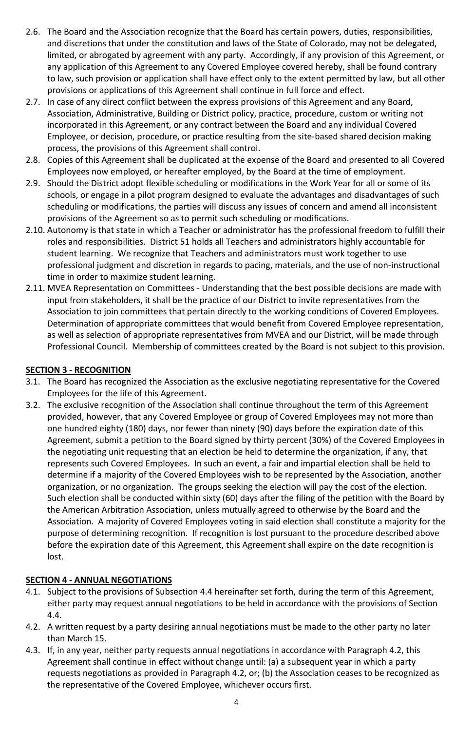- 2.6. The Board and the Association recognize that the Board has certain powers, duties, responsibilities, and discretions that under the constitution and laws of the State of Colorado, may not be delegated, limited, or abrogated by agreement with any party. Accordingly, if any provision of this Agreement, or any application of this Agreement to any Covered Employee covered hereby, shall be found contrary to law, such provision or application shall have effect only to the extent permitted by law, but all other provisions or applications of this Agreement shall continue in full force and effect.
- 2.7. In case of any direct conflict between the express provisions of this Agreement and any Board, Association, Administrative, Building or District policy, practice, procedure, custom or writing not incorporated in this Agreement, or any contract between the Board and any individual Covered Employee, or decision, procedure, or practice resulting from the site-based shared decision making process, the provisions of this Agreement shall control.
- 2.8. Copies of this Agreement shall be duplicated at the expense of the Board and presented to all Covered Employees now employed, or hereafter employed, by the Board at the time of employment.
- 2.9. Should the District adopt flexible scheduling or modifications in the Work Year for all or some of its schools, or engage in a pilot program designed to evaluate the advantages and disadvantages of such scheduling or modifications, the parties will discuss any issues of concern and amend all inconsistent provisions of the Agreement so as to permit such scheduling or modifications.
- 2.10. Autonomy is that state in which a Teacher or administrator has the professional freedom to fulfill their roles and responsibilities. District 51 holds all Teachers and administrators highly accountable for student learning. We recognize that Teachers and administrators must work together to use professional judgment and discretion in regards to pacing, materials, and the use of non-instructional time in order to maximize student learning.
- 2.11. MVEA Representation on Committees Understanding that the best possible decisions are made with input from stakeholders, it shall be the practice of our District to invite representatives from the Association to join committees that pertain directly to the working conditions of Covered Employees. Determination of appropriate committees that would benefit from Covered Employee representation, as well as selection of appropriate representatives from MVEA and our District, will be made through Professional Council. Membership of committees created by the Board is not subject to this provision.

# <span id="page-4-0"></span>**SECTION 3 - RECOGNITION**

- 3.1. The Board has recognized the Association as the exclusive negotiating representative for the Covered Employees for the life of this Agreement.
- 3.2. The exclusive recognition of the Association shall continue throughout the term of this Agreement provided, however, that any Covered Employee or group of Covered Employees may not more than one hundred eighty (180) days, nor fewer than ninety (90) days before the expiration date of this Agreement, submit a petition to the Board signed by thirty percent (30%) of the Covered Employees in the negotiating unit requesting that an election be held to determine the organization, if any, that represents such Covered Employees. In such an event, a fair and impartial election shall be held to determine if a majority of the Covered Employees wish to be represented by the Association, another organization, or no organization. The groups seeking the election will pay the cost of the election. Such election shall be conducted within sixty (60) days after the filing of the petition with the Board by the American Arbitration Association, unless mutually agreed to otherwise by the Board and the Association. A majority of Covered Employees voting in said election shall constitute a majority for the purpose of determining recognition. If recognition is lost pursuant to the procedure described above before the expiration date of this Agreement, this Agreement shall expire on the date recognition is lost.

# <span id="page-4-1"></span>**SECTION 4 - ANNUAL NEGOTIATIONS**

- 4.1. Subject to the provisions of Subsection 4.4 hereinafter set forth, during the term of this Agreement, either party may request annual negotiations to be held in accordance with the provisions of Section 4.4.
- 4.2. A written request by a party desiring annual negotiations must be made to the other party no later than March 15.
- 4.3. If, in any year, neither party requests annual negotiations in accordance with Paragraph 4.2, this Agreement shall continue in effect without change until: (a) a subsequent year in which a party requests negotiations as provided in Paragraph 4.2, or; (b) the Association ceases to be recognized as the representative of the Covered Employee, whichever occurs first.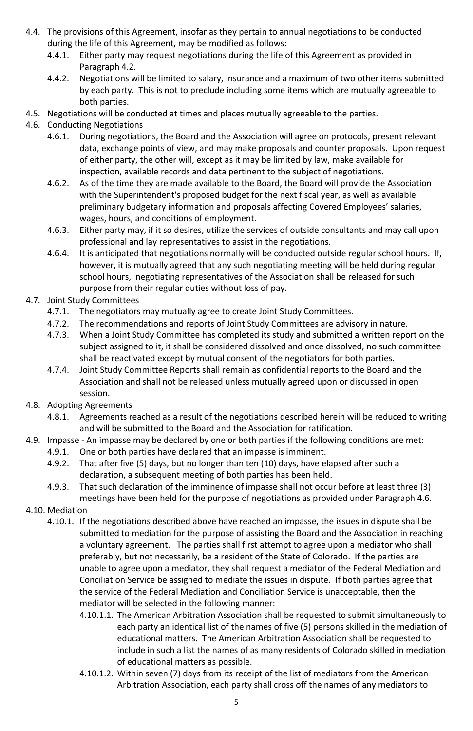- 4.4. The provisions of this Agreement, insofar as they pertain to annual negotiations to be conducted during the life of this Agreement, may be modified as follows:
	- 4.4.1. Either party may request negotiations during the life of this Agreement as provided in Paragraph 4.2.
	- 4.4.2. Negotiations will be limited to salary, insurance and a maximum of two other items submitted by each party. This is not to preclude including some items which are mutually agreeable to both parties.
- 4.5. Negotiations will be conducted at times and places mutually agreeable to the parties.

# 4.6. Conducting Negotiations

- 4.6.1. During negotiations, the Board and the Association will agree on protocols, present relevant data, exchange points of view, and may make proposals and counter proposals. Upon request of either party, the other will, except as it may be limited by law, make available for inspection, available records and data pertinent to the subject of negotiations.
- 4.6.2. As of the time they are made available to the Board, the Board will provide the Association with the Superintendent's proposed budget for the next fiscal year, as well as available preliminary budgetary information and proposals affecting Covered Employees' salaries, wages, hours, and conditions of employment.
- 4.6.3. Either party may, if it so desires, utilize the services of outside consultants and may call upon professional and lay representatives to assist in the negotiations.
- 4.6.4. It is anticipated that negotiations normally will be conducted outside regular school hours. If, however, it is mutually agreed that any such negotiating meeting will be held during regular school hours, negotiating representatives of the Association shall be released for such purpose from their regular duties without loss of pay.
- 4.7. Joint Study Committees
	- 4.7.1. The negotiators may mutually agree to create Joint Study Committees.
	- 4.7.2. The recommendations and reports of Joint Study Committees are advisory in nature.
	- 4.7.3. When a Joint Study Committee has completed its study and submitted a written report on the subject assigned to it, it shall be considered dissolved and once dissolved, no such committee shall be reactivated except by mutual consent of the negotiators for both parties.
	- 4.7.4. Joint Study Committee Reports shall remain as confidential reports to the Board and the Association and shall not be released unless mutually agreed upon or discussed in open session.
- 4.8. Adopting Agreements
	- 4.8.1. Agreements reached as a result of the negotiations described herein will be reduced to writing and will be submitted to the Board and the Association for ratification.
- 4.9. Impasse An impasse may be declared by one or both parties if the following conditions are met:
	- 4.9.1. One or both parties have declared that an impasse is imminent.
		- 4.9.2. That after five (5) days, but no longer than ten (10) days, have elapsed after such a declaration, a subsequent meeting of both parties has been held.
		- 4.9.3. That such declaration of the imminence of impasse shall not occur before at least three (3) meetings have been held for the purpose of negotiations as provided under Paragraph 4.6.
- 4.10. Mediation
	- 4.10.1. If the negotiations described above have reached an impasse, the issues in dispute shall be submitted to mediation for the purpose of assisting the Board and the Association in reaching a voluntary agreement. The parties shall first attempt to agree upon a mediator who shall preferably, but not necessarily, be a resident of the State of Colorado. If the parties are unable to agree upon a mediator, they shall request a mediator of the Federal Mediation and Conciliation Service be assigned to mediate the issues in dispute. If both parties agree that the service of the Federal Mediation and Conciliation Service is unacceptable, then the mediator will be selected in the following manner:
		- 4.10.1.1. The American Arbitration Association shall be requested to submit simultaneously to each party an identical list of the names of five (5) persons skilled in the mediation of educational matters. The American Arbitration Association shall be requested to include in such a list the names of as many residents of Colorado skilled in mediation of educational matters as possible.
		- 4.10.1.2. Within seven (7) days from its receipt of the list of mediators from the American Arbitration Association, each party shall cross off the names of any mediators to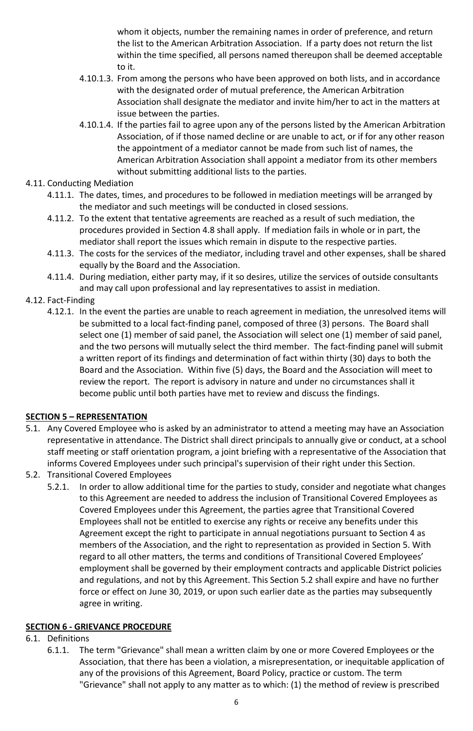whom it objects, number the remaining names in order of preference, and return the list to the American Arbitration Association. If a party does not return the list within the time specified, all persons named thereupon shall be deemed acceptable to it.

- 4.10.1.3. From among the persons who have been approved on both lists, and in accordance with the designated order of mutual preference, the American Arbitration Association shall designate the mediator and invite him/her to act in the matters at issue between the parties.
- 4.10.1.4. If the parties fail to agree upon any of the persons listed by the American Arbitration Association, of if those named decline or are unable to act, or if for any other reason the appointment of a mediator cannot be made from such list of names, the American Arbitration Association shall appoint a mediator from its other members without submitting additional lists to the parties.

# 4.11. Conducting Mediation

- 4.11.1. The dates, times, and procedures to be followed in mediation meetings will be arranged by the mediator and such meetings will be conducted in closed sessions.
- 4.11.2. To the extent that tentative agreements are reached as a result of such mediation, the procedures provided in Section 4.8 shall apply. If mediation fails in whole or in part, the mediator shall report the issues which remain in dispute to the respective parties.
- 4.11.3. The costs for the services of the mediator, including travel and other expenses, shall be shared equally by the Board and the Association.
- 4.11.4. During mediation, either party may, if it so desires, utilize the services of outside consultants and may call upon professional and lay representatives to assist in mediation.

# 4.12. Fact-Finding

4.12.1. In the event the parties are unable to reach agreement in mediation, the unresolved items will be submitted to a local fact-finding panel, composed of three (3) persons. The Board shall select one (1) member of said panel, the Association will select one (1) member of said panel, and the two persons will mutually select the third member. The fact-finding panel will submit a written report of its findings and determination of fact within thirty (30) days to both the Board and the Association. Within five (5) days, the Board and the Association will meet to review the report. The report is advisory in nature and under no circumstances shall it become public until both parties have met to review and discuss the findings.

# <span id="page-6-0"></span>**SECTION 5 – REPRESENTATION**

- 5.1. Any Covered Employee who is asked by an administrator to attend a meeting may have an Association representative in attendance. The District shall direct principals to annually give or conduct, at a school staff meeting or staff orientation program, a joint briefing with a representative of the Association that informs Covered Employees under such principal's supervision of their right under this Section.
- 5.2. Transitional Covered Employees
	- 5.2.1. In order to allow additional time for the parties to study, consider and negotiate what changes to this Agreement are needed to address the inclusion of Transitional Covered Employees as Covered Employees under this Agreement, the parties agree that Transitional Covered Employees shall not be entitled to exercise any rights or receive any benefits under this Agreement except the right to participate in annual negotiations pursuant to Section 4 as members of the Association, and the right to representation as provided in Section 5. With regard to all other matters, the terms and conditions of Transitional Covered Employees' employment shall be governed by their employment contracts and applicable District policies and regulations, and not by this Agreement. This Section 5.2 shall expire and have no further force or effect on June 30, 2019, or upon such earlier date as the parties may subsequently agree in writing.

# <span id="page-6-1"></span>**SECTION 6 - GRIEVANCE PROCEDURE**

# 6.1. Definitions

6.1.1. The term "Grievance" shall mean a written claim by one or more Covered Employees or the Association, that there has been a violation, a misrepresentation, or inequitable application of any of the provisions of this Agreement, Board Policy, practice or custom. The term "Grievance" shall not apply to any matter as to which: (1) the method of review is prescribed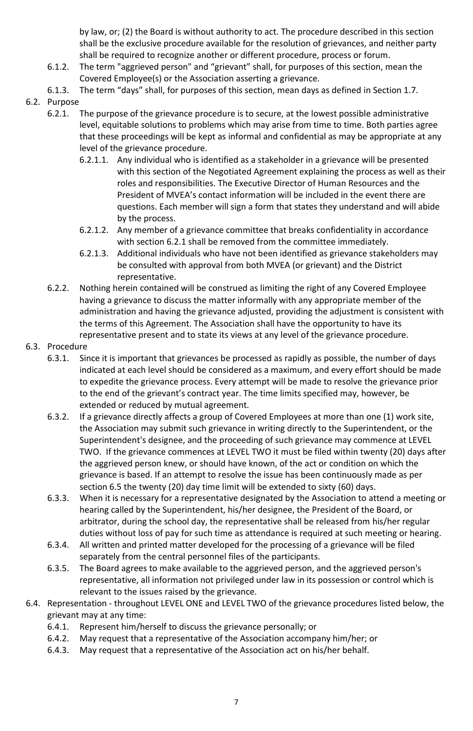by law, or; (2) the Board is without authority to act. The procedure described in this section shall be the exclusive procedure available for the resolution of grievances, and neither party shall be required to recognize another or different procedure, process or forum.

- 6.1.2. The term "aggrieved person" and "grievant" shall, for purposes of this section, mean the Covered Employee(s) or the Association asserting a grievance.
- 6.1.3. The term "days" shall, for purposes of this section, mean days as defined in Section 1.7.
- 6.2. Purpose
	- 6.2.1. The purpose of the grievance procedure is to secure, at the lowest possible administrative level, equitable solutions to problems which may arise from time to time. Both parties agree that these proceedings will be kept as informal and confidential as may be appropriate at any level of the grievance procedure.
		- 6.2.1.1. Any individual who is identified as a stakeholder in a grievance will be presented with this section of the Negotiated Agreement explaining the process as well as their roles and responsibilities. The Executive Director of Human Resources and the President of MVEA's contact information will be included in the event there are questions. Each member will sign a form that states they understand and will abide by the process.
		- 6.2.1.2. Any member of a grievance committee that breaks confidentiality in accordance with section 6.2.1 shall be removed from the committee immediately.
		- 6.2.1.3. Additional individuals who have not been identified as grievance stakeholders may be consulted with approval from both MVEA (or grievant) and the District representative.
	- 6.2.2. Nothing herein contained will be construed as limiting the right of any Covered Employee having a grievance to discuss the matter informally with any appropriate member of the administration and having the grievance adjusted, providing the adjustment is consistent with the terms of this Agreement. The Association shall have the opportunity to have its representative present and to state its views at any level of the grievance procedure.
- 6.3. Procedure
	- 6.3.1. Since it is important that grievances be processed as rapidly as possible, the number of days indicated at each level should be considered as a maximum, and every effort should be made to expedite the grievance process. Every attempt will be made to resolve the grievance prior to the end of the grievant's contract year. The time limits specified may, however, be extended or reduced by mutual agreement.
	- 6.3.2. If a grievance directly affects a group of Covered Employees at more than one (1) work site, the Association may submit such grievance in writing directly to the Superintendent, or the Superintendent's designee, and the proceeding of such grievance may commence at LEVEL TWO. If the grievance commences at LEVEL TWO it must be filed within twenty (20) days after the aggrieved person knew, or should have known, of the act or condition on which the grievance is based. If an attempt to resolve the issue has been continuously made as per section 6.5 the twenty (20) day time limit will be extended to sixty (60) days.
	- 6.3.3. When it is necessary for a representative designated by the Association to attend a meeting or hearing called by the Superintendent, his/her designee, the President of the Board, or arbitrator, during the school day, the representative shall be released from his/her regular duties without loss of pay for such time as attendance is required at such meeting or hearing.
	- 6.3.4. All written and printed matter developed for the processing of a grievance will be filed separately from the central personnel files of the participants.
	- 6.3.5. The Board agrees to make available to the aggrieved person, and the aggrieved person's representative, all information not privileged under law in its possession or control which is relevant to the issues raised by the grievance.
- 6.4. Representation throughout LEVEL ONE and LEVEL TWO of the grievance procedures listed below, the grievant may at any time:
	- 6.4.1. Represent him/herself to discuss the grievance personally; or
	- 6.4.2. May request that a representative of the Association accompany him/her; or
	- 6.4.3. May request that a representative of the Association act on his/her behalf.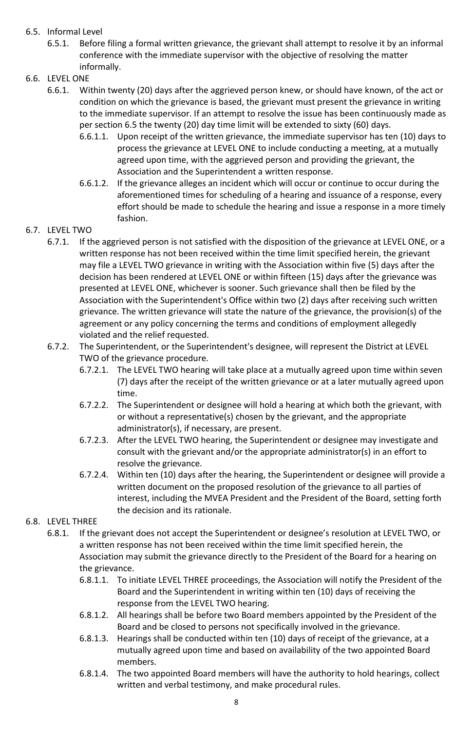# 6.5. Informal Level

- 6.5.1. Before filing a formal written grievance, the grievant shall attempt to resolve it by an informal conference with the immediate supervisor with the objective of resolving the matter informally.
- 6.6. LEVEL ONE
	- 6.6.1. Within twenty (20) days after the aggrieved person knew, or should have known, of the act or condition on which the grievance is based, the grievant must present the grievance in writing to the immediate supervisor. If an attempt to resolve the issue has been continuously made as per section 6.5 the twenty (20) day time limit will be extended to sixty (60) days.
		- 6.6.1.1. Upon receipt of the written grievance, the immediate supervisor has ten (10) days to process the grievance at LEVEL ONE to include conducting a meeting, at a mutually agreed upon time, with the aggrieved person and providing the grievant, the Association and the Superintendent a written response.
		- 6.6.1.2. If the grievance alleges an incident which will occur or continue to occur during the aforementioned times for scheduling of a hearing and issuance of a response, every effort should be made to schedule the hearing and issue a response in a more timely fashion.

# 6.7. LEVEL TWO

- 6.7.1. If the aggrieved person is not satisfied with the disposition of the grievance at LEVEL ONE, or a written response has not been received within the time limit specified herein, the grievant may file a LEVEL TWO grievance in writing with the Association within five (5) days after the decision has been rendered at LEVEL ONE or within fifteen (15) days after the grievance was presented at LEVEL ONE, whichever is sooner. Such grievance shall then be filed by the Association with the Superintendent's Office within two (2) days after receiving such written grievance. The written grievance will state the nature of the grievance, the provision(s) of the agreement or any policy concerning the terms and conditions of employment allegedly violated and the relief requested.
- 6.7.2. The Superintendent, or the Superintendent's designee, will represent the District at LEVEL TWO of the grievance procedure.
	- 6.7.2.1. The LEVEL TWO hearing will take place at a mutually agreed upon time within seven (7) days after the receipt of the written grievance or at a later mutually agreed upon time.
	- 6.7.2.2. The Superintendent or designee will hold a hearing at which both the grievant, with or without a representative(s) chosen by the grievant, and the appropriate administrator(s), if necessary, are present.
	- 6.7.2.3. After the LEVEL TWO hearing, the Superintendent or designee may investigate and consult with the grievant and/or the appropriate administrator(s) in an effort to resolve the grievance.
	- 6.7.2.4. Within ten (10) days after the hearing, the Superintendent or designee will provide a written document on the proposed resolution of the grievance to all parties of interest, including the MVEA President and the President of the Board, setting forth the decision and its rationale.

# 6.8. LEVEL THREE

- 6.8.1. If the grievant does not accept the Superintendent or designee's resolution at LEVEL TWO, or a written response has not been received within the time limit specified herein, the Association may submit the grievance directly to the President of the Board for a hearing on the grievance.
	- 6.8.1.1. To initiate LEVEL THREE proceedings, the Association will notify the President of the Board and the Superintendent in writing within ten (10) days of receiving the response from the LEVEL TWO hearing.
	- 6.8.1.2. All hearings shall be before two Board members appointed by the President of the Board and be closed to persons not specifically involved in the grievance.
	- 6.8.1.3. Hearings shall be conducted within ten (10) days of receipt of the grievance, at a mutually agreed upon time and based on availability of the two appointed Board members.
	- 6.8.1.4. The two appointed Board members will have the authority to hold hearings, collect written and verbal testimony, and make procedural rules.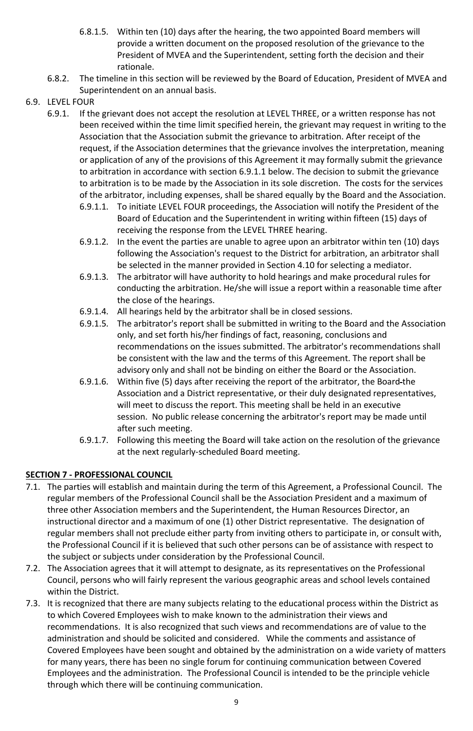- 6.8.1.5. Within ten (10) days after the hearing, the two appointed Board members will provide a written document on the proposed resolution of the grievance to the President of MVEA and the Superintendent, setting forth the decision and their rationale.
- 6.8.2. The timeline in this section will be reviewed by the Board of Education, President of MVEA and Superintendent on an annual basis.
- 6.9. LEVEL FOUR
	- 6.9.1. If the grievant does not accept the resolution at LEVEL THREE, or a written response has not been received within the time limit specified herein, the grievant may request in writing to the Association that the Association submit the grievance to arbitration. After receipt of the request, if the Association determines that the grievance involves the interpretation, meaning or application of any of the provisions of this Agreement it may formally submit the grievance to arbitration in accordance with section 6.9.1.1 below. The decision to submit the grievance to arbitration is to be made by the Association in its sole discretion. The costs for the services of the arbitrator, including expenses, shall be shared equally by the Board and the Association.
		- 6.9.1.1. To initiate LEVEL FOUR proceedings, the Association will notify the President of the Board of Education and the Superintendent in writing within fifteen (15) days of receiving the response from the LEVEL THREE hearing.
		- 6.9.1.2. In the event the parties are unable to agree upon an arbitrator within ten (10) days following the Association's request to the District for arbitration, an arbitrator shall be selected in the manner provided in Section 4.10 for selecting a mediator.
		- 6.9.1.3. The arbitrator will have authority to hold hearings and make procedural rules for conducting the arbitration. He/she will issue a report within a reasonable time after the close of the hearings.
		- 6.9.1.4. All hearings held by the arbitrator shall be in closed sessions.
		- 6.9.1.5. The arbitrator's report shall be submitted in writing to the Board and the Association only, and set forth his/her findings of fact, reasoning, conclusions and recommendations on the issues submitted. The arbitrator's recommendations shall be consistent with the law and the terms of this Agreement. The report shall be advisory only and shall not be binding on either the Board or the Association.
		- 6.9.1.6. Within five (5) days after receiving the report of the arbitrator, the Board-the Association and a District representative, or their duly designated representatives, will meet to discuss the report. This meeting shall be held in an executive session. No public release concerning the arbitrator's report may be made until after such meeting.
		- 6.9.1.7. Following this meeting the Board will take action on the resolution of the grievance at the next regularly-scheduled Board meeting.

# <span id="page-9-0"></span>**SECTION 7 - PROFESSIONAL COUNCIL**

- 7.1. The parties will establish and maintain during the term of this Agreement, a Professional Council. The regular members of the Professional Council shall be the Association President and a maximum of three other Association members and the Superintendent, the Human Resources Director, an instructional director and a maximum of one (1) other District representative. The designation of regular members shall not preclude either party from inviting others to participate in, or consult with, the Professional Council if it is believed that such other persons can be of assistance with respect to the subject or subjects under consideration by the Professional Council.
- 7.2. The Association agrees that it will attempt to designate, as its representatives on the Professional Council, persons who will fairly represent the various geographic areas and school levels contained within the District.
- 7.3. It is recognized that there are many subjects relating to the educational process within the District as to which Covered Employees wish to make known to the administration their views and recommendations. It is also recognized that such views and recommendations are of value to the administration and should be solicited and considered. While the comments and assistance of Covered Employees have been sought and obtained by the administration on a wide variety of matters for many years, there has been no single forum for continuing communication between Covered Employees and the administration. The Professional Council is intended to be the principle vehicle through which there will be continuing communication.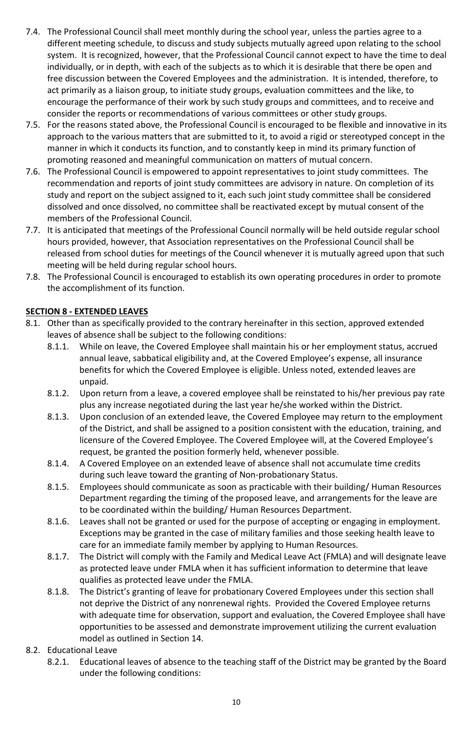- 7.4. The Professional Council shall meet monthly during the school year, unless the parties agree to a different meeting schedule, to discuss and study subjects mutually agreed upon relating to the school system. It is recognized, however, that the Professional Council cannot expect to have the time to deal individually, or in depth, with each of the subjects as to which it is desirable that there be open and free discussion between the Covered Employees and the administration. It is intended, therefore, to act primarily as a liaison group, to initiate study groups, evaluation committees and the like, to encourage the performance of their work by such study groups and committees, and to receive and consider the reports or recommendations of various committees or other study groups.
- 7.5. For the reasons stated above, the Professional Council is encouraged to be flexible and innovative in its approach to the various matters that are submitted to it, to avoid a rigid or stereotyped concept in the manner in which it conducts its function, and to constantly keep in mind its primary function of promoting reasoned and meaningful communication on matters of mutual concern.
- 7.6. The Professional Council is empowered to appoint representatives to joint study committees. The recommendation and reports of joint study committees are advisory in nature. On completion of its study and report on the subject assigned to it, each such joint study committee shall be considered dissolved and once dissolved, no committee shall be reactivated except by mutual consent of the members of the Professional Council.
- 7.7. It is anticipated that meetings of the Professional Council normally will be held outside regular school hours provided, however, that Association representatives on the Professional Council shall be released from school duties for meetings of the Council whenever it is mutually agreed upon that such meeting will be held during regular school hours.
- 7.8. The Professional Council is encouraged to establish its own operating procedures in order to promote the accomplishment of its function.

# <span id="page-10-0"></span>**SECTION 8 - EXTENDED LEAVES**

- 8.1. Other than as specifically provided to the contrary hereinafter in this section, approved extended leaves of absence shall be subject to the following conditions:
	- 8.1.1. While on leave, the Covered Employee shall maintain his or her employment status, accrued annual leave, sabbatical eligibility and, at the Covered Employee's expense, all insurance benefits for which the Covered Employee is eligible. Unless noted, extended leaves are unpaid.
	- 8.1.2. Upon return from a leave, a covered employee shall be reinstated to his/her previous pay rate plus any increase negotiated during the last year he/she worked within the District.
	- 8.1.3. Upon conclusion of an extended leave, the Covered Employee may return to the employment of the District, and shall be assigned to a position consistent with the education, training, and licensure of the Covered Employee. The Covered Employee will, at the Covered Employee's request, be granted the position formerly held, whenever possible.
	- 8.1.4. A Covered Employee on an extended leave of absence shall not accumulate time credits during such leave toward the granting of Non-probationary Status.
	- 8.1.5. Employees should communicate as soon as practicable with their building/ Human Resources Department regarding the timing of the proposed leave, and arrangements for the leave are to be coordinated within the building/ Human Resources Department.
	- 8.1.6. Leaves shall not be granted or used for the purpose of accepting or engaging in employment. Exceptions may be granted in the case of military families and those seeking health leave to care for an immediate family member by applying to Human Resources.
	- 8.1.7. The District will comply with the Family and Medical Leave Act (FMLA) and will designate leave as protected leave under FMLA when it has sufficient information to determine that leave qualifies as protected leave under the FMLA.
	- 8.1.8. The District's granting of leave for probationary Covered Employees under this section shall not deprive the District of any nonrenewal rights. Provided the Covered Employee returns with adequate time for observation, support and evaluation, the Covered Employee shall have opportunities to be assessed and demonstrate improvement utilizing the current evaluation model as outlined in Section 14.
- 8.2. Educational Leave
	- 8.2.1. Educational leaves of absence to the teaching staff of the District may be granted by the Board under the following conditions: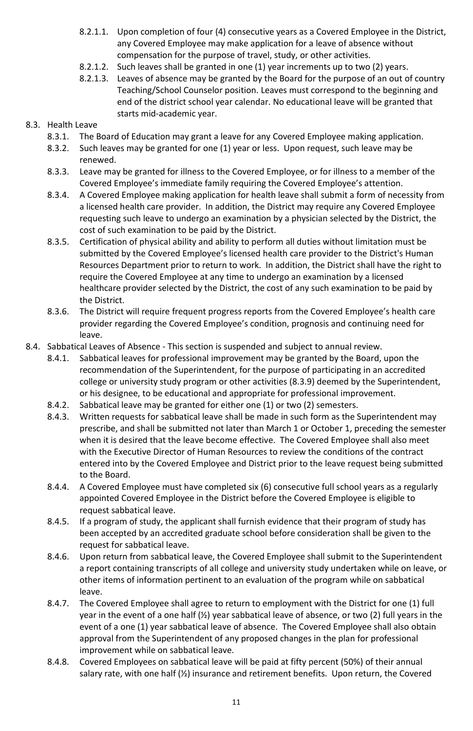- 8.2.1.1. Upon completion of four (4) consecutive years as a Covered Employee in the District, any Covered Employee may make application for a leave of absence without compensation for the purpose of travel, study, or other activities.
- 8.2.1.2. Such leaves shall be granted in one (1) year increments up to two (2) years.
- 8.2.1.3. Leaves of absence may be granted by the Board for the purpose of an out of country Teaching/School Counselor position. Leaves must correspond to the beginning and end of the district school year calendar. No educational leave will be granted that starts mid-academic year.

# 8.3. Health Leave

- 8.3.1. The Board of Education may grant a leave for any Covered Employee making application.
- 8.3.2. Such leaves may be granted for one (1) year or less. Upon request, such leave may be renewed.
- 8.3.3. Leave may be granted for illness to the Covered Employee, or for illness to a member of the Covered Employee's immediate family requiring the Covered Employee's attention.
- 8.3.4. A Covered Employee making application for health leave shall submit a form of necessity from a licensed health care provider. In addition, the District may require any Covered Employee requesting such leave to undergo an examination by a physician selected by the District, the cost of such examination to be paid by the District.
- 8.3.5. Certification of physical ability and ability to perform all duties without limitation must be submitted by the Covered Employee's licensed health care provider to the District's Human Resources Department prior to return to work. In addition, the District shall have the right to require the Covered Employee at any time to undergo an examination by a licensed healthcare provider selected by the District, the cost of any such examination to be paid by the District.
- 8.3.6. The District will require frequent progress reports from the Covered Employee's health care provider regarding the Covered Employee's condition, prognosis and continuing need for leave.
- 8.4. Sabbatical Leaves of Absence This section is suspended and subject to annual review.
	- 8.4.1. Sabbatical leaves for professional improvement may be granted by the Board, upon the recommendation of the Superintendent, for the purpose of participating in an accredited college or university study program or other activities (8.3.9) deemed by the Superintendent, or his designee, to be educational and appropriate for professional improvement.
	- 8.4.2. Sabbatical leave may be granted for either one (1) or two (2) semesters.
	- 8.4.3. Written requests for sabbatical leave shall be made in such form as the Superintendent may prescribe, and shall be submitted not later than March 1 or October 1, preceding the semester when it is desired that the leave become effective. The Covered Employee shall also meet with the Executive Director of Human Resources to review the conditions of the contract entered into by the Covered Employee and District prior to the leave request being submitted to the Board.
	- 8.4.4. A Covered Employee must have completed six (6) consecutive full school years as a regularly appointed Covered Employee in the District before the Covered Employee is eligible to request sabbatical leave.
	- 8.4.5. If a program of study, the applicant shall furnish evidence that their program of study has been accepted by an accredited graduate school before consideration shall be given to the request for sabbatical leave.
	- 8.4.6. Upon return from sabbatical leave, the Covered Employee shall submit to the Superintendent a report containing transcripts of all college and university study undertaken while on leave, or other items of information pertinent to an evaluation of the program while on sabbatical leave.
	- 8.4.7. The Covered Employee shall agree to return to employment with the District for one (1) full year in the event of a one half (½) year sabbatical leave of absence, or two (2) full years in the event of a one (1) year sabbatical leave of absence. The Covered Employee shall also obtain approval from the Superintendent of any proposed changes in the plan for professional improvement while on sabbatical leave.
	- 8.4.8. Covered Employees on sabbatical leave will be paid at fifty percent (50%) of their annual salary rate, with one half (½) insurance and retirement benefits. Upon return, the Covered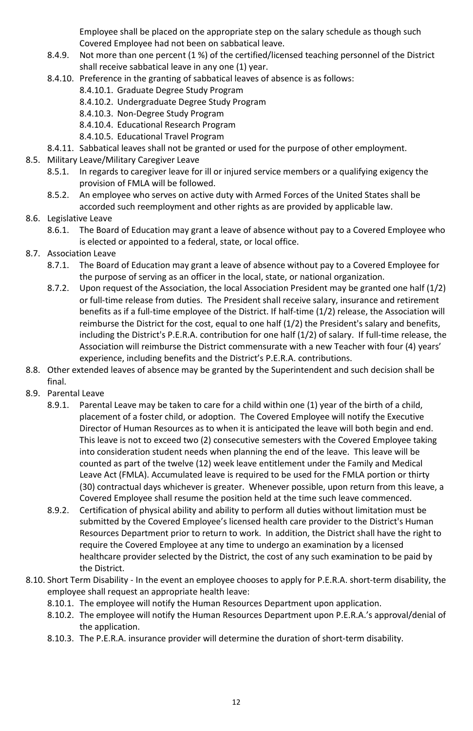Employee shall be placed on the appropriate step on the salary schedule as though such Covered Employee had not been on sabbatical leave.

- 8.4.9. Not more than one percent (1 %) of the certified/licensed teaching personnel of the District shall receive sabbatical leave in any one (1) year.
- 8.4.10. Preference in the granting of sabbatical leaves of absence is as follows:
	- 8.4.10.1. Graduate Degree Study Program
	- 8.4.10.2. Undergraduate Degree Study Program
	- 8.4.10.3. Non-Degree Study Program
	- 8.4.10.4. Educational Research Program
	- 8.4.10.5. Educational Travel Program
- 8.4.11. Sabbatical leaves shall not be granted or used for the purpose of other employment.
- 8.5. Military Leave/Military Caregiver Leave
	- 8.5.1. In regards to caregiver leave for ill or injured service members or a qualifying exigency the provision of FMLA will be followed.
	- 8.5.2. An employee who serves on active duty with Armed Forces of the United States shall be accorded such reemployment and other rights as are provided by applicable law.
- 8.6. Legislative Leave
	- 8.6.1. The Board of Education may grant a leave of absence without pay to a Covered Employee who is elected or appointed to a federal, state, or local office.
- 8.7. Association Leave
	- 8.7.1. The Board of Education may grant a leave of absence without pay to a Covered Employee for the purpose of serving as an officer in the local, state, or national organization.
	- 8.7.2. Upon request of the Association, the local Association President may be granted one half (1/2) or full-time release from duties. The President shall receive salary, insurance and retirement benefits as if a full-time employee of the District. If half-time (1/2) release, the Association will reimburse the District for the cost, equal to one half (1/2) the President's salary and benefits, including the District's P.E.R.A. contribution for one half (1/2) of salary. If full-time release, the Association will reimburse the District commensurate with a new Teacher with four (4) years' experience, including benefits and the District's P.E.R.A. contributions.
- 8.8. Other extended leaves of absence may be granted by the Superintendent and such decision shall be final.
- 8.9. Parental Leave
	- 8.9.1. Parental Leave may be taken to care for a child within one (1) year of the birth of a child, placement of a foster child, or adoption. The Covered Employee will notify the Executive Director of Human Resources as to when it is anticipated the leave will both begin and end. This leave is not to exceed two (2) consecutive semesters with the Covered Employee taking into consideration student needs when planning the end of the leave. This leave will be counted as part of the twelve (12) week leave entitlement under the Family and Medical Leave Act (FMLA). Accumulated leave is required to be used for the FMLA portion or thirty (30) contractual days whichever is greater. Whenever possible, upon return from this leave, a Covered Employee shall resume the position held at the time such leave commenced.
	- 8.9.2. Certification of physical ability and ability to perform all duties without limitation must be submitted by the Covered Employee's licensed health care provider to the District's Human Resources Department prior to return to work. In addition, the District shall have the right to require the Covered Employee at any time to undergo an examination by a licensed healthcare provider selected by the District, the cost of any such examination to be paid by the District.
- 8.10. Short Term Disability In the event an employee chooses to apply for P.E.R.A. short-term disability, the employee shall request an appropriate health leave:
	- 8.10.1. The employee will notify the Human Resources Department upon application.
	- 8.10.2. The employee will notify the Human Resources Department upon P.E.R.A.'s approval/denial of the application.
	- 8.10.3. The P.E.R.A. insurance provider will determine the duration of short-term disability.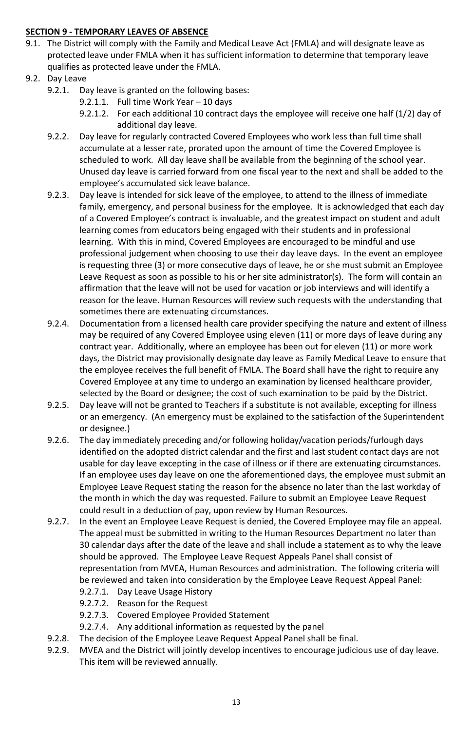# <span id="page-13-0"></span>**SECTION 9 - TEMPORARY LEAVES OF ABSENCE**

- 9.1. The District will comply with the Family and Medical Leave Act (FMLA) and will designate leave as protected leave under FMLA when it has sufficient information to determine that temporary leave qualifies as protected leave under the FMLA.
- 9.2. Day Leave
	- 9.2.1. Day leave is granted on the following bases:
		- 9.2.1.1. Full time Work Year 10 days
		- 9.2.1.2. For each additional 10 contract days the employee will receive one half (1/2) day of additional day leave.
	- 9.2.2. Day leave for regularly contracted Covered Employees who work less than full time shall accumulate at a lesser rate, prorated upon the amount of time the Covered Employee is scheduled to work. All day leave shall be available from the beginning of the school year. Unused day leave is carried forward from one fiscal year to the next and shall be added to the employee's accumulated sick leave balance.
	- 9.2.3. Day leave is intended for sick leave of the employee, to attend to the illness of immediate family, emergency, and personal business for the employee. It is acknowledged that each day of a Covered Employee's contract is invaluable, and the greatest impact on student and adult learning comes from educators being engaged with their students and in professional learning. With this in mind, Covered Employees are encouraged to be mindful and use professional judgement when choosing to use their day leave days. In the event an employee is requesting three (3) or more consecutive days of leave, he or she must submit an Employee Leave Request as soon as possible to his or her site administrator(s). The form will contain an affirmation that the leave will not be used for vacation or job interviews and will identify a reason for the leave. Human Resources will review such requests with the understanding that sometimes there are extenuating circumstances.
	- 9.2.4. Documentation from a licensed health care provider specifying the nature and extent of illness may be required of any Covered Employee using eleven (11) or more days of leave during any contract year. Additionally, where an employee has been out for eleven (11) or more work days, the District may provisionally designate day leave as Family Medical Leave to ensure that the employee receives the full benefit of FMLA. The Board shall have the right to require any Covered Employee at any time to undergo an examination by licensed healthcare provider, selected by the Board or designee; the cost of such examination to be paid by the District.
	- 9.2.5. Day leave will not be granted to Teachers if a substitute is not available, excepting for illness or an emergency. (An emergency must be explained to the satisfaction of the Superintendent or designee.)
	- 9.2.6. The day immediately preceding and/or following holiday/vacation periods/furlough days identified on the adopted district calendar and the first and last student contact days are not usable for day leave excepting in the case of illness or if there are extenuating circumstances. If an employee uses day leave on one the aforementioned days, the employee must submit an Employee Leave Request stating the reason for the absence no later than the last workday of the month in which the day was requested. Failure to submit an Employee Leave Request could result in a deduction of pay, upon review by Human Resources.
	- 9.2.7. In the event an Employee Leave Request is denied, the Covered Employee may file an appeal. The appeal must be submitted in writing to the Human Resources Department no later than 30 calendar days after the date of the leave and shall include a statement as to why the leave should be approved. The Employee Leave Request Appeals Panel shall consist of representation from MVEA, Human Resources and administration. The following criteria will be reviewed and taken into consideration by the Employee Leave Request Appeal Panel:
		- 9.2.7.1. Day Leave Usage History
		- 9.2.7.2. Reason for the Request
		- 9.2.7.3. Covered Employee Provided Statement
		- 9.2.7.4. Any additional information as requested by the panel
	- 9.2.8. The decision of the Employee Leave Request Appeal Panel shall be final.
	- 9.2.9. MVEA and the District will jointly develop incentives to encourage judicious use of day leave. This item will be reviewed annually.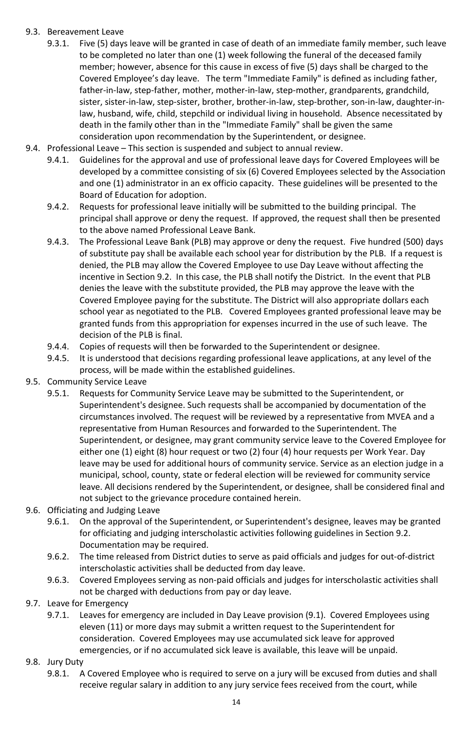# 9.3. Bereavement Leave

- 9.3.1. Five (5) days leave will be granted in case of death of an immediate family member, such leave to be completed no later than one (1) week following the funeral of the deceased family member; however, absence for this cause in excess of five (5) days shall be charged to the Covered Employee's day leave. The term "Immediate Family" is defined as including father, father-in-law, step-father, mother, mother-in-law, step-mother, grandparents, grandchild, sister, sister-in-law, step-sister, brother, brother-in-law, step-brother, son-in-law, daughter-inlaw, husband, wife, child, stepchild or individual living in household. Absence necessitated by death in the family other than in the "Immediate Family" shall be given the same consideration upon recommendation by the Superintendent, or designee.
- 9.4. Professional Leave This section is suspended and subject to annual review.
	- 9.4.1. Guidelines for the approval and use of professional leave days for Covered Employees will be developed by a committee consisting of six (6) Covered Employees selected by the Association and one (1) administrator in an ex officio capacity. These guidelines will be presented to the Board of Education for adoption.
	- 9.4.2. Requests for professional leave initially will be submitted to the building principal. The principal shall approve or deny the request. If approved, the request shall then be presented to the above named Professional Leave Bank.
	- 9.4.3. The Professional Leave Bank (PLB) may approve or deny the request. Five hundred (500) days of substitute pay shall be available each school year for distribution by the PLB. If a request is denied, the PLB may allow the Covered Employee to use Day Leave without affecting the incentive in Section 9.2. In this case, the PLB shall notify the District. In the event that PLB denies the leave with the substitute provided, the PLB may approve the leave with the Covered Employee paying for the substitute. The District will also appropriate dollars each school year as negotiated to the PLB. Covered Employees granted professional leave may be granted funds from this appropriation for expenses incurred in the use of such leave. The decision of the PLB is final.
	- 9.4.4. Copies of requests will then be forwarded to the Superintendent or designee.
	- 9.4.5. It is understood that decisions regarding professional leave applications, at any level of the process, will be made within the established guidelines.
- 9.5. Community Service Leave
	- 9.5.1. Requests for Community Service Leave may be submitted to the Superintendent, or Superintendent's designee. Such requests shall be accompanied by documentation of the circumstances involved. The request will be reviewed by a representative from MVEA and a representative from Human Resources and forwarded to the Superintendent. The Superintendent, or designee, may grant community service leave to the Covered Employee for either one (1) eight (8) hour request or two (2) four (4) hour requests per Work Year. Day leave may be used for additional hours of community service. Service as an election judge in a municipal, school, county, state or federal election will be reviewed for community service leave. All decisions rendered by the Superintendent, or designee, shall be considered final and not subject to the grievance procedure contained herein.
- 9.6. Officiating and Judging Leave
	- 9.6.1. On the approval of the Superintendent, or Superintendent's designee, leaves may be granted for officiating and judging interscholastic activities following guidelines in Section 9.2. Documentation may be required.
	- 9.6.2. The time released from District duties to serve as paid officials and judges for out-of-district interscholastic activities shall be deducted from day leave.
	- 9.6.3. Covered Employees serving as non-paid officials and judges for interscholastic activities shall not be charged with deductions from pay or day leave.
- 9.7. Leave for Emergency
	- 9.7.1. Leaves for emergency are included in Day Leave provision (9.1). Covered Employees using eleven (11) or more days may submit a written request to the Superintendent for consideration. Covered Employees may use accumulated sick leave for approved emergencies, or if no accumulated sick leave is available, this leave will be unpaid.
- 9.8. Jury Duty
	- 9.8.1. A Covered Employee who is required to serve on a jury will be excused from duties and shall receive regular salary in addition to any jury service fees received from the court, while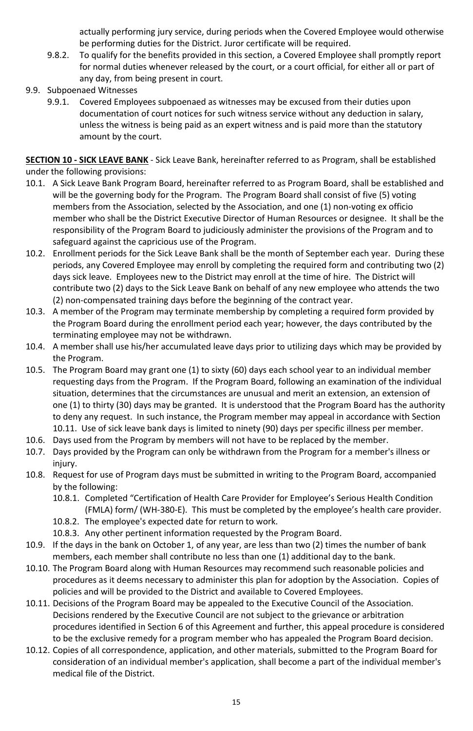actually performing jury service, during periods when the Covered Employee would otherwise be performing duties for the District. Juror certificate will be required.

- 9.8.2. To qualify for the benefits provided in this section, a Covered Employee shall promptly report for normal duties whenever released by the court, or a court official, for either all or part of any day, from being present in court.
- 9.9. Subpoenaed Witnesses
	- 9.9.1. Covered Employees subpoenaed as witnesses may be excused from their duties upon documentation of court notices for such witness service without any deduction in salary, unless the witness is being paid as an expert witness and is paid more than the statutory amount by the court.

<span id="page-15-0"></span>**SECTION 10 - SICK LEAVE BANK** - Sick Leave Bank, hereinafter referred to as Program, shall be established under the following provisions:

- 10.1. A Sick Leave Bank Program Board, hereinafter referred to as Program Board, shall be established and will be the governing body for the Program. The Program Board shall consist of five (5) voting members from the Association, selected by the Association, and one (1) non-voting ex officio member who shall be the District Executive Director of Human Resources or designee. It shall be the responsibility of the Program Board to judiciously administer the provisions of the Program and to safeguard against the capricious use of the Program.
- 10.2. Enrollment periods for the Sick Leave Bank shall be the month of September each year. During these periods, any Covered Employee may enroll by completing the required form and contributing two (2) days sick leave. Employees new to the District may enroll at the time of hire. The District will contribute two (2) days to the Sick Leave Bank on behalf of any new employee who attends the two (2) non-compensated training days before the beginning of the contract year.
- 10.3. A member of the Program may terminate membership by completing a required form provided by the Program Board during the enrollment period each year; however, the days contributed by the terminating employee may not be withdrawn.
- 10.4. A member shall use his/her accumulated leave days prior to utilizing days which may be provided by the Program.
- 10.5. The Program Board may grant one (1) to sixty (60) days each school year to an individual member requesting days from the Program. If the Program Board, following an examination of the individual situation, determines that the circumstances are unusual and merit an extension, an extension of one (1) to thirty (30) days may be granted. It is understood that the Program Board has the authority to deny any request. In such instance, the Program member may appeal in accordance with Section 10.11. Use of sick leave bank days is limited to ninety (90) days per specific illness per member.
- 10.6. Days used from the Program by members will not have to be replaced by the member.
- 10.7. Days provided by the Program can only be withdrawn from the Program for a member's illness or injury.
- 10.8. Request for use of Program days must be submitted in writing to the Program Board, accompanied by the following:
	- 10.8.1. Completed "Certification of Health Care Provider for Employee's Serious Health Condition (FMLA) form/ (WH-380-E). This must be completed by the employee's health care provider.
	- 10.8.2. The employee's expected date for return to work.
	- 10.8.3. Any other pertinent information requested by the Program Board.
- 10.9. If the days in the bank on October 1, of any year, are less than two (2) times the number of bank members, each member shall contribute no less than one (1) additional day to the bank.
- 10.10. The Program Board along with Human Resources may recommend such reasonable policies and procedures as it deems necessary to administer this plan for adoption by the Association. Copies of policies and will be provided to the District and available to Covered Employees.
- 10.11. Decisions of the Program Board may be appealed to the Executive Council of the Association. Decisions rendered by the Executive Council are not subject to the grievance or arbitration procedures identified in Section 6 of this Agreement and further, this appeal procedure is considered to be the exclusive remedy for a program member who has appealed the Program Board decision.
- 10.12. Copies of all correspondence, application, and other materials, submitted to the Program Board for consideration of an individual member's application, shall become a part of the individual member's medical file of the District.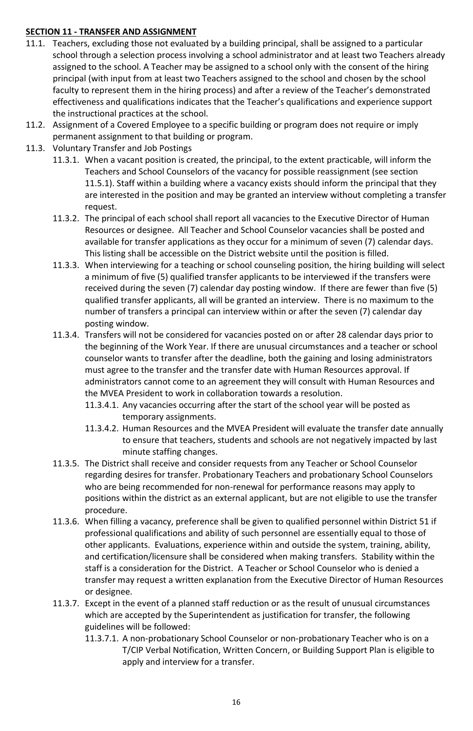# <span id="page-16-0"></span>**SECTION 11 - TRANSFER AND ASSIGNMENT**

- 11.1. Teachers, excluding those not evaluated by a building principal, shall be assigned to a particular school through a selection process involving a school administrator and at least two Teachers already assigned to the school. A Teacher may be assigned to a school only with the consent of the hiring principal (with input from at least two Teachers assigned to the school and chosen by the school faculty to represent them in the hiring process) and after a review of the Teacher's demonstrated effectiveness and qualifications indicates that the Teacher's qualifications and experience support the instructional practices at the school.
- 11.2. Assignment of a Covered Employee to a specific building or program does not require or imply permanent assignment to that building or program.
- 11.3. Voluntary Transfer and Job Postings
	- 11.3.1. When a vacant position is created, the principal, to the extent practicable, will inform the Teachers and School Counselors of the vacancy for possible reassignment (see section 11.5.1). Staff within a building where a vacancy exists should inform the principal that they are interested in the position and may be granted an interview without completing a transfer request.
	- 11.3.2. The principal of each school shall report all vacancies to the Executive Director of Human Resources or designee. All Teacher and School Counselor vacancies shall be posted and available for transfer applications as they occur for a minimum of seven (7) calendar days. This listing shall be accessible on the District website until the position is filled.
	- 11.3.3. When interviewing for a teaching or school counseling position, the hiring building will select a minimum of five (5) qualified transfer applicants to be interviewed if the transfers were received during the seven (7) calendar day posting window. If there are fewer than five (5) qualified transfer applicants, all will be granted an interview. There is no maximum to the number of transfers a principal can interview within or after the seven (7) calendar day posting window.
	- 11.3.4. Transfers will not be considered for vacancies posted on or after 28 calendar days prior to the beginning of the Work Year. If there are unusual circumstances and a teacher or school counselor wants to transfer after the deadline, both the gaining and losing administrators must agree to the transfer and the transfer date with Human Resources approval. If administrators cannot come to an agreement they will consult with Human Resources and the MVEA President to work in collaboration towards a resolution.
		- 11.3.4.1. Any vacancies occurring after the start of the school year will be posted as temporary assignments.
		- 11.3.4.2. Human Resources and the MVEA President will evaluate the transfer date annually to ensure that teachers, students and schools are not negatively impacted by last minute staffing changes.
	- 11.3.5. The District shall receive and consider requests from any Teacher or School Counselor regarding desires for transfer. Probationary Teachers and probationary School Counselors who are being recommended for non-renewal for performance reasons may apply to positions within the district as an external applicant, but are not eligible to use the transfer procedure.
	- 11.3.6. When filling a vacancy, preference shall be given to qualified personnel within District 51 if professional qualifications and ability of such personnel are essentially equal to those of other applicants. Evaluations, experience within and outside the system, training, ability, and certification/licensure shall be considered when making transfers. Stability within the staff is a consideration for the District. A Teacher or School Counselor who is denied a transfer may request a written explanation from the Executive Director of Human Resources or designee.
	- 11.3.7. Except in the event of a planned staff reduction or as the result of unusual circumstances which are accepted by the Superintendent as justification for transfer, the following guidelines will be followed:
		- 11.3.7.1. A non-probationary School Counselor or non-probationary Teacher who is on a T/CIP Verbal Notification, Written Concern, or Building Support Plan is eligible to apply and interview for a transfer.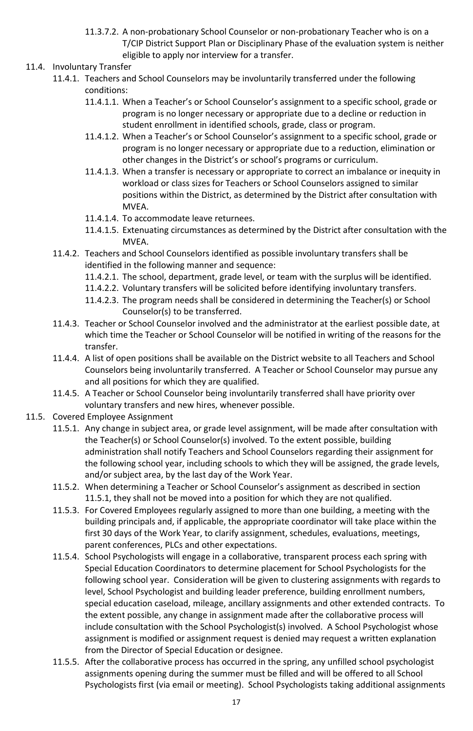- 11.3.7.2. A non-probationary School Counselor or non-probationary Teacher who is on a T/CIP District Support Plan or Disciplinary Phase of the evaluation system is neither eligible to apply nor interview for a transfer.
- 11.4. Involuntary Transfer
	- 11.4.1. Teachers and School Counselors may be involuntarily transferred under the following conditions:
		- 11.4.1.1. When a Teacher's or School Counselor's assignment to a specific school, grade or program is no longer necessary or appropriate due to a decline or reduction in student enrollment in identified schools, grade, class or program.
		- 11.4.1.2. When a Teacher's or School Counselor's assignment to a specific school, grade or program is no longer necessary or appropriate due to a reduction, elimination or other changes in the District's or school's programs or curriculum.
		- 11.4.1.3. When a transfer is necessary or appropriate to correct an imbalance or inequity in workload or class sizes for Teachers or School Counselors assigned to similar positions within the District, as determined by the District after consultation with MVEA.
		- 11.4.1.4. To accommodate leave returnees.
		- 11.4.1.5. Extenuating circumstances as determined by the District after consultation with the MVEA.
	- 11.4.2. Teachers and School Counselors identified as possible involuntary transfers shall be identified in the following manner and sequence:
		- 11.4.2.1. The school, department, grade level, or team with the surplus will be identified.
		- 11.4.2.2. Voluntary transfers will be solicited before identifying involuntary transfers.
		- 11.4.2.3. The program needs shall be considered in determining the Teacher(s) or School Counselor(s) to be transferred.
	- 11.4.3. Teacher or School Counselor involved and the administrator at the earliest possible date, at which time the Teacher or School Counselor will be notified in writing of the reasons for the transfer.
	- 11.4.4. A list of open positions shall be available on the District website to all Teachers and School Counselors being involuntarily transferred. A Teacher or School Counselor may pursue any and all positions for which they are qualified.
	- 11.4.5. A Teacher or School Counselor being involuntarily transferred shall have priority over voluntary transfers and new hires, whenever possible.
- 11.5. Covered Employee Assignment
	- 11.5.1. Any change in subject area, or grade level assignment, will be made after consultation with the Teacher(s) or School Counselor(s) involved. To the extent possible, building administration shall notify Teachers and School Counselors regarding their assignment for the following school year, including schools to which they will be assigned, the grade levels, and/or subject area, by the last day of the Work Year.
	- 11.5.2. When determining a Teacher or School Counselor's assignment as described in section 11.5.1, they shall not be moved into a position for which they are not qualified.
	- 11.5.3. For Covered Employees regularly assigned to more than one building, a meeting with the building principals and, if applicable, the appropriate coordinator will take place within the first 30 days of the Work Year, to clarify assignment, schedules, evaluations, meetings, parent conferences, PLCs and other expectations.
	- 11.5.4. School Psychologists will engage in a collaborative, transparent process each spring with Special Education Coordinators to determine placement for School Psychologists for the following school year. Consideration will be given to clustering assignments with regards to level, School Psychologist and building leader preference, building enrollment numbers, special education caseload, mileage, ancillary assignments and other extended contracts. To the extent possible, any change in assignment made after the collaborative process will include consultation with the School Psychologist(s) involved. A School Psychologist whose assignment is modified or assignment request is denied may request a written explanation from the Director of Special Education or designee.
	- 11.5.5. After the collaborative process has occurred in the spring, any unfilled school psychologist assignments opening during the summer must be filled and will be offered to all School Psychologists first (via email or meeting). School Psychologists taking additional assignments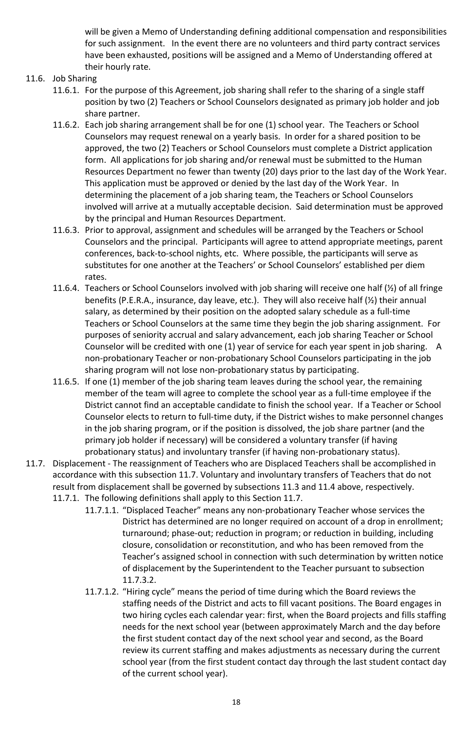will be given a Memo of Understanding defining additional compensation and responsibilities for such assignment. In the event there are no volunteers and third party contract services have been exhausted, positions will be assigned and a Memo of Understanding offered at their hourly rate.

# 11.6. Job Sharing

- 11.6.1. For the purpose of this Agreement, job sharing shall refer to the sharing of a single staff position by two (2) Teachers or School Counselors designated as primary job holder and job share partner.
- 11.6.2. Each job sharing arrangement shall be for one (1) school year. The Teachers or School Counselors may request renewal on a yearly basis. In order for a shared position to be approved, the two (2) Teachers or School Counselors must complete a District application form. All applications for job sharing and/or renewal must be submitted to the Human Resources Department no fewer than twenty (20) days prior to the last day of the Work Year. This application must be approved or denied by the last day of the Work Year. In determining the placement of a job sharing team, the Teachers or School Counselors involved will arrive at a mutually acceptable decision. Said determination must be approved by the principal and Human Resources Department.
- 11.6.3. Prior to approval, assignment and schedules will be arranged by the Teachers or School Counselors and the principal. Participants will agree to attend appropriate meetings, parent conferences, back-to-school nights, etc. Where possible, the participants will serve as substitutes for one another at the Teachers' or School Counselors' established per diem rates.
- 11.6.4. Teachers or School Counselors involved with job sharing will receive one half  $(Y_2)$  of all fringe benefits (P.E.R.A., insurance, day leave, etc.). They will also receive half (½) their annual salary, as determined by their position on the adopted salary schedule as a full-time Teachers or School Counselors at the same time they begin the job sharing assignment. For purposes of seniority accrual and salary advancement, each job sharing Teacher or School Counselor will be credited with one (1) year of service for each year spent in job sharing. A non-probationary Teacher or non-probationary School Counselors participating in the job sharing program will not lose non-probationary status by participating.
- 11.6.5. If one (1) member of the job sharing team leaves during the school year, the remaining member of the team will agree to complete the school year as a full-time employee if the District cannot find an acceptable candidate to finish the school year. If a Teacher or School Counselor elects to return to full-time duty, if the District wishes to make personnel changes in the job sharing program, or if the position is dissolved, the job share partner (and the primary job holder if necessary) will be considered a voluntary transfer (if having probationary status) and involuntary transfer (if having non-probationary status).
- 11.7. Displacement The reassignment of Teachers who are Displaced Teachers shall be accomplished in accordance with this subsection 11.7. Voluntary and involuntary transfers of Teachers that do not result from displacement shall be governed by subsections 11.3 and 11.4 above, respectively. 11.7.1. The following definitions shall apply to this Section 11.7.
	- 11.7.1.1. "Displaced Teacher" means any non-probationary Teacher whose services the District has determined are no longer required on account of a drop in enrollment; turnaround; phase-out; reduction in program; or reduction in building, including closure, consolidation or reconstitution, and who has been removed from the Teacher's assigned school in connection with such determination by written notice of displacement by the Superintendent to the Teacher pursuant to subsection 11.7.3.2.
	- 11.7.1.2. "Hiring cycle" means the period of time during which the Board reviews the staffing needs of the District and acts to fill vacant positions. The Board engages in two hiring cycles each calendar year: first, when the Board projects and fills staffing needs for the next school year (between approximately March and the day before the first student contact day of the next school year and second, as the Board review its current staffing and makes adjustments as necessary during the current school year (from the first student contact day through the last student contact day of the current school year).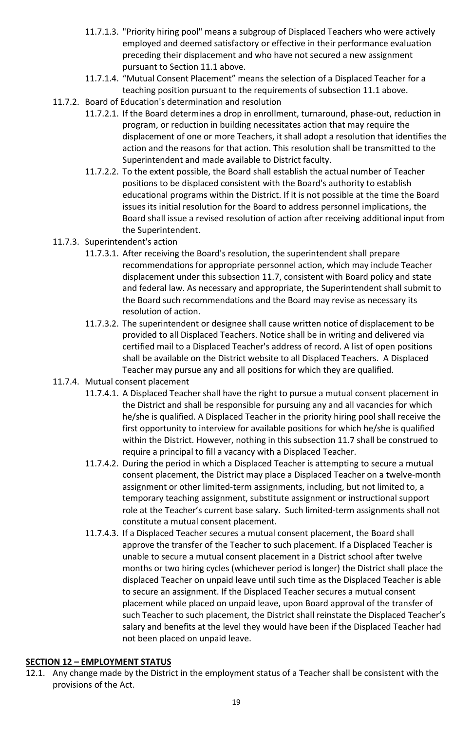- 11.7.1.3. "Priority hiring pool" means a subgroup of Displaced Teachers who were actively employed and deemed satisfactory or effective in their performance evaluation preceding their displacement and who have not secured a new assignment pursuant to Section 11.1 above.
- 11.7.1.4. "Mutual Consent Placement" means the selection of a Displaced Teacher for a teaching position pursuant to the requirements of subsection 11.1 above.
- 11.7.2. Board of Education's determination and resolution
	- 11.7.2.1. If the Board determines a drop in enrollment, turnaround, phase-out, reduction in program, or reduction in building necessitates action that may require the displacement of one or more Teachers, it shall adopt a resolution that identifies the action and the reasons for that action. This resolution shall be transmitted to the Superintendent and made available to District faculty.
	- 11.7.2.2. To the extent possible, the Board shall establish the actual number of Teacher positions to be displaced consistent with the Board's authority to establish educational programs within the District. If it is not possible at the time the Board issues its initial resolution for the Board to address personnel implications, the Board shall issue a revised resolution of action after receiving additional input from the Superintendent.
- 11.7.3. Superintendent's action
	- 11.7.3.1. After receiving the Board's resolution, the superintendent shall prepare recommendations for appropriate personnel action, which may include Teacher displacement under this subsection 11.7, consistent with Board policy and state and federal law. As necessary and appropriate, the Superintendent shall submit to the Board such recommendations and the Board may revise as necessary its resolution of action.
	- 11.7.3.2. The superintendent or designee shall cause written notice of displacement to be provided to all Displaced Teachers. Notice shall be in writing and delivered via certified mail to a Displaced Teacher's address of record. A list of open positions shall be available on the District website to all Displaced Teachers. A Displaced Teacher may pursue any and all positions for which they are qualified.
- 11.7.4. Mutual consent placement
	- 11.7.4.1. A Displaced Teacher shall have the right to pursue a mutual consent placement in the District and shall be responsible for pursuing any and all vacancies for which he/she is qualified. A Displaced Teacher in the priority hiring pool shall receive the first opportunity to interview for available positions for which he/she is qualified within the District. However, nothing in this subsection 11.7 shall be construed to require a principal to fill a vacancy with a Displaced Teacher.
	- 11.7.4.2. During the period in which a Displaced Teacher is attempting to secure a mutual consent placement, the District may place a Displaced Teacher on a twelve-month assignment or other limited-term assignments, including, but not limited to, a temporary teaching assignment, substitute assignment or instructional support role at the Teacher's current base salary. Such limited-term assignments shall not constitute a mutual consent placement.
	- 11.7.4.3. If a Displaced Teacher secures a mutual consent placement, the Board shall approve the transfer of the Teacher to such placement. If a Displaced Teacher is unable to secure a mutual consent placement in a District school after twelve months or two hiring cycles (whichever period is longer) the District shall place the displaced Teacher on unpaid leave until such time as the Displaced Teacher is able to secure an assignment. If the Displaced Teacher secures a mutual consent placement while placed on unpaid leave, upon Board approval of the transfer of such Teacher to such placement, the District shall reinstate the Displaced Teacher's salary and benefits at the level they would have been if the Displaced Teacher had not been placed on unpaid leave.

# <span id="page-19-0"></span>**SECTION 12 – EMPLOYMENT STATUS**

12.1. Any change made by the District in the employment status of a Teacher shall be consistent with the provisions of the Act.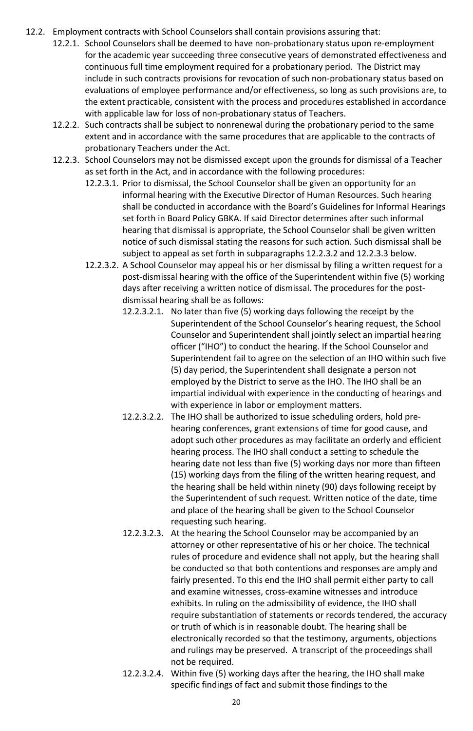- 12.2. Employment contracts with School Counselors shall contain provisions assuring that:
	- 12.2.1. School Counselors shall be deemed to have non-probationary status upon re-employment for the academic year succeeding three consecutive years of demonstrated effectiveness and continuous full time employment required for a probationary period. The District may include in such contracts provisions for revocation of such non-probationary status based on evaluations of employee performance and/or effectiveness, so long as such provisions are, to the extent practicable, consistent with the process and procedures established in accordance with applicable law for loss of non-probationary status of Teachers.
	- 12.2.2. Such contracts shall be subject to nonrenewal during the probationary period to the same extent and in accordance with the same procedures that are applicable to the contracts of probationary Teachers under the Act.
	- 12.2.3. School Counselors may not be dismissed except upon the grounds for dismissal of a Teacher as set forth in the Act, and in accordance with the following procedures:
		- 12.2.3.1. Prior to dismissal, the School Counselor shall be given an opportunity for an informal hearing with the Executive Director of Human Resources. Such hearing shall be conducted in accordance with the Board's Guidelines for Informal Hearings set forth in Board Policy GBKA. If said Director determines after such informal hearing that dismissal is appropriate, the School Counselor shall be given written notice of such dismissal stating the reasons for such action. Such dismissal shall be subject to appeal as set forth in subparagraphs 12.2.3.2 and 12.2.3.3 below.
		- 12.2.3.2. A School Counselor may appeal his or her dismissal by filing a written request for a post-dismissal hearing with the office of the Superintendent within five (5) working days after receiving a written notice of dismissal. The procedures for the postdismissal hearing shall be as follows:
			- 12.2.3.2.1. No later than five (5) working days following the receipt by the Superintendent of the School Counselor's hearing request, the School Counselor and Superintendent shall jointly select an impartial hearing officer ("IHO") to conduct the hearing. If the School Counselor and Superintendent fail to agree on the selection of an IHO within such five (5) day period, the Superintendent shall designate a person not employed by the District to serve as the IHO. The IHO shall be an impartial individual with experience in the conducting of hearings and with experience in labor or employment matters.
			- 12.2.3.2.2. The IHO shall be authorized to issue scheduling orders, hold prehearing conferences, grant extensions of time for good cause, and adopt such other procedures as may facilitate an orderly and efficient hearing process. The IHO shall conduct a setting to schedule the hearing date not less than five (5) working days nor more than fifteen (15) working days from the filing of the written hearing request, and the hearing shall be held within ninety (90) days following receipt by the Superintendent of such request. Written notice of the date, time and place of the hearing shall be given to the School Counselor requesting such hearing.
			- 12.2.3.2.3. At the hearing the School Counselor may be accompanied by an attorney or other representative of his or her choice. The technical rules of procedure and evidence shall not apply, but the hearing shall be conducted so that both contentions and responses are amply and fairly presented. To this end the IHO shall permit either party to call and examine witnesses, cross-examine witnesses and introduce exhibits. In ruling on the admissibility of evidence, the IHO shall require substantiation of statements or records tendered, the accuracy or truth of which is in reasonable doubt. The hearing shall be electronically recorded so that the testimony, arguments, objections and rulings may be preserved. A transcript of the proceedings shall not be required.
			- 12.2.3.2.4. Within five (5) working days after the hearing, the IHO shall make specific findings of fact and submit those findings to the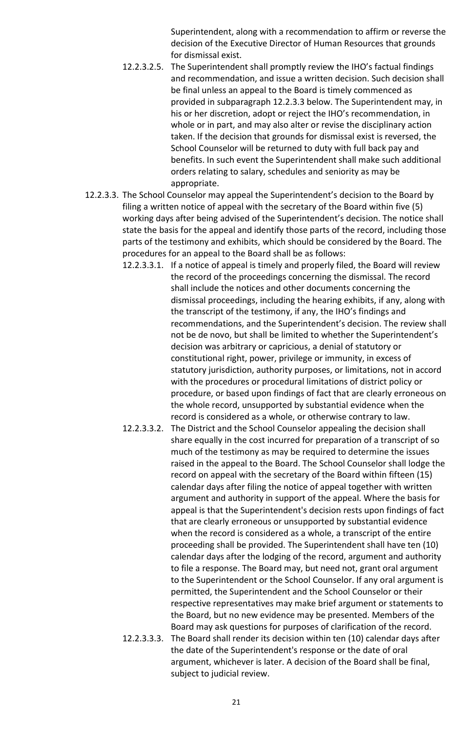Superintendent, along with a recommendation to affirm or reverse the decision of the Executive Director of Human Resources that grounds for dismissal exist.

- 12.2.3.2.5. The Superintendent shall promptly review the IHO's factual findings and recommendation, and issue a written decision. Such decision shall be final unless an appeal to the Board is timely commenced as provided in subparagraph 12.2.3.3 below. The Superintendent may, in his or her discretion, adopt or reject the IHO's recommendation, in whole or in part, and may also alter or revise the disciplinary action taken. If the decision that grounds for dismissal exist is reversed, the School Counselor will be returned to duty with full back pay and benefits. In such event the Superintendent shall make such additional orders relating to salary, schedules and seniority as may be appropriate.
- 12.2.3.3. The School Counselor may appeal the Superintendent's decision to the Board by filing a written notice of appeal with the secretary of the Board within five (5) working days after being advised of the Superintendent's decision. The notice shall state the basis for the appeal and identify those parts of the record, including those parts of the testimony and exhibits, which should be considered by the Board. The procedures for an appeal to the Board shall be as follows:
	- 12.2.3.3.1. If a notice of appeal is timely and properly filed, the Board will review the record of the proceedings concerning the dismissal. The record shall include the notices and other documents concerning the dismissal proceedings, including the hearing exhibits, if any, along with the transcript of the testimony, if any, the IHO's findings and recommendations, and the Superintendent's decision. The review shall not be de novo, but shall be limited to whether the Superintendent's decision was arbitrary or capricious, a denial of statutory or constitutional right, power, privilege or immunity, in excess of statutory jurisdiction, authority purposes, or limitations, not in accord with the procedures or procedural limitations of district policy or procedure, or based upon findings of fact that are clearly erroneous on the whole record, unsupported by substantial evidence when the record is considered as a whole, or otherwise contrary to law.
	- 12.2.3.3.2. The District and the School Counselor appealing the decision shall share equally in the cost incurred for preparation of a transcript of so much of the testimony as may be required to determine the issues raised in the appeal to the Board. The School Counselor shall lodge the record on appeal with the secretary of the Board within fifteen (15) calendar days after filing the notice of appeal together with written argument and authority in support of the appeal. Where the basis for appeal is that the Superintendent's decision rests upon findings of fact that are clearly erroneous or unsupported by substantial evidence when the record is considered as a whole, a transcript of the entire proceeding shall be provided. The Superintendent shall have ten (10) calendar days after the lodging of the record, argument and authority to file a response. The Board may, but need not, grant oral argument to the Superintendent or the School Counselor. If any oral argument is permitted, the Superintendent and the School Counselor or their respective representatives may make brief argument or statements to the Board, but no new evidence may be presented. Members of the Board may ask questions for purposes of clarification of the record.
	- 12.2.3.3.3. The Board shall render its decision within ten (10) calendar days after the date of the Superintendent's response or the date of oral argument, whichever is later. A decision of the Board shall be final, subject to judicial review.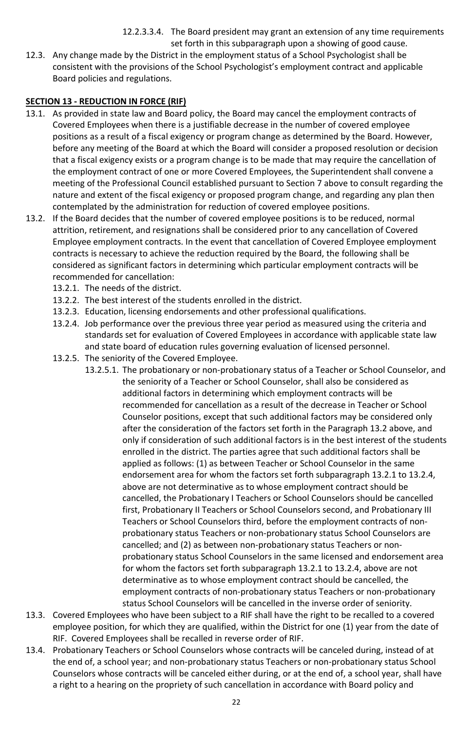12.2.3.3.4. The Board president may grant an extension of any time requirements set forth in this subparagraph upon a showing of good cause.

12.3. Any change made by the District in the employment status of a School Psychologist shall be consistent with the provisions of the School Psychologist's employment contract and applicable Board policies and regulations.

# <span id="page-22-0"></span>**SECTION 13 - REDUCTION IN FORCE (RIF)**

- 13.1. As provided in state law and Board policy, the Board may cancel the employment contracts of Covered Employees when there is a justifiable decrease in the number of covered employee positions as a result of a fiscal exigency or program change as determined by the Board. However, before any meeting of the Board at which the Board will consider a proposed resolution or decision that a fiscal exigency exists or a program change is to be made that may require the cancellation of the employment contract of one or more Covered Employees, the Superintendent shall convene a meeting of the Professional Council established pursuant to Section 7 above to consult regarding the nature and extent of the fiscal exigency or proposed program change, and regarding any plan then contemplated by the administration for reduction of covered employee positions.
- 13.2. If the Board decides that the number of covered employee positions is to be reduced, normal attrition, retirement, and resignations shall be considered prior to any cancellation of Covered Employee employment contracts. In the event that cancellation of Covered Employee employment contracts is necessary to achieve the reduction required by the Board, the following shall be considered as significant factors in determining which particular employment contracts will be recommended for cancellation:
	- 13.2.1. The needs of the district.
	- 13.2.2. The best interest of the students enrolled in the district.
	- 13.2.3. Education, licensing endorsements and other professional qualifications.
	- 13.2.4. Job performance over the previous three year period as measured using the criteria and standards set for evaluation of Covered Employees in accordance with applicable state law and state board of education rules governing evaluation of licensed personnel.
	- 13.2.5. The seniority of the Covered Employee.
		- 13.2.5.1. The probationary or non-probationary status of a Teacher or School Counselor, and the seniority of a Teacher or School Counselor, shall also be considered as additional factors in determining which employment contracts will be recommended for cancellation as a result of the decrease in Teacher or School Counselor positions, except that such additional factors may be considered only after the consideration of the factors set forth in the Paragraph 13.2 above, and only if consideration of such additional factors is in the best interest of the students enrolled in the district. The parties agree that such additional factors shall be applied as follows: (1) as between Teacher or School Counselor in the same endorsement area for whom the factors set forth subparagraph 13.2.1 to 13.2.4, above are not determinative as to whose employment contract should be cancelled, the Probationary I Teachers or School Counselors should be cancelled first, Probationary II Teachers or School Counselors second, and Probationary III Teachers or School Counselors third, before the employment contracts of nonprobationary status Teachers or non-probationary status School Counselors are cancelled; and (2) as between non-probationary status Teachers or nonprobationary status School Counselors in the same licensed and endorsement area for whom the factors set forth subparagraph 13.2.1 to 13.2.4, above are not determinative as to whose employment contract should be cancelled, the employment contracts of non-probationary status Teachers or non-probationary status School Counselors will be cancelled in the inverse order of seniority.
- 13.3. Covered Employees who have been subject to a RIF shall have the right to be recalled to a covered employee position, for which they are qualified, within the District for one (1) year from the date of RIF. Covered Employees shall be recalled in reverse order of RIF.
- 13.4. Probationary Teachers or School Counselors whose contracts will be canceled during, instead of at the end of, a school year; and non-probationary status Teachers or non-probationary status School Counselors whose contracts will be canceled either during, or at the end of, a school year, shall have a right to a hearing on the propriety of such cancellation in accordance with Board policy and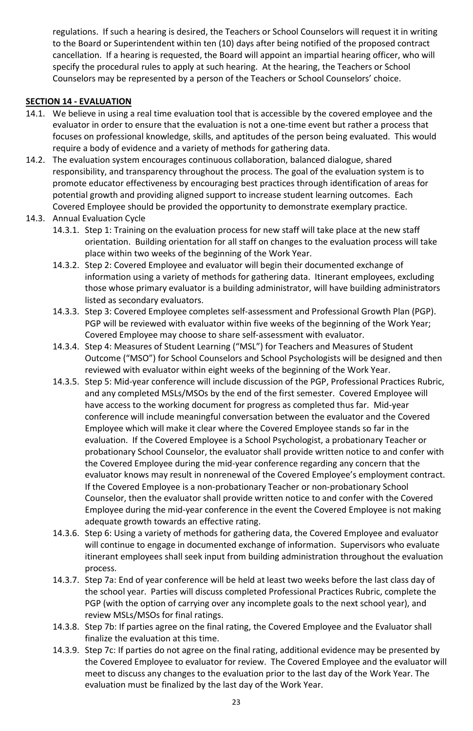regulations. If such a hearing is desired, the Teachers or School Counselors will request it in writing to the Board or Superintendent within ten (10) days after being notified of the proposed contract cancellation. If a hearing is requested, the Board will appoint an impartial hearing officer, who will specify the procedural rules to apply at such hearing. At the hearing, the Teachers or School Counselors may be represented by a person of the Teachers or School Counselors' choice.

# <span id="page-23-0"></span>**SECTION 14 - EVALUATION**

- 14.1. We believe in using a real time evaluation tool that is accessible by the covered employee and the evaluator in order to ensure that the evaluation is not a one-time event but rather a process that focuses on professional knowledge, skills, and aptitudes of the person being evaluated. This would require a body of evidence and a variety of methods for gathering data.
- 14.2. The evaluation system encourages continuous collaboration, balanced dialogue, shared responsibility, and transparency throughout the process. The goal of the evaluation system is to promote educator effectiveness by encouraging best practices through identification of areas for potential growth and providing aligned support to increase student learning outcomes. Each Covered Employee should be provided the opportunity to demonstrate exemplary practice.
- 14.3. Annual Evaluation Cycle
	- 14.3.1. Step 1: Training on the evaluation process for new staff will take place at the new staff orientation. Building orientation for all staff on changes to the evaluation process will take place within two weeks of the beginning of the Work Year.
	- 14.3.2. Step 2: Covered Employee and evaluator will begin their documented exchange of information using a variety of methods for gathering data. Itinerant employees, excluding those whose primary evaluator is a building administrator, will have building administrators listed as secondary evaluators.
	- 14.3.3. Step 3: Covered Employee completes self-assessment and Professional Growth Plan (PGP). PGP will be reviewed with evaluator within five weeks of the beginning of the Work Year; Covered Employee may choose to share self-assessment with evaluator.
	- 14.3.4. Step 4: Measures of Student Learning ("MSL") for Teachers and Measures of Student Outcome ("MSO") for School Counselors and School Psychologists will be designed and then reviewed with evaluator within eight weeks of the beginning of the Work Year.
	- 14.3.5. Step 5: Mid-year conference will include discussion of the PGP, Professional Practices Rubric, and any completed MSLs/MSOs by the end of the first semester. Covered Employee will have access to the working document for progress as completed thus far. Mid-year conference will include meaningful conversation between the evaluator and the Covered Employee which will make it clear where the Covered Employee stands so far in the evaluation. If the Covered Employee is a School Psychologist, a probationary Teacher or probationary School Counselor, the evaluator shall provide written notice to and confer with the Covered Employee during the mid-year conference regarding any concern that the evaluator knows may result in nonrenewal of the Covered Employee's employment contract. If the Covered Employee is a non-probationary Teacher or non-probationary School Counselor, then the evaluator shall provide written notice to and confer with the Covered Employee during the mid-year conference in the event the Covered Employee is not making adequate growth towards an effective rating.
	- 14.3.6. Step 6: Using a variety of methods for gathering data, the Covered Employee and evaluator will continue to engage in documented exchange of information. Supervisors who evaluate itinerant employees shall seek input from building administration throughout the evaluation process.
	- 14.3.7. Step 7a: End of year conference will be held at least two weeks before the last class day of the school year. Parties will discuss completed Professional Practices Rubric, complete the PGP (with the option of carrying over any incomplete goals to the next school year), and review MSLs/MSOs for final ratings.
	- 14.3.8. Step 7b: If parties agree on the final rating, the Covered Employee and the Evaluator shall finalize the evaluation at this time.
	- 14.3.9. Step 7c: If parties do not agree on the final rating, additional evidence may be presented by the Covered Employee to evaluator for review. The Covered Employee and the evaluator will meet to discuss any changes to the evaluation prior to the last day of the Work Year. The evaluation must be finalized by the last day of the Work Year.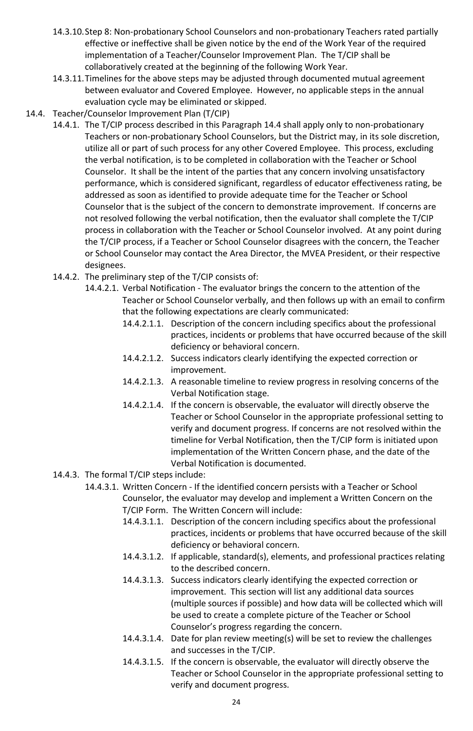- 14.3.10.Step 8: Non-probationary School Counselors and non-probationary Teachers rated partially effective or ineffective shall be given notice by the end of the Work Year of the required implementation of a Teacher/Counselor Improvement Plan. The T/CIP shall be collaboratively created at the beginning of the following Work Year.
- 14.3.11.Timelines for the above steps may be adjusted through documented mutual agreement between evaluator and Covered Employee. However, no applicable steps in the annual evaluation cycle may be eliminated or skipped.
- 14.4. Teacher/Counselor Improvement Plan (T/CIP)
	- 14.4.1. The T/CIP process described in this Paragraph 14.4 shall apply only to non-probationary Teachers or non-probationary School Counselors, but the District may, in its sole discretion, utilize all or part of such process for any other Covered Employee. This process, excluding the verbal notification, is to be completed in collaboration with the Teacher or School Counselor. It shall be the intent of the parties that any concern involving unsatisfactory performance, which is considered significant, regardless of educator effectiveness rating, be addressed as soon as identified to provide adequate time for the Teacher or School Counselor that is the subject of the concern to demonstrate improvement. If concerns are not resolved following the verbal notification, then the evaluator shall complete the T/CIP process in collaboration with the Teacher or School Counselor involved. At any point during the T/CIP process, if a Teacher or School Counselor disagrees with the concern, the Teacher or School Counselor may contact the Area Director, the MVEA President, or their respective designees.
	- 14.4.2. The preliminary step of the T/CIP consists of:
		- 14.4.2.1. Verbal Notification The evaluator brings the concern to the attention of the Teacher or School Counselor verbally, and then follows up with an email to confirm that the following expectations are clearly communicated:
			- 14.4.2.1.1. Description of the concern including specifics about the professional practices, incidents or problems that have occurred because of the skill deficiency or behavioral concern.
			- 14.4.2.1.2. Success indicators clearly identifying the expected correction or improvement.
			- 14.4.2.1.3. A reasonable timeline to review progress in resolving concerns of the Verbal Notification stage.
			- 14.4.2.1.4. If the concern is observable, the evaluator will directly observe the Teacher or School Counselor in the appropriate professional setting to verify and document progress. If concerns are not resolved within the timeline for Verbal Notification, then the T/CIP form is initiated upon implementation of the Written Concern phase, and the date of the Verbal Notification is documented.
	- 14.4.3. The formal T/CIP steps include:
		- 14.4.3.1. Written Concern If the identified concern persists with a Teacher or School Counselor, the evaluator may develop and implement a Written Concern on the T/CIP Form. The Written Concern will include:
			- 14.4.3.1.1. Description of the concern including specifics about the professional practices, incidents or problems that have occurred because of the skill deficiency or behavioral concern.
			- 14.4.3.1.2. If applicable, standard(s), elements, and professional practices relating to the described concern.
			- 14.4.3.1.3. Success indicators clearly identifying the expected correction or improvement. This section will list any additional data sources (multiple sources if possible) and how data will be collected which will be used to create a complete picture of the Teacher or School Counselor's progress regarding the concern.
			- 14.4.3.1.4. Date for plan review meeting(s) will be set to review the challenges and successes in the T/CIP.
			- 14.4.3.1.5. If the concern is observable, the evaluator will directly observe the Teacher or School Counselor in the appropriate professional setting to verify and document progress.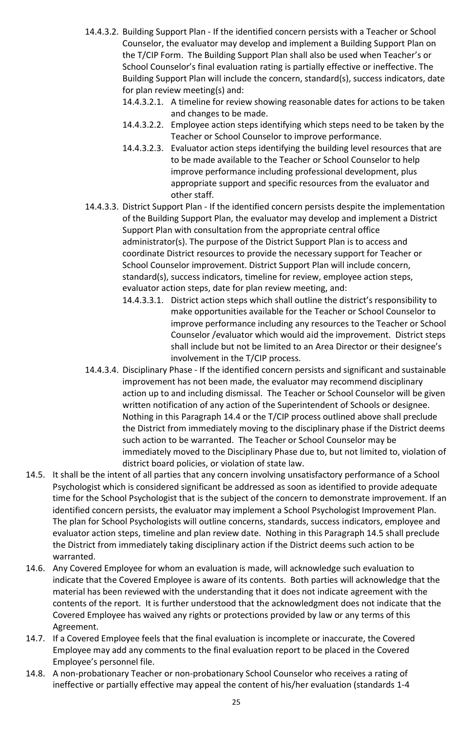- 14.4.3.2. Building Support Plan If the identified concern persists with a Teacher or School Counselor, the evaluator may develop and implement a Building Support Plan on the T/CIP Form. The Building Support Plan shall also be used when Teacher's or School Counselor's final evaluation rating is partially effective or ineffective. The Building Support Plan will include the concern, standard(s), success indicators, date for plan review meeting(s) and:
	- 14.4.3.2.1. A timeline for review showing reasonable dates for actions to be taken and changes to be made.
	- 14.4.3.2.2. Employee action steps identifying which steps need to be taken by the Teacher or School Counselor to improve performance.
	- 14.4.3.2.3. Evaluator action steps identifying the building level resources that are to be made available to the Teacher or School Counselor to help improve performance including professional development, plus appropriate support and specific resources from the evaluator and other staff.
- 14.4.3.3. District Support Plan If the identified concern persists despite the implementation of the Building Support Plan, the evaluator may develop and implement a District Support Plan with consultation from the appropriate central office administrator(s). The purpose of the District Support Plan is to access and coordinate District resources to provide the necessary support for Teacher or School Counselor improvement. District Support Plan will include concern, standard(s), success indicators, timeline for review, employee action steps, evaluator action steps, date for plan review meeting, and:
	- 14.4.3.3.1. District action steps which shall outline the district's responsibility to make opportunities available for the Teacher or School Counselor to improve performance including any resources to the Teacher or School Counselor /evaluator which would aid the improvement. District steps shall include but not be limited to an Area Director or their designee's involvement in the T/CIP process.
- 14.4.3.4. Disciplinary Phase If the identified concern persists and significant and sustainable improvement has not been made, the evaluator may recommend disciplinary action up to and including dismissal. The Teacher or School Counselor will be given written notification of any action of the Superintendent of Schools or designee. Nothing in this Paragraph 14.4 or the T/CIP process outlined above shall preclude the District from immediately moving to the disciplinary phase if the District deems such action to be warranted. The Teacher or School Counselor may be immediately moved to the Disciplinary Phase due to, but not limited to, violation of district board policies, or violation of state law.
- 14.5. It shall be the intent of all parties that any concern involving unsatisfactory performance of a School Psychologist which is considered significant be addressed as soon as identified to provide adequate time for the School Psychologist that is the subject of the concern to demonstrate improvement. If an identified concern persists, the evaluator may implement a School Psychologist Improvement Plan. The plan for School Psychologists will outline concerns, standards, success indicators, employee and evaluator action steps, timeline and plan review date. Nothing in this Paragraph 14.5 shall preclude the District from immediately taking disciplinary action if the District deems such action to be warranted.
- 14.6. Any Covered Employee for whom an evaluation is made, will acknowledge such evaluation to indicate that the Covered Employee is aware of its contents. Both parties will acknowledge that the material has been reviewed with the understanding that it does not indicate agreement with the contents of the report. It is further understood that the acknowledgment does not indicate that the Covered Employee has waived any rights or protections provided by law or any terms of this Agreement.
- 14.7. If a Covered Employee feels that the final evaluation is incomplete or inaccurate, the Covered Employee may add any comments to the final evaluation report to be placed in the Covered Employee's personnel file.
- 14.8. A non-probationary Teacher or non-probationary School Counselor who receives a rating of ineffective or partially effective may appeal the content of his/her evaluation (standards 1-4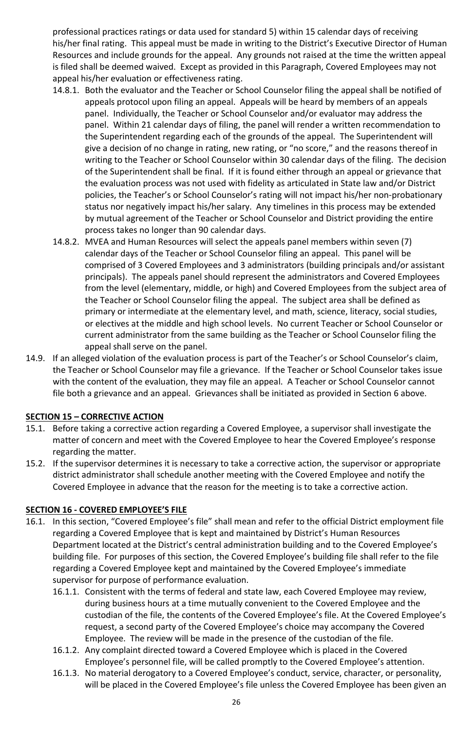professional practices ratings or data used for standard 5) within 15 calendar days of receiving his/her final rating. This appeal must be made in writing to the District's Executive Director of Human Resources and include grounds for the appeal. Any grounds not raised at the time the written appeal is filed shall be deemed waived. Except as provided in this Paragraph, Covered Employees may not appeal his/her evaluation or effectiveness rating.

- 14.8.1. Both the evaluator and the Teacher or School Counselor filing the appeal shall be notified of appeals protocol upon filing an appeal. Appeals will be heard by members of an appeals panel. Individually, the Teacher or School Counselor and/or evaluator may address the panel. Within 21 calendar days of filing, the panel will render a written recommendation to the Superintendent regarding each of the grounds of the appeal. The Superintendent will give a decision of no change in rating, new rating, or "no score," and the reasons thereof in writing to the Teacher or School Counselor within 30 calendar days of the filing. The decision of the Superintendent shall be final. If it is found either through an appeal or grievance that the evaluation process was not used with fidelity as articulated in State law and/or District policies, the Teacher's or School Counselor's rating will not impact his/her non-probationary status nor negatively impact his/her salary. Any timelines in this process may be extended by mutual agreement of the Teacher or School Counselor and District providing the entire process takes no longer than 90 calendar days.
- 14.8.2. MVEA and Human Resources will select the appeals panel members within seven (7) calendar days of the Teacher or School Counselor filing an appeal. This panel will be comprised of 3 Covered Employees and 3 administrators (building principals and/or assistant principals). The appeals panel should represent the administrators and Covered Employees from the level (elementary, middle, or high) and Covered Employees from the subject area of the Teacher or School Counselor filing the appeal. The subject area shall be defined as primary or intermediate at the elementary level, and math, science, literacy, social studies, or electives at the middle and high school levels. No current Teacher or School Counselor or current administrator from the same building as the Teacher or School Counselor filing the appeal shall serve on the panel.
- 14.9. If an alleged violation of the evaluation process is part of the Teacher's or School Counselor's claim, the Teacher or School Counselor may file a grievance. If the Teacher or School Counselor takes issue with the content of the evaluation, they may file an appeal. A Teacher or School Counselor cannot file both a grievance and an appeal. Grievances shall be initiated as provided in Section 6 above.

# <span id="page-26-0"></span>**SECTION 15 – CORRECTIVE ACTION**

- 15.1. Before taking a corrective action regarding a Covered Employee, a supervisor shall investigate the matter of concern and meet with the Covered Employee to hear the Covered Employee's response regarding the matter.
- 15.2. If the supervisor determines it is necessary to take a corrective action, the supervisor or appropriate district administrator shall schedule another meeting with the Covered Employee and notify the Covered Employee in advance that the reason for the meeting is to take a corrective action.

# <span id="page-26-1"></span>**SECTION 16 - COVERED EMPLOYEE'S FILE**

- 16.1. In this section, "Covered Employee's file" shall mean and refer to the official District employment file regarding a Covered Employee that is kept and maintained by District's Human Resources Department located at the District's central administration building and to the Covered Employee's building file. For purposes of this section, the Covered Employee's building file shall refer to the file regarding a Covered Employee kept and maintained by the Covered Employee's immediate supervisor for purpose of performance evaluation.
	- 16.1.1. Consistent with the terms of federal and state law, each Covered Employee may review, during business hours at a time mutually convenient to the Covered Employee and the custodian of the file, the contents of the Covered Employee's file. At the Covered Employee's request, a second party of the Covered Employee's choice may accompany the Covered Employee. The review will be made in the presence of the custodian of the file.
	- 16.1.2. Any complaint directed toward a Covered Employee which is placed in the Covered Employee's personnel file, will be called promptly to the Covered Employee's attention.
	- 16.1.3. No material derogatory to a Covered Employee's conduct, service, character, or personality, will be placed in the Covered Employee's file unless the Covered Employee has been given an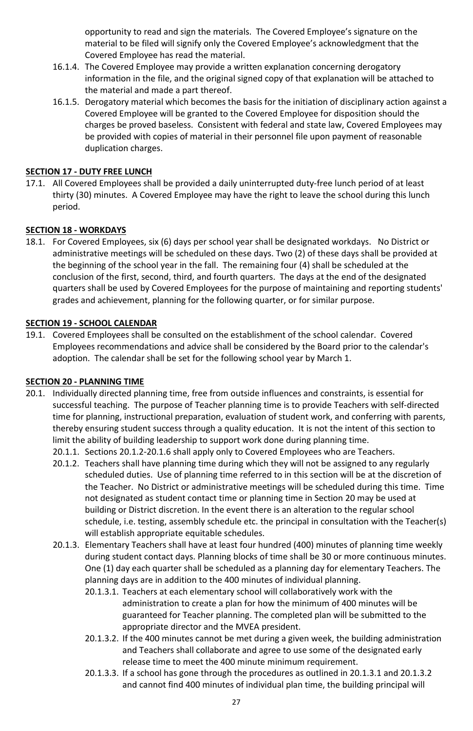opportunity to read and sign the materials. The Covered Employee's signature on the material to be filed will signify only the Covered Employee's acknowledgment that the Covered Employee has read the material.

- 16.1.4. The Covered Employee may provide a written explanation concerning derogatory information in the file, and the original signed copy of that explanation will be attached to the material and made a part thereof.
- 16.1.5. Derogatory material which becomes the basis for the initiation of disciplinary action against a Covered Employee will be granted to the Covered Employee for disposition should the charges be proved baseless. Consistent with federal and state law, Covered Employees may be provided with copies of material in their personnel file upon payment of reasonable duplication charges.

# <span id="page-27-0"></span>**SECTION 17 - DUTY FREE LUNCH**

17.1. All Covered Employees shall be provided a daily uninterrupted duty-free lunch period of at least thirty (30) minutes. A Covered Employee may have the right to leave the school during this lunch period.

# <span id="page-27-1"></span>**SECTION 18 - WORKDAYS**

18.1. For Covered Employees, six (6) days per school year shall be designated workdays. No District or administrative meetings will be scheduled on these days. Two (2) of these days shall be provided at the beginning of the school year in the fall. The remaining four (4) shall be scheduled at the conclusion of the first, second, third, and fourth quarters. The days at the end of the designated quarters shall be used by Covered Employees for the purpose of maintaining and reporting students' grades and achievement, planning for the following quarter, or for similar purpose.

# <span id="page-27-2"></span>**SECTION 19 - SCHOOL CALENDAR**

19.1. Covered Employees shall be consulted on the establishment of the school calendar. Covered Employees recommendations and advice shall be considered by the Board prior to the calendar's adoption. The calendar shall be set for the following school year by March 1.

# <span id="page-27-3"></span>**SECTION 20 - PLANNING TIME**

- 20.1. Individually directed planning time, free from outside influences and constraints, is essential for successful teaching. The purpose of Teacher planning time is to provide Teachers with self-directed time for planning, instructional preparation, evaluation of student work, and conferring with parents, thereby ensuring student success through a quality education. It is not the intent of this section to limit the ability of building leadership to support work done during planning time.
	- 20.1.1. Sections 20.1.2-20.1.6 shall apply only to Covered Employees who are Teachers.
	- 20.1.2. Teachers shall have planning time during which they will not be assigned to any regularly scheduled duties. Use of planning time referred to in this section will be at the discretion of the Teacher. No District or administrative meetings will be scheduled during this time. Time not designated as student contact time or planning time in Section 20 may be used at building or District discretion. In the event there is an alteration to the regular school schedule, i.e. testing, assembly schedule etc. the principal in consultation with the Teacher(s) will establish appropriate equitable schedules.
	- 20.1.3. Elementary Teachers shall have at least four hundred (400) minutes of planning time weekly during student contact days. Planning blocks of time shall be 30 or more continuous minutes. One (1) day each quarter shall be scheduled as a planning day for elementary Teachers. The planning days are in addition to the 400 minutes of individual planning.
		- 20.1.3.1. Teachers at each elementary school will collaboratively work with the administration to create a plan for how the minimum of 400 minutes will be guaranteed for Teacher planning. The completed plan will be submitted to the appropriate director and the MVEA president.
		- 20.1.3.2. If the 400 minutes cannot be met during a given week, the building administration and Teachers shall collaborate and agree to use some of the designated early release time to meet the 400 minute minimum requirement.
		- 20.1.3.3. If a school has gone through the procedures as outlined in 20.1.3.1 and 20.1.3.2 and cannot find 400 minutes of individual plan time, the building principal will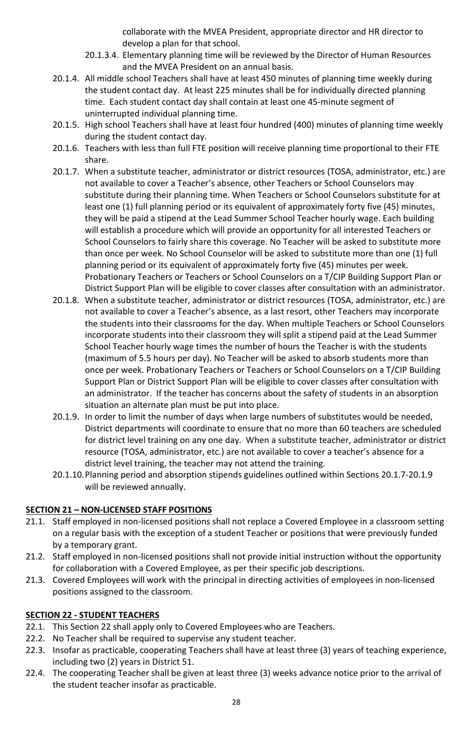collaborate with the MVEA President, appropriate director and HR director to develop a plan for that school.

- 20.1.3.4. Elementary planning time will be reviewed by the Director of Human Resources and the MVEA President on an annual basis.
- 20.1.4. All middle school Teachers shall have at least 450 minutes of planning time weekly during the student contact day. At least 225 minutes shall be for individually directed planning time. Each student contact day shall contain at least one 45-minute segment of uninterrupted individual planning time.
- 20.1.5. High school Teachers shall have at least four hundred (400) minutes of planning time weekly during the student contact day.
- 20.1.6. Teachers with less than full FTE position will receive planning time proportional to their FTE share.
- 20.1.7. When a substitute teacher, administrator or district resources (TOSA, administrator, etc.) are not available to cover a Teacher's absence, other Teachers or School Counselors may substitute during their planning time. When Teachers or School Counselors substitute for at least one (1) full planning period or its equivalent of approximately forty five (45) minutes, they will be paid a stipend at the Lead Summer School Teacher hourly wage. Each building will establish a procedure which will provide an opportunity for all interested Teachers or School Counselors to fairly share this coverage. No Teacher will be asked to substitute more than once per week. No School Counselor will be asked to substitute more than one (1) full planning period or its equivalent of approximately forty five (45) minutes per week. Probationary Teachers or Teachers or School Counselors on a T/CIP Building Support Plan or District Support Plan will be eligible to cover classes after consultation with an administrator.
- 20.1.8. When a substitute teacher, administrator or district resources (TOSA, administrator, etc.) are not available to cover a Teacher's absence, as a last resort, other Teachers may incorporate the students into their classrooms for the day. When multiple Teachers or School Counselors incorporate students into their classroom they will split a stipend paid at the Lead Summer School Teacher hourly wage times the number of hours the Teacher is with the students (maximum of 5.5 hours per day). No Teacher will be asked to absorb students more than once per week. Probationary Teachers or Teachers or School Counselors on a T/CIP Building Support Plan or District Support Plan will be eligible to cover classes after consultation with an administrator. If the teacher has concerns about the safety of students in an absorption situation an alternate plan must be put into place.
- 20.1.9. In order to limit the number of days when large numbers of substitutes would be needed, District departments will coordinate to ensure that no more than 60 teachers are scheduled for district level training on any one day. When a substitute teacher, administrator or district resource (TOSA, administrator, etc.) are not available to cover a teacher's absence for a district level training, the teacher may not attend the training.
- 20.1.10.Planning period and absorption stipends guidelines outlined within Sections 20.1.7-20.1.9 will be reviewed annually.

# <span id="page-28-0"></span>**SECTION 21 – NON-LICENSED STAFF POSITIONS**

- 21.1. Staff employed in non-licensed positions shall not replace a Covered Employee in a classroom setting on a regular basis with the exception of a student Teacher or positions that were previously funded by a temporary grant.
- 21.2. Staff employed in non-licensed positions shall not provide initial instruction without the opportunity for collaboration with a Covered Employee, as per their specific job descriptions.
- 21.3. Covered Employees will work with the principal in directing activities of employees in non-licensed positions assigned to the classroom.

# <span id="page-28-1"></span>**SECTION 22 - STUDENT TEACHERS**

- 22.1. This Section 22 shall apply only to Covered Employees who are Teachers.
- 22.2. No Teacher shall be required to supervise any student teacher.
- 22.3. Insofar as practicable, cooperating Teachers shall have at least three (3) years of teaching experience, including two (2) years in District 51.
- 22.4. The cooperating Teacher shall be given at least three (3) weeks advance notice prior to the arrival of the student teacher insofar as practicable.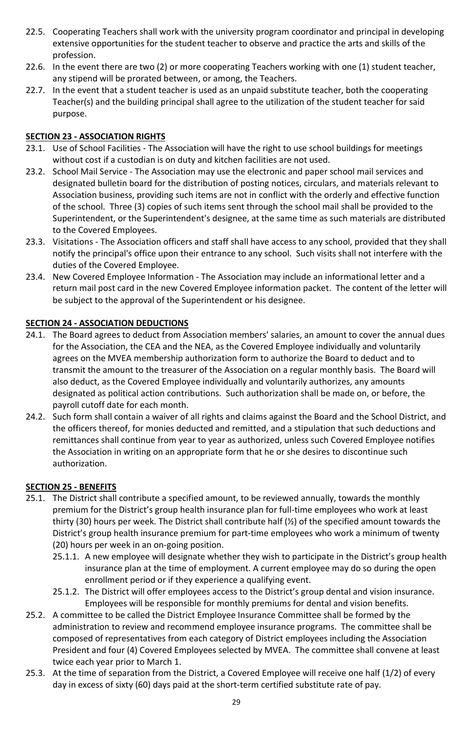- 22.5. Cooperating Teachers shall work with the university program coordinator and principal in developing extensive opportunities for the student teacher to observe and practice the arts and skills of the profession.
- 22.6. In the event there are two (2) or more cooperating Teachers working with one (1) student teacher, any stipend will be prorated between, or among, the Teachers.
- 22.7. In the event that a student teacher is used as an unpaid substitute teacher, both the cooperating Teacher(s) and the building principal shall agree to the utilization of the student teacher for said purpose.

# <span id="page-29-0"></span>**SECTION 23 - ASSOCIATION RIGHTS**

- 23.1. Use of School Facilities The Association will have the right to use school buildings for meetings without cost if a custodian is on duty and kitchen facilities are not used.
- 23.2. School Mail Service The Association may use the electronic and paper school mail services and designated bulletin board for the distribution of posting notices, circulars, and materials relevant to Association business, providing such items are not in conflict with the orderly and effective function of the school. Three (3) copies of such items sent through the school mail shall be provided to the Superintendent, or the Superintendent's designee, at the same time as such materials are distributed to the Covered Employees.
- 23.3. Visitations The Association officers and staff shall have access to any school, provided that they shall notify the principal's office upon their entrance to any school. Such visits shall not interfere with the duties of the Covered Employee.
- 23.4. New Covered Employee Information The Association may include an informational letter and a return mail post card in the new Covered Employee information packet. The content of the letter will be subject to the approval of the Superintendent or his designee.

# <span id="page-29-1"></span>**SECTION 24 - ASSOCIATION DEDUCTIONS**

- 24.1. The Board agrees to deduct from Association members' salaries, an amount to cover the annual dues for the Association, the CEA and the NEA, as the Covered Employee individually and voluntarily agrees on the MVEA membership authorization form to authorize the Board to deduct and to transmit the amount to the treasurer of the Association on a regular monthly basis. The Board will also deduct, as the Covered Employee individually and voluntarily authorizes, any amounts designated as political action contributions. Such authorization shall be made on, or before, the payroll cutoff date for each month.
- 24.2. Such form shall contain a waiver of all rights and claims against the Board and the School District, and the officers thereof, for monies deducted and remitted, and a stipulation that such deductions and remittances shall continue from year to year as authorized, unless such Covered Employee notifies the Association in writing on an appropriate form that he or she desires to discontinue such authorization.

# <span id="page-29-2"></span>**SECTION 25 - BENEFITS**

- 25.1. The District shall contribute a specified amount, to be reviewed annually, towards the monthly premium for the District's group health insurance plan for full-time employees who work at least thirty (30) hours per week. The District shall contribute half (½) of the specified amount towards the District's group health insurance premium for part-time employees who work a minimum of twenty (20) hours per week in an on-going position.
	- 25.1.1. A new employee will designate whether they wish to participate in the District's group health insurance plan at the time of employment. A current employee may do so during the open enrollment period or if they experience a qualifying event.
	- 25.1.2. The District will offer employees access to the District's group dental and vision insurance. Employees will be responsible for monthly premiums for dental and vision benefits.
- 25.2. A committee to be called the District Employee Insurance Committee shall be formed by the administration to review and recommend employee insurance programs. The committee shall be composed of representatives from each category of District employees including the Association President and four (4) Covered Employees selected by MVEA. The committee shall convene at least twice each year prior to March 1.
- 25.3. At the time of separation from the District, a Covered Employee will receive one half (1/2) of every day in excess of sixty (60) days paid at the short-term certified substitute rate of pay.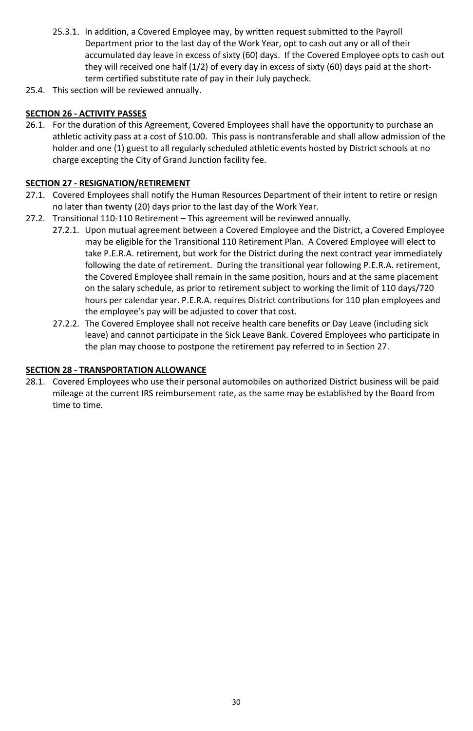- 25.3.1. In addition, a Covered Employee may, by written request submitted to the Payroll Department prior to the last day of the Work Year, opt to cash out any or all of their accumulated day leave in excess of sixty (60) days. If the Covered Employee opts to cash out they will received one half (1/2) of every day in excess of sixty (60) days paid at the shortterm certified substitute rate of pay in their July paycheck.
- 25.4. This section will be reviewed annually.

# <span id="page-30-0"></span>**SECTION 26 - ACTIVITY PASSES**

26.1. For the duration of this Agreement, Covered Employees shall have the opportunity to purchase an athletic activity pass at a cost of \$10.00. This pass is nontransferable and shall allow admission of the holder and one (1) guest to all regularly scheduled athletic events hosted by District schools at no charge excepting the City of Grand Junction facility fee.

# <span id="page-30-1"></span>**SECTION 27 - RESIGNATION/RETIREMENT**

- 27.1. Covered Employees shall notify the Human Resources Department of their intent to retire or resign no later than twenty (20) days prior to the last day of the Work Year.
- 27.2. Transitional 110-110 Retirement This agreement will be reviewed annually.
	- 27.2.1. Upon mutual agreement between a Covered Employee and the District, a Covered Employee may be eligible for the Transitional 110 Retirement Plan. A Covered Employee will elect to take P.E.R.A. retirement, but work for the District during the next contract year immediately following the date of retirement. During the transitional year following P.E.R.A. retirement, the Covered Employee shall remain in the same position, hours and at the same placement on the salary schedule, as prior to retirement subject to working the limit of 110 days/720 hours per calendar year. P.E.R.A. requires District contributions for 110 plan employees and the employee's pay will be adjusted to cover that cost.
	- 27.2.2. The Covered Employee shall not receive health care benefits or Day Leave (including sick leave) and cannot participate in the Sick Leave Bank. Covered Employees who participate in the plan may choose to postpone the retirement pay referred to in Section 27.

# <span id="page-30-2"></span>**SECTION 28 - TRANSPORTATION ALLOWANCE**

<span id="page-30-3"></span>28.1. Covered Employees who use their personal automobiles on authorized District business will be paid mileage at the current IRS reimbursement rate, as the same may be established by the Board from time to time.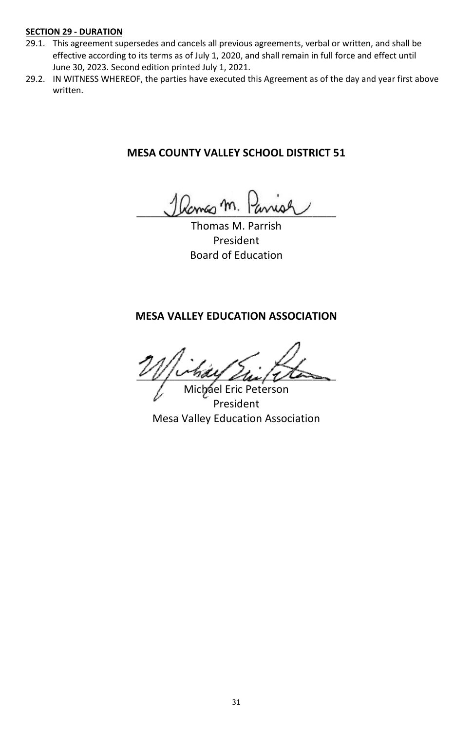# **SECTION 29 - DURATION**

- 29.1. This agreement supersedes and cancels all previous agreements, verbal or written, and shall be effective according to its terms as of July 1, 2020, and shall remain in full force and effect until June 30, 2023. Second edition printed July 1, 2021.
- 29.2. IN WITNESS WHEREOF, the parties have executed this Agreement as of the day and year first above written.

# **MESA COUNTY VALLEY SCHOOL DISTRICT 51**

Ramas m. Pa

Thomas M. Parrish President Board of Education

# **MESA VALLEY EDUCATION ASSOCIATION**

 $\mathscr{L}(\mathscr{L})$ Michael Eric Peterson

<span id="page-31-0"></span>President Mesa Valley Education Association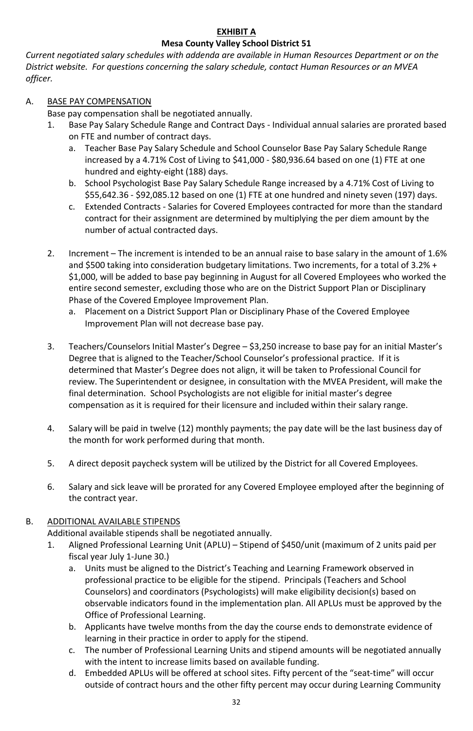# **EXHIBIT A Mesa County Valley School District 51**

*Current negotiated salary schedules with addenda are available in Human Resources Department or on the District website. For questions concerning the salary schedule, contact Human Resources or an MVEA officer.*

# A. BASE PAY COMPENSATION

Base pay compensation shall be negotiated annually.

- 1. Base Pay Salary Schedule Range and Contract Days Individual annual salaries are prorated based on FTE and number of contract days.
	- a. Teacher Base Pay Salary Schedule and School Counselor Base Pay Salary Schedule Range increased by a 4.71% Cost of Living to \$41,000 - \$80,936.64 based on one (1) FTE at one hundred and eighty-eight (188) days.
	- b. School Psychologist Base Pay Salary Schedule Range increased by a 4.71% Cost of Living to \$55,642.36 - \$92,085.12 based on one (1) FTE at one hundred and ninety seven (197) days.
	- c. Extended Contracts Salaries for Covered Employees contracted for more than the standard contract for their assignment are determined by multiplying the per diem amount by the number of actual contracted days.
- 2. Increment The increment is intended to be an annual raise to base salary in the amount of 1.6% and \$500 taking into consideration budgetary limitations. Two increments, for a total of 3.2% + \$1,000, will be added to base pay beginning in August for all Covered Employees who worked the entire second semester, excluding those who are on the District Support Plan or Disciplinary Phase of the Covered Employee Improvement Plan.
	- Placement on a District Support Plan or Disciplinary Phase of the Covered Employee Improvement Plan will not decrease base pay.
- 3. Teachers/Counselors Initial Master's Degree \$3,250 increase to base pay for an initial Master's Degree that is aligned to the Teacher/School Counselor's professional practice. If it is determined that Master's Degree does not align, it will be taken to Professional Council for review. The Superintendent or designee, in consultation with the MVEA President, will make the final determination. School Psychologists are not eligible for initial master's degree compensation as it is required for their licensure and included within their salary range.
- 4. Salary will be paid in twelve (12) monthly payments; the pay date will be the last business day of the month for work performed during that month.
- 5. A direct deposit paycheck system will be utilized by the District for all Covered Employees.
- 6. Salary and sick leave will be prorated for any Covered Employee employed after the beginning of the contract year.

# B. ADDITIONAL AVAILABLE STIPENDS

Additional available stipends shall be negotiated annually.

- 1. Aligned Professional Learning Unit (APLU) Stipend of \$450/unit (maximum of 2 units paid per fiscal year July 1-June 30.)
	- a. Units must be aligned to the District's Teaching and Learning Framework observed in professional practice to be eligible for the stipend. Principals (Teachers and School Counselors) and coordinators (Psychologists) will make eligibility decision(s) based on observable indicators found in the implementation plan. All APLUs must be approved by the Office of Professional Learning.
	- b. Applicants have twelve months from the day the course ends to demonstrate evidence of learning in their practice in order to apply for the stipend.
	- c. The number of Professional Learning Units and stipend amounts will be negotiated annually with the intent to increase limits based on available funding.
	- d. Embedded APLUs will be offered at school sites. Fifty percent of the "seat-time" will occur outside of contract hours and the other fifty percent may occur during Learning Community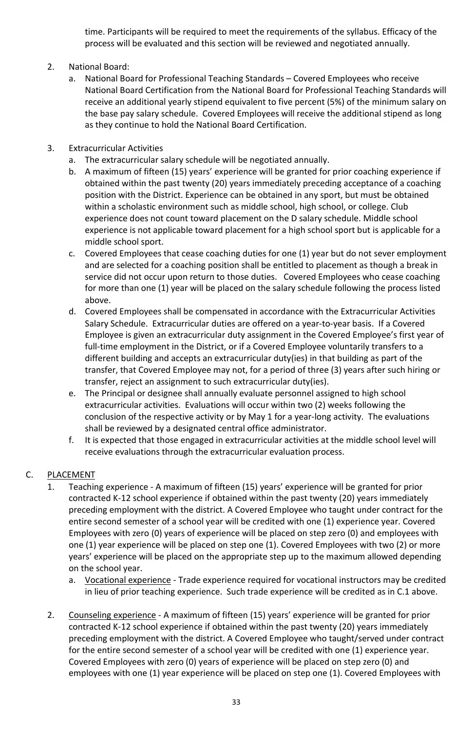time. Participants will be required to meet the requirements of the syllabus. Efficacy of the process will be evaluated and this section will be reviewed and negotiated annually.

- 2. National Board:
	- a. National Board for Professional Teaching Standards Covered Employees who receive National Board Certification from the National Board for Professional Teaching Standards will receive an additional yearly stipend equivalent to five percent (5%) of the minimum salary on the base pay salary schedule. Covered Employees will receive the additional stipend as long as they continue to hold the National Board Certification.
- 3. Extracurricular Activities
	- a. The extracurricular salary schedule will be negotiated annually.
	- b. A maximum of fifteen (15) years' experience will be granted for prior coaching experience if obtained within the past twenty (20) years immediately preceding acceptance of a coaching position with the District. Experience can be obtained in any sport, but must be obtained within a scholastic environment such as middle school, high school, or college. Club experience does not count toward placement on the D salary schedule. Middle school experience is not applicable toward placement for a high school sport but is applicable for a middle school sport.
	- c. Covered Employees that cease coaching duties for one (1) year but do not sever employment and are selected for a coaching position shall be entitled to placement as though a break in service did not occur upon return to those duties. Covered Employees who cease coaching for more than one (1) year will be placed on the salary schedule following the process listed above.
	- d. Covered Employees shall be compensated in accordance with the Extracurricular Activities Salary Schedule. Extracurricular duties are offered on a year-to-year basis. If a Covered Employee is given an extracurricular duty assignment in the Covered Employee's first year of full-time employment in the District, or if a Covered Employee voluntarily transfers to a different building and accepts an extracurricular duty(ies) in that building as part of the transfer, that Covered Employee may not, for a period of three (3) years after such hiring or transfer, reject an assignment to such extracurricular duty(ies).
	- e. The Principal or designee shall annually evaluate personnel assigned to high school extracurricular activities. Evaluations will occur within two (2) weeks following the conclusion of the respective activity or by May 1 for a year-long activity. The evaluations shall be reviewed by a designated central office administrator.
	- f. It is expected that those engaged in extracurricular activities at the middle school level will receive evaluations through the extracurricular evaluation process.

# C. PLACEMENT

- 1. Teaching experience A maximum of fifteen (15) years' experience will be granted for prior contracted K-12 school experience if obtained within the past twenty (20) years immediately preceding employment with the district. A Covered Employee who taught under contract for the entire second semester of a school year will be credited with one (1) experience year. Covered Employees with zero (0) years of experience will be placed on step zero (0) and employees with one (1) year experience will be placed on step one (1). Covered Employees with two (2) or more years' experience will be placed on the appropriate step up to the maximum allowed depending on the school year.
	- a. Vocational experience Trade experience required for vocational instructors may be credited in lieu of prior teaching experience. Such trade experience will be credited as in C.1 above.
- 2. Counseling experience A maximum of fifteen (15) years' experience will be granted for prior contracted K-12 school experience if obtained within the past twenty (20) years immediately preceding employment with the district. A Covered Employee who taught/served under contract for the entire second semester of a school year will be credited with one (1) experience year. Covered Employees with zero (0) years of experience will be placed on step zero (0) and employees with one (1) year experience will be placed on step one (1). Covered Employees with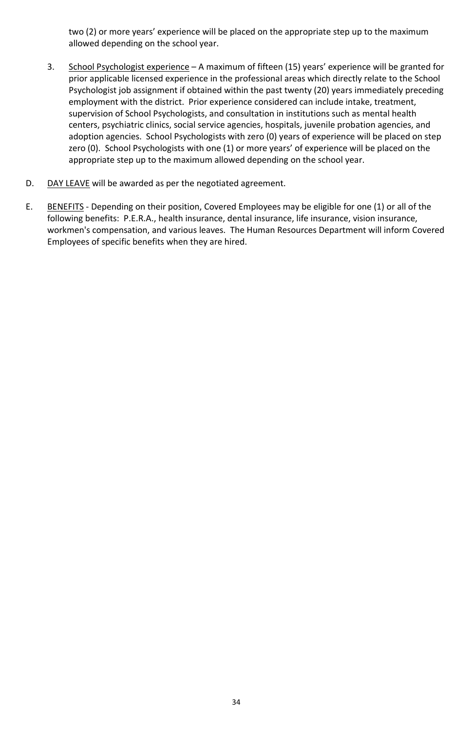two (2) or more years' experience will be placed on the appropriate step up to the maximum allowed depending on the school year.

- 3. School Psychologist experience A maximum of fifteen (15) years' experience will be granted for prior applicable licensed experience in the professional areas which directly relate to the School Psychologist job assignment if obtained within the past twenty (20) years immediately preceding employment with the district. Prior experience considered can include intake, treatment, supervision of School Psychologists, and consultation in institutions such as mental health centers, psychiatric clinics, social service agencies, hospitals, juvenile probation agencies, and adoption agencies. School Psychologists with zero (0) years of experience will be placed on step zero (0). School Psychologists with one (1) or more years' of experience will be placed on the appropriate step up to the maximum allowed depending on the school year.
- D. DAY LEAVE will be awarded as per the negotiated agreement.
- E. BENEFITS Depending on their position, Covered Employees may be eligible for one (1) or all of the following benefits: P.E.R.A., health insurance, dental insurance, life insurance, vision insurance, workmen's compensation, and various leaves. The Human Resources Department will inform Covered Employees of specific benefits when they are hired.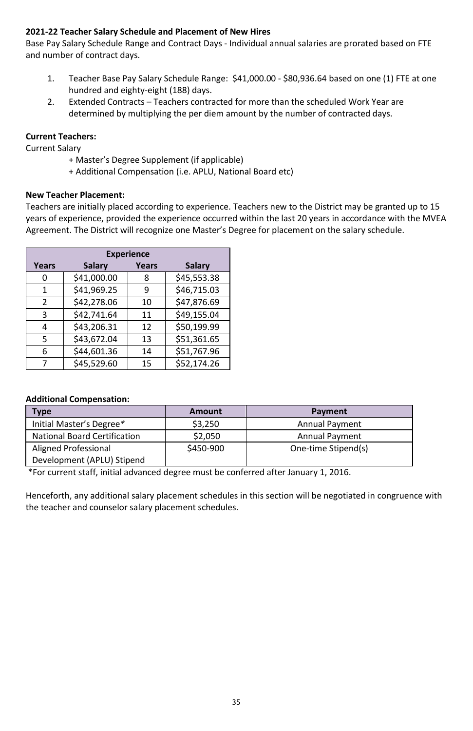# **2021-22 Teacher Salary Schedule and Placement of New Hires**

Base Pay Salary Schedule Range and Contract Days - Individual annual salaries are prorated based on FTE and number of contract days.

- 1. Teacher Base Pay Salary Schedule Range: \$41,000.00 \$80,936.64 based on one (1) FTE at one hundred and eighty-eight (188) days.
- 2. Extended Contracts Teachers contracted for more than the scheduled Work Year are determined by multiplying the per diem amount by the number of contracted days.

# **Current Teachers:**

Current Salary

- + Master's Degree Supplement (if applicable)
- + Additional Compensation (i.e. APLU, National Board etc)

# **New Teacher Placement:**

Teachers are initially placed according to experience. Teachers new to the District may be granted up to 15 years of experience, provided the experience occurred within the last 20 years in accordance with the MVEA Agreement. The District will recognize one Master's Degree for placement on the salary schedule.

|       |             | <b>Experience</b> |             |
|-------|-------------|-------------------|-------------|
| Years | Salary      | Years             | Salary      |
| 0     | \$41,000.00 | 8                 | \$45,553.38 |
| 1     | \$41,969.25 | 9                 | \$46,715.03 |
| 2     | \$42,278.06 | 10                | \$47,876.69 |
| 3     | \$42,741.64 | 11                | \$49,155.04 |
| 4     | \$43,206.31 | 12                | \$50.199.99 |
| 5     | \$43,672.04 | 13                | \$51,361.65 |
| 6     | \$44,601.36 | 14                | \$51,767.96 |
|       | \$45.529.60 | 15                | \$52,174.26 |

### **Additional Compensation:**

| <b>Type</b>                         | <b>Amount</b> | Payment               |
|-------------------------------------|---------------|-----------------------|
| Initial Master's Degree*            | \$3,250       | <b>Annual Payment</b> |
| <b>National Board Certification</b> | \$2.050       | <b>Annual Payment</b> |
| Aligned Professional                | \$450-900     | One-time Stipend(s)   |
| Development (APLU) Stipend          |               |                       |

\*For current staff, initial advanced degree must be conferred after January 1, 2016.

Henceforth, any additional salary placement schedules in this section will be negotiated in congruence with the teacher and counselor salary placement schedules.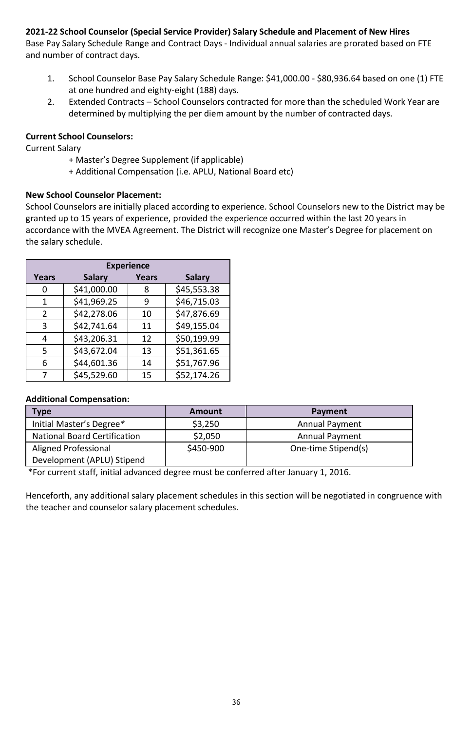# **2021-22 School Counselor (Special Service Provider) Salary Schedule and Placement of New Hires**

Base Pay Salary Schedule Range and Contract Days - Individual annual salaries are prorated based on FTE and number of contract days.

- 1. School Counselor Base Pay Salary Schedule Range: \$41,000.00 \$80,936.64 based on one (1) FTE at one hundred and eighty-eight (188) days.
- 2. Extended Contracts School Counselors contracted for more than the scheduled Work Year are determined by multiplying the per diem amount by the number of contracted days.

# **Current School Counselors:**

Current Salary

- + Master's Degree Supplement (if applicable)
- + Additional Compensation (i.e. APLU, National Board etc)

# **New School Counselor Placement:**

School Counselors are initially placed according to experience. School Counselors new to the District may be granted up to 15 years of experience, provided the experience occurred within the last 20 years in accordance with the MVEA Agreement. The District will recognize one Master's Degree for placement on the salary schedule.

|       |             | <b>Experience</b> |             |
|-------|-------------|-------------------|-------------|
| Years | Salary      | Years             | Salary      |
| O     | \$41,000.00 | 8                 | \$45,553.38 |
| 1     | \$41,969.25 | 9                 | \$46,715.03 |
| 2     | \$42,278.06 | 10                | \$47,876.69 |
| 3     | \$42,741.64 | 11                | \$49,155.04 |
| 4     | \$43,206.31 | 12                | \$50,199.99 |
| 5     | \$43,672.04 | 13                | \$51,361.65 |
| 6     | \$44,601.36 | 14                | \$51,767.96 |
|       | \$45,529.60 | 15                | \$52,174.26 |

### **Additional Compensation:**

| <b>Type</b>                         | Amount    | Payment               |
|-------------------------------------|-----------|-----------------------|
| Initial Master's Degree*            | \$3,250   | <b>Annual Payment</b> |
| <b>National Board Certification</b> | \$2,050   | <b>Annual Payment</b> |
| Aligned Professional                | \$450-900 | One-time Stipend(s)   |
| Development (APLU) Stipend          |           |                       |

\*For current staff, initial advanced degree must be conferred after January 1, 2016.

<span id="page-36-0"></span>Henceforth, any additional salary placement schedules in this section will be negotiated in congruence with the teacher and counselor salary placement schedules.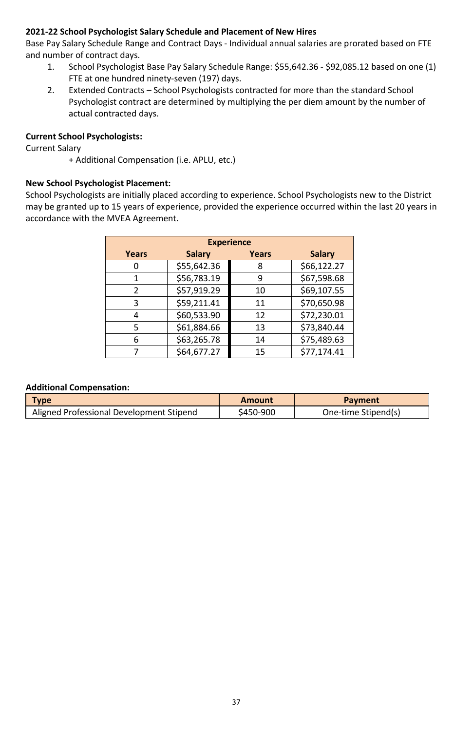# **2021-22 School Psychologist Salary Schedule and Placement of New Hires**

Base Pay Salary Schedule Range and Contract Days - Individual annual salaries are prorated based on FTE and number of contract days.

- 1. School Psychologist Base Pay Salary Schedule Range: \$55,642.36 \$92,085.12 based on one (1) FTE at one hundred ninety-seven (197) days.
- 2. Extended Contracts School Psychologists contracted for more than the standard School Psychologist contract are determined by multiplying the per diem amount by the number of actual contracted days.

# **Current School Psychologists:**

Current Salary

+ Additional Compensation (i.e. APLU, etc.)

# **New School Psychologist Placement:**

School Psychologists are initially placed according to experience. School Psychologists new to the District may be granted up to 15 years of experience, provided the experience occurred within the last 20 years in accordance with the MVEA Agreement.

|       |             | <b>Experience</b> |             |
|-------|-------------|-------------------|-------------|
| Years | Salary      | Years             | Salary      |
|       | \$55,642.36 | 8                 | \$66,122.27 |
|       | \$56,783.19 | 9                 | \$67,598.68 |
| 2     | \$57,919.29 | 10                | \$69,107.55 |
| 3     | \$59,211.41 | 11                | \$70,650.98 |
|       | \$60,533.90 | 12                | \$72,230.01 |
| 5     | \$61,884.66 | 13                | \$73,840.44 |
| 6     | \$63,265.78 | 14                | \$75,489.63 |
|       | \$64,677.27 | 15                | \$77,174.41 |

### **Additional Compensation:**

| Type                                     | Amount    | Payment             |
|------------------------------------------|-----------|---------------------|
| Aligned Professional Development Stipend | \$450-900 | One-time Stipend(s) |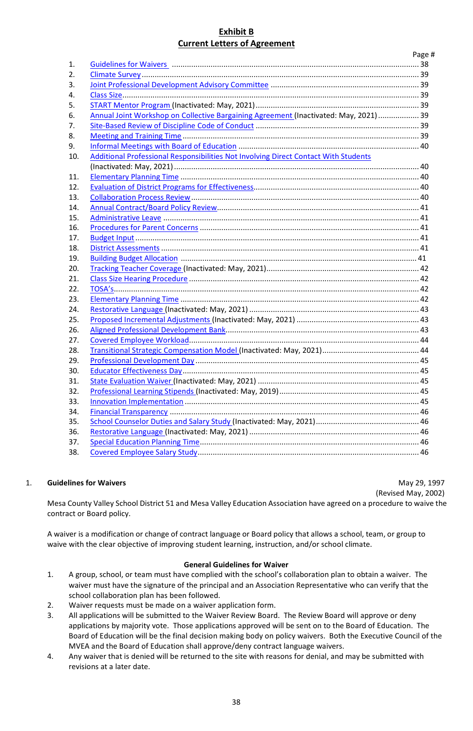### **Exhibit B Current Letters of Agreement**

|                  |                                                                                       | Page # |
|------------------|---------------------------------------------------------------------------------------|--------|
| 1.               |                                                                                       |        |
| $\overline{2}$ . |                                                                                       |        |
| 3.               |                                                                                       |        |
| 4.               |                                                                                       |        |
| 5.               |                                                                                       |        |
| 6.               | Annual Joint Workshop on Collective Bargaining Agreement (Inactivated: May, 2021)  39 |        |
| 7.               |                                                                                       |        |
| 8.               |                                                                                       |        |
| 9.               |                                                                                       |        |
| 10.              | Additional Professional Responsibilities Not Involving Direct Contact With Students   |        |
|                  |                                                                                       |        |
| 11.              |                                                                                       |        |
| 12.              |                                                                                       |        |
| 13.              |                                                                                       |        |
| 14.              |                                                                                       |        |
| 15.              |                                                                                       |        |
| 16.              |                                                                                       |        |
| 17.              |                                                                                       |        |
| 18.              |                                                                                       |        |
| 19.              |                                                                                       |        |
| 20.              |                                                                                       |        |
| 21.              |                                                                                       |        |
| 22.              |                                                                                       |        |
| 23.              |                                                                                       |        |
| 24.              |                                                                                       |        |
| 25.              |                                                                                       |        |
| 26.              |                                                                                       |        |
| 27.              |                                                                                       |        |
| 28.              |                                                                                       |        |
| 29.              |                                                                                       |        |
| 30.              |                                                                                       |        |
| 31.              |                                                                                       |        |
| 32.              |                                                                                       |        |
| 33.              |                                                                                       |        |
| 34.              |                                                                                       |        |
| 35.              |                                                                                       |        |
| 36.              |                                                                                       |        |
| 37.              |                                                                                       |        |
| 38.              |                                                                                       |        |
|                  |                                                                                       |        |

#### <span id="page-38-0"></span>1. **Guidelines for Waivers** May 29, 1997

(Revised May, 2002)

Mesa County Valley School District 51 and Mesa Valley Education Association have agreed on a procedure to waive the contract or Board policy.

A waiver is a modification or change of contract language or Board policy that allows a school, team, or group to waive with the clear objective of improving student learning, instruction, and/or school climate.

#### **General Guidelines for Waiver**

- 1. A group, school, or team must have complied with the school's collaboration plan to obtain a waiver. The waiver must have the signature of the principal and an Association Representative who can verify that the school collaboration plan has been followed.
- 2. Waiver requests must be made on a waiver application form.
- 3. All applications will be submitted to the Waiver Review Board. The Review Board will approve or deny applications by majority vote. Those applications approved will be sent on to the Board of Education. The Board of Education will be the final decision making body on policy waivers. Both the Executive Council of the MVEA and the Board of Education shall approve/deny contract language waivers.
- 4. Any waiver that is denied will be returned to the site with reasons for denial, and may be submitted with revisions at a later date.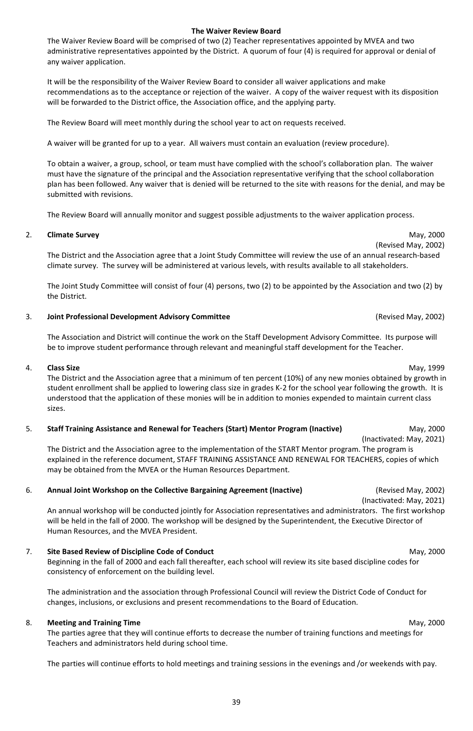39

# **The Waiver Review Board**

The Waiver Review Board will be comprised of two (2) Teacher representatives appointed by MVEA and two administrative representatives appointed by the District. A quorum of four (4) is required for approval or denial of any waiver application.

It will be the responsibility of the Waiver Review Board to consider all waiver applications and make recommendations as to the acceptance or rejection of the waiver. A copy of the waiver request with its disposition will be forwarded to the District office, the Association office, and the applying party.

The Review Board will meet monthly during the school year to act on requests received.

A waiver will be granted for up to a year. All waivers must contain an evaluation (review procedure).

To obtain a waiver, a group, school, or team must have complied with the school's collaboration plan. The waiver must have the signature of the principal and the Association representative verifying that the school collaboration plan has been followed. Any waiver that is denied will be returned to the site with reasons for the denial, and may be submitted with revisions.

The Review Board will annually monitor and suggest possible adjustments to the waiver application process.

#### <span id="page-39-0"></span>2. **Climate Survey** May, 2000

The District and the Association agree that a Joint Study Committee will review the use of an annual research-based climate survey. The survey will be administered at various levels, with results available to all stakeholders.

The Joint Study Committee will consist of four (4) persons, two (2) to be appointed by the Association and two (2) by the District.

#### <span id="page-39-1"></span>3. **Joint Professional Development Advisory Committee** (Revised May, 2002)

The Association and District will continue the work on the Staff Development Advisory Committee. Its purpose will be to improve student performance through relevant and meaningful staff development for the Teacher.

#### <span id="page-39-2"></span>4. **Class Size** May, 1999

The District and the Association agree that a minimum of ten percent (10%) of any new monies obtained by growth in student enrollment shall be applied to lowering class size in grades K-2 for the school year following the growth. It is understood that the application of these monies will be in addition to monies expended to maintain current class sizes.

#### <span id="page-39-3"></span>5. **Staff Training Assistance and Renewal for Teachers (Start) Mentor Program (Inactive)** May, 2000

(Inactivated: May, 2021) The District and the Association agree to the implementation of the START Mentor program. The program is explained in the reference document, STAFF TRAINING ASSISTANCE AND RENEWAL FOR TEACHERS, copies of which may be obtained from the MVEA or the Human Resources Department.

#### <span id="page-39-4"></span>6. **Annual Joint Workshop on the Collective Bargaining Agreement (Inactive)** (Revised May, 2002)

(Inactivated: May, 2021) An annual workshop will be conducted jointly for Association representatives and administrators. The first workshop will be held in the fall of 2000. The workshop will be designed by the Superintendent, the Executive Director of Human Resources, and the MVEA President.

#### <span id="page-39-5"></span>7. **Site Based Review of Discipline Code of Conduct** May, 2000

Beginning in the fall of 2000 and each fall thereafter, each school will review its site based discipline codes for consistency of enforcement on the building level.

The administration and the association through Professional Council will review the District Code of Conduct for changes, inclusions, or exclusions and present recommendations to the Board of Education.

#### <span id="page-39-6"></span>8. **Meeting and Training Time** May, 2000

The parties agree that they will continue efforts to decrease the number of training functions and meetings for Teachers and administrators held during school time.

The parties will continue efforts to hold meetings and training sessions in the evenings and /or weekends with pay.

(Revised May, 2002)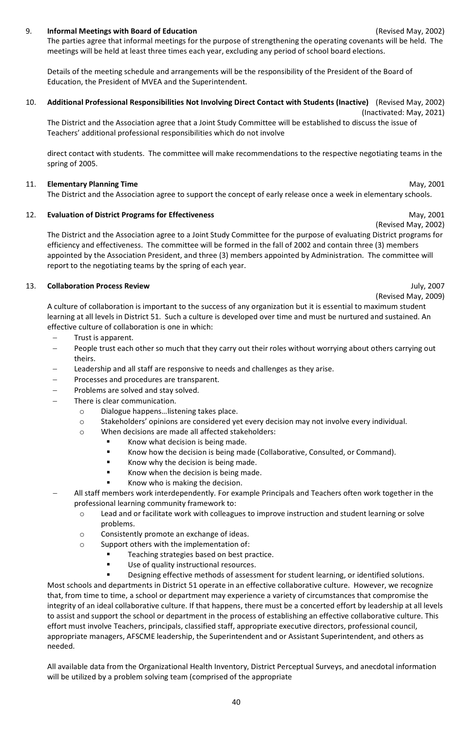#### <span id="page-40-0"></span>9. **Informal Meetings with Board of Education** (Revised May, 2002)

The parties agree that informal meetings for the purpose of strengthening the operating covenants will be held. The meetings will be held at least three times each year, excluding any period of school board elections.

Details of the meeting schedule and arrangements will be the responsibility of the President of the Board of Education, the President of MVEA and the Superintendent.

#### <span id="page-40-1"></span>10. **Additional Professional Responsibilities Not Involving Direct Contact with Students (Inactive)** (Revised May, 2002)

(Inactivated: May, 2021) The District and the Association agree that a Joint Study Committee will be established to discuss the issue of Teachers' additional professional responsibilities which do not involve

direct contact with students. The committee will make recommendations to the respective negotiating teams in the spring of 2005.

#### <span id="page-40-2"></span>11. **Elementary Planning Time** May, 2001

The District and the Association agree to support the concept of early release once a week in elementary schools.

#### <span id="page-40-3"></span>12. **Evaluation of District Programs for Effectiveness** May, 2001

The District and the Association agree to a Joint Study Committee for the purpose of evaluating District programs for efficiency and effectiveness. The committee will be formed in the fall of 2002 and contain three (3) members appointed by the Association President, and three (3) members appointed by Administration. The committee will report to the negotiating teams by the spring of each year.

#### <span id="page-40-4"></span>13. **Collaboration Process Review** July, 2007

(Revised May, 2009)

A culture of collaboration is important to the success of any organization but it is essential to maximum student learning at all levels in District 51. Such a culture is developed over time and must be nurtured and sustained. An effective culture of collaboration is one in which:

- − Trust is apparent.
- People trust each other so much that they carry out their roles without worrying about others carrying out theirs.
- Leadership and all staff are responsive to needs and challenges as they arise.
- Processes and procedures are transparent.
- − Problems are solved and stay solved.
- There is clear communication.
	- o Dialogue happens…listening takes place.
	- o Stakeholders' opinions are considered yet every decision may not involve every individual.
	- o When decisions are made all affected stakeholders:
		- Know what decision is being made.
		- Know how the decision is being made (Collaborative, Consulted, or Command).
		- Know why the decision is being made.
		- Know when the decision is being made.
		- Know who is making the decision.
- − All staff members work interdependently. For example Principals and Teachers often work together in the professional learning community framework to:
	- o Lead and or facilitate work with colleagues to improve instruction and student learning or solve problems.
	- o Consistently promote an exchange of ideas.
	- o Support others with the implementation of:
		- Teaching strategies based on best practice.
		- **Use of quality instructional resources.**
		- Designing effective methods of assessment for student learning, or identified solutions.

Most schools and departments in District 51 operate in an effective collaborative culture. However, we recognize that, from time to time, a school or department may experience a variety of circumstances that compromise the integrity of an ideal collaborative culture. If that happens, there must be a concerted effort by leadership at all levels to assist and support the school or department in the process of establishing an effective collaborative culture. This effort must involve Teachers, principals, classified staff, appropriate executive directors, professional council, appropriate managers, AFSCME leadership, the Superintendent and or Assistant Superintendent, and others as needed.

All available data from the Organizational Health Inventory, District Perceptual Surveys, and anecdotal information will be utilized by a problem solving team (comprised of the appropriate

(Revised May, 2002)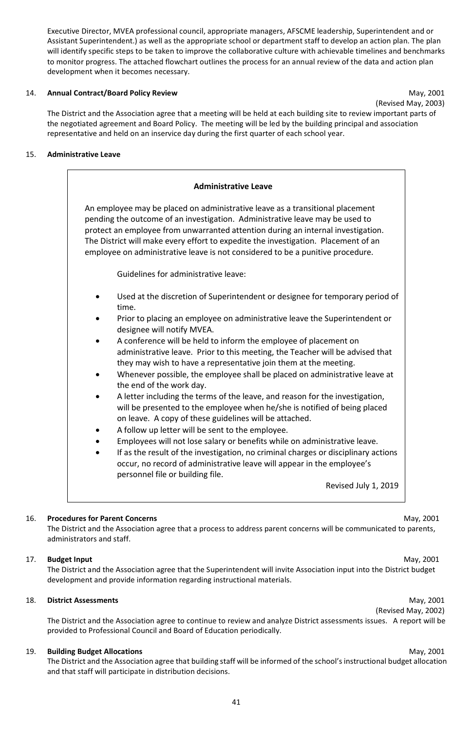Executive Director, MVEA professional council, appropriate managers, AFSCME leadership, Superintendent and or Assistant Superintendent.) as well as the appropriate school or department staff to develop an action plan. The plan will identify specific steps to be taken to improve the collaborative culture with achievable timelines and benchmarks to monitor progress. The attached flowchart outlines the process for an annual review of the data and action plan development when it becomes necessary.

#### <span id="page-41-0"></span>14. **Annual Contract/Board Policy Review** May, 2001

(Revised May, 2003)

The District and the Association agree that a meeting will be held at each building site to review important parts of the negotiated agreement and Board Policy. The meeting will be led by the building principal and association representative and held on an inservice day during the first quarter of each school year.

### <span id="page-41-1"></span>15. **Administrative Leave**

| <b>Administrative Leave</b>                                                                                                                                                                                                                                                                                                                                                                                               |
|---------------------------------------------------------------------------------------------------------------------------------------------------------------------------------------------------------------------------------------------------------------------------------------------------------------------------------------------------------------------------------------------------------------------------|
| An employee may be placed on administrative leave as a transitional placement<br>pending the outcome of an investigation. Administrative leave may be used to<br>protect an employee from unwarranted attention during an internal investigation.<br>The District will make every effort to expedite the investigation. Placement of an<br>employee on administrative leave is not considered to be a punitive procedure. |
| Guidelines for administrative leave:                                                                                                                                                                                                                                                                                                                                                                                      |
| Used at the discretion of Superintendent or designee for temporary period of<br>time.                                                                                                                                                                                                                                                                                                                                     |
| Prior to placing an employee on administrative leave the Superintendent or<br>designee will notify MVEA.                                                                                                                                                                                                                                                                                                                  |
| A conference will be held to inform the employee of placement on<br>administrative leave. Prior to this meeting, the Teacher will be advised that<br>they may wish to have a representative join them at the meeting.<br>Whenever possible, the employee shall be placed on administrative leave at<br>the end of the work day.                                                                                           |
| A letter including the terms of the leave, and reason for the investigation,<br>will be presented to the employee when he/she is notified of being placed<br>on leave. A copy of these guidelines will be attached.<br>A follow up letter will be sent to the employee.                                                                                                                                                   |
| Employees will not lose salary or benefits while on administrative leave.<br>If as the result of the investigation, no criminal charges or disciplinary actions<br>occur, no record of administrative leave will appear in the employee's<br>personnel file or building file.                                                                                                                                             |
| Revised July 1, 2019                                                                                                                                                                                                                                                                                                                                                                                                      |

#### <span id="page-41-2"></span>16. **Procedures for Parent Concerns** May, 2001

The District and the Association agree that a process to address parent concerns will be communicated to parents, administrators and staff.

#### <span id="page-41-3"></span>17. **Budget Input** May, 2001

The District and the Association agree that the Superintendent will invite Association input into the District budget development and provide information regarding instructional materials.

## <span id="page-41-4"></span>18. **District Assessments** May, 2001

(Revised May, 2002)

The District and the Association agree to continue to review and analyze District assessments issues. A report will be provided to Professional Council and Board of Education periodically.

#### <span id="page-41-5"></span>19. **Building Budget Allocations** May, 2001

The District and the Association agree that building staff will be informed of the school's instructional budget allocation and that staff will participate in distribution decisions.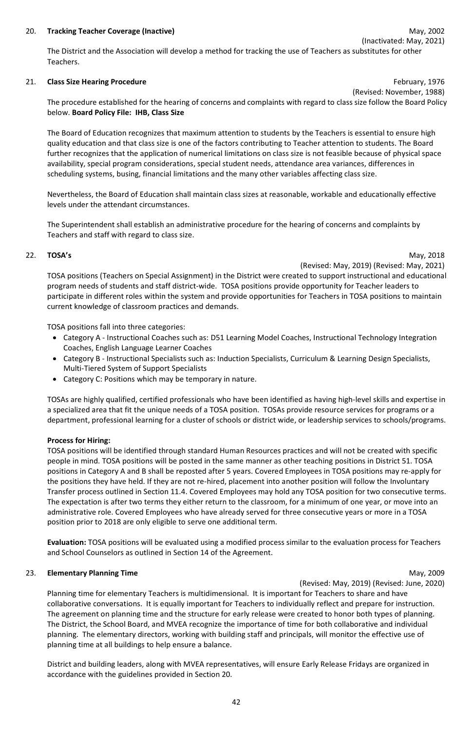#### <span id="page-42-0"></span>20. **Tracking Teacher Coverage (Inactive)** May, 2002

The District and the Association will develop a method for tracking the use of Teachers as substitutes for other Teachers.

#### <span id="page-42-1"></span>21. **Class Size Hearing Procedure** February, 1976

(Revised: November, 1988)

The procedure established for the hearing of concerns and complaints with regard to class size follow the Board Policy below. **Board Policy File: IHB, Class Size**

The Board of Education recognizes that maximum attention to students by the Teachers is essential to ensure high quality education and that class size is one of the factors contributing to Teacher attention to students. The Board further recognizes that the application of numerical limitations on class size is not feasible because of physical space availability, special program considerations, special student needs, attendance area variances, differences in scheduling systems, busing, financial limitations and the many other variables affecting class size.

Nevertheless, the Board of Education shall maintain class sizes at reasonable, workable and educationally effective levels under the attendant circumstances.

The Superintendent shall establish an administrative procedure for the hearing of concerns and complaints by Teachers and staff with regard to class size.

#### <span id="page-42-2"></span>22. **TOSA's** May, 2018

(Revised: May, 2019) (Revised: May, 2021)

TOSA positions (Teachers on Special Assignment) in the District were created to support instructional and educational program needs of students and staff district-wide. TOSA positions provide opportunity for Teacher leaders to participate in different roles within the system and provide opportunities for Teachers in TOSA positions to maintain current knowledge of classroom practices and demands.

TOSA positions fall into three categories:

- Category A Instructional Coaches such as: D51 Learning Model Coaches, Instructional Technology Integration Coaches, English Language Learner Coaches
- Category B Instructional Specialists such as: Induction Specialists, Curriculum & Learning Design Specialists, Multi-Tiered System of Support Specialists
- Category C: Positions which may be temporary in nature.

TOSAs are highly qualified, certified professionals who have been identified as having high-level skills and expertise in a specialized area that fit the unique needs of a TOSA position. TOSAs provide resource services for programs or a department, professional learning for a cluster of schools or district wide, or leadership services to schools/programs.

#### **Process for Hiring:**

TOSA positions will be identified through standard Human Resources practices and will not be created with specific people in mind. TOSA positions will be posted in the same manner as other teaching positions in District 51. TOSA positions in Category A and B shall be reposted after 5 years. Covered Employees in TOSA positions may re-apply for the positions they have held. If they are not re-hired, placement into another position will follow the Involuntary Transfer process outlined in Section 11.4. Covered Employees may hold any TOSA position for two consecutive terms. The expectation is after two terms they either return to the classroom, for a minimum of one year, or move into an administrative role. Covered Employees who have already served for three consecutive years or more in a TOSA position prior to 2018 are only eligible to serve one additional term.

**Evaluation:** TOSA positions will be evaluated using a modified process similar to the evaluation process for Teachers and School Counselors as outlined in Section 14 of the Agreement.

#### <span id="page-42-3"></span>23. **Elementary Planning Time** May, 2009

(Revised: May, 2019) (Revised: June, 2020)

Planning time for elementary Teachers is multidimensional. It is important for Teachers to share and have collaborative conversations. It is equally important for Teachers to individually reflect and prepare for instruction. The agreement on planning time and the structure for early release were created to honor both types of planning. The District, the School Board, and MVEA recognize the importance of time for both collaborative and individual planning. The elementary directors, working with building staff and principals, will monitor the effective use of planning time at all buildings to help ensure a balance.

District and building leaders, along with MVEA representatives, will ensure Early Release Fridays are organized in accordance with the guidelines provided in Section 20.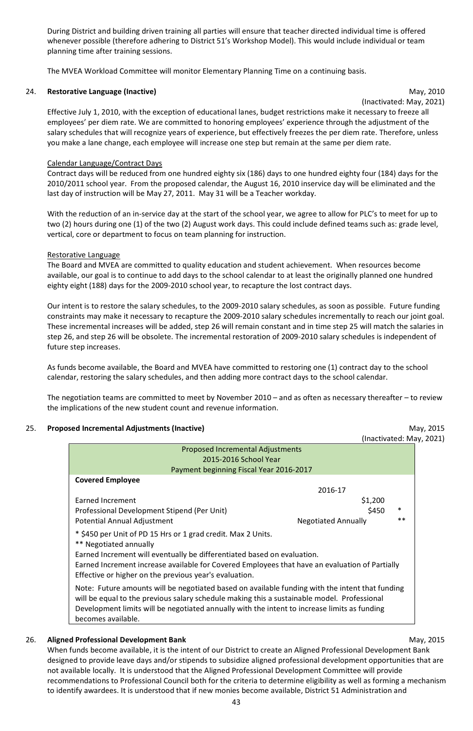During District and building driven training all parties will ensure that teacher directed individual time is offered whenever possible (therefore adhering to District 51's Workshop Model). This would include individual or team planning time after training sessions.

The MVEA Workload Committee will monitor Elementary Planning Time on a continuing basis.

#### <span id="page-43-0"></span>24. **Restorative Language (Inactive)** May, 2010

(Inactivated: May, 2021)

Effective July 1, 2010, with the exception of educational lanes, budget restrictions make it necessary to freeze all employees' per diem rate. We are committed to honoring employees' experience through the adjustment of the salary schedules that will recognize years of experience, but effectively freezes the per diem rate. Therefore, unless you make a lane change, each employee will increase one step but remain at the same per diem rate.

#### Calendar Language/Contract Days

Contract days will be reduced from one hundred eighty six (186) days to one hundred eighty four (184) days for the 2010/2011 school year. From the proposed calendar, the August 16, 2010 inservice day will be eliminated and the last day of instruction will be May 27, 2011. May 31 will be a Teacher workday.

With the reduction of an in-service day at the start of the school year, we agree to allow for PLC's to meet for up to two (2) hours during one (1) of the two (2) August work days. This could include defined teams such as: grade level, vertical, core or department to focus on team planning for instruction.

#### Restorative Language

The Board and MVEA are committed to quality education and student achievement. When resources become available, our goal is to continue to add days to the school calendar to at least the originally planned one hundred eighty eight (188) days for the 2009-2010 school year, to recapture the lost contract days.

Our intent is to restore the salary schedules, to the 2009-2010 salary schedules, as soon as possible. Future funding constraints may make it necessary to recapture the 2009-2010 salary schedules incrementally to reach our joint goal. These incremental increases will be added, step 26 will remain constant and in time step 25 will match the salaries in step 26, and step 26 will be obsolete. The incremental restoration of 2009-2010 salary schedules is independent of future step increases.

As funds become available, the Board and MVEA have committed to restoring one (1) contract day to the school calendar, restoring the salary schedules, and then adding more contract days to the school calendar.

The negotiation teams are committed to meet by November 2010 – and as often as necessary thereafter – to review the implications of the new student count and revenue information.

#### <span id="page-43-1"></span>25. **Proposed Incremental Adjustments (Inactive)** May, 2015

 $(21)$ 

|                                                                                                                                         | (Inactivated: May, 20                                                                                                                                                                                                                                                                                                                                                                                                |
|-----------------------------------------------------------------------------------------------------------------------------------------|----------------------------------------------------------------------------------------------------------------------------------------------------------------------------------------------------------------------------------------------------------------------------------------------------------------------------------------------------------------------------------------------------------------------|
| <b>Proposed Incremental Adjustments</b><br>2015-2016 School Year                                                                        |                                                                                                                                                                                                                                                                                                                                                                                                                      |
| Payment beginning Fiscal Year 2016-2017                                                                                                 |                                                                                                                                                                                                                                                                                                                                                                                                                      |
| 2016-17                                                                                                                                 |                                                                                                                                                                                                                                                                                                                                                                                                                      |
|                                                                                                                                         |                                                                                                                                                                                                                                                                                                                                                                                                                      |
|                                                                                                                                         | $\ast$                                                                                                                                                                                                                                                                                                                                                                                                               |
| <b>Negotiated Annually</b>                                                                                                              | $**$                                                                                                                                                                                                                                                                                                                                                                                                                 |
| * \$450 per Unit of PD 15 Hrs or 1 grad credit. Max 2 Units.<br>Earned Increment will eventually be differentiated based on evaluation. |                                                                                                                                                                                                                                                                                                                                                                                                                      |
|                                                                                                                                         |                                                                                                                                                                                                                                                                                                                                                                                                                      |
|                                                                                                                                         | \$1,200<br>\$450<br>Earned Increment increase available for Covered Employees that have an evaluation of Partially<br>Note: Future amounts will be negotiated based on available funding with the intent that funding<br>will be equal to the previous salary schedule making this a sustainable model. Professional<br>Development limits will be negotiated annually with the intent to increase limits as funding |

### <span id="page-43-2"></span>26. **Aligned Professional Development Bank** May, 2015

When funds become available, it is the intent of our District to create an Aligned Professional Development Bank designed to provide leave days and/or stipends to subsidize aligned professional development opportunities that are not available locally. It is understood that the Aligned Professional Development Committee will provide recommendations to Professional Council both for the criteria to determine eligibility as well as forming a mechanism to identify awardees. It is understood that if new monies become available, District 51 Administration and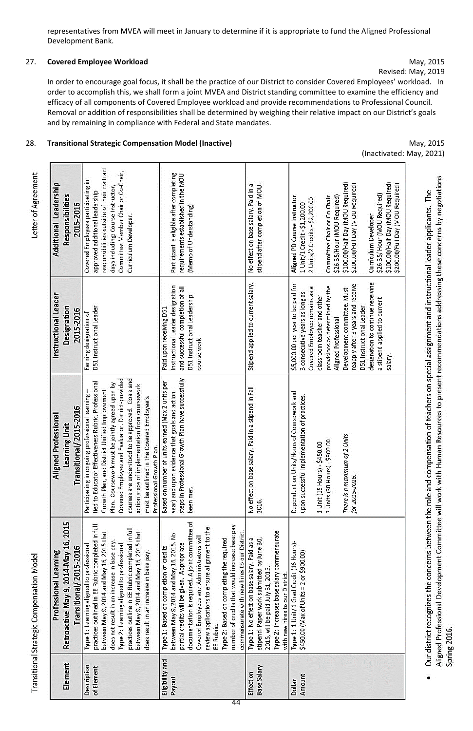representatives from MVEA will meet in January to determine if it is appropriate to fund the Aligned Professional Development Bank.

### <span id="page-44-0"></span>27. **Covered Employee Workload** May, 2015

Revised: May, 2019

In order to encourage goal focus, it shall be the practice of our District to consider Covered Employees' workload. In order to accomplish this, we shall form a joint MVEA and District standing committee to examine the efficiency and efficacy of all components of Covered Employee workload and provide recommendations to Professional Council. Removal or addition of responsibilities shall be determined by weighing their relative impact on our District's goals and by remaining in compliance with Federal and State mandates.

#### <span id="page-44-1"></span>28. **Transitional Strategic Compensation Model (Inactive)** May, 2015

(Inactivated: May, 2021)

<span id="page-44-2"></span>

|                           | Professional Learning                                                                                                                                                                                                                                                                                                                                                                                                                          | <b>Aligned Professional</b>                                                                                                                                                                                                                                                                                                                                                                                                                       | Instructional Leader                                                                                                                                                                                                                                                                                                                                                            | Additional Leadership                                                                                                                                                                                                                                                                                                                                                |
|---------------------------|------------------------------------------------------------------------------------------------------------------------------------------------------------------------------------------------------------------------------------------------------------------------------------------------------------------------------------------------------------------------------------------------------------------------------------------------|---------------------------------------------------------------------------------------------------------------------------------------------------------------------------------------------------------------------------------------------------------------------------------------------------------------------------------------------------------------------------------------------------------------------------------------------------|---------------------------------------------------------------------------------------------------------------------------------------------------------------------------------------------------------------------------------------------------------------------------------------------------------------------------------------------------------------------------------|----------------------------------------------------------------------------------------------------------------------------------------------------------------------------------------------------------------------------------------------------------------------------------------------------------------------------------------------------------------------|
| Element                   | Retroactive May 9, 2014-May 16, 2015                                                                                                                                                                                                                                                                                                                                                                                                           | Learning Unit                                                                                                                                                                                                                                                                                                                                                                                                                                     | Designation                                                                                                                                                                                                                                                                                                                                                                     | <b>Responsibilities</b>                                                                                                                                                                                                                                                                                                                                              |
|                           | Transitional/2015-2016                                                                                                                                                                                                                                                                                                                                                                                                                         | Transitional/2015-2016                                                                                                                                                                                                                                                                                                                                                                                                                            | 2015-2016                                                                                                                                                                                                                                                                                                                                                                       | 2015-2016                                                                                                                                                                                                                                                                                                                                                            |
| Description<br>of Element | practices outlined in EE Rubric completed in full<br>practices outline in EE Rubric completed in full<br>between May 9, 2014 and May 16, 2015 that<br>between May 9, 2014 and May 16, 2015 that<br>does not result in an increase in base pay.<br>Type 2: Learning aligned to professional<br>Type 1: Learning aligned to professional<br>does result in an increase in base pay.                                                              | courses are understood to be approved. Goals and<br>Covered Employee and Evaluator. District-provided<br>tied to Educator Effectiveness Rubric, Professional<br>Plan. Coursework must be jointly agreed upon by<br>action steps of implementation from coursework<br>Participating in ongoing professional learning -<br>Growth Plan, and District Unified Improvement<br>must be outlined in the Covered Employee's<br>Professional Growth Plan. | D51 Instructional Leader<br>Earning designation of                                                                                                                                                                                                                                                                                                                              | responsibilities outside of their contract<br>Committee Member Chair or Co-Chair,<br>Covered Employees participating in<br>days including: Course Instructor,<br>approved additional leadership<br>Curriculum Developer.                                                                                                                                             |
| Eligibility and<br>Payout | documentation is required. A joint committee of<br>number of credits that would increase base pay<br>review applications to ensure alignment to the<br>commensurate with new hires to our District.<br>between May 9, 2014 and May 16, 2015. No<br>Covered Employees and Administrators will<br>Type 2: Based on completing the required<br>partial credits will be given. Appropriate<br>Type 1: Based on completion of credits<br>EE Rubric. | steps in Professional Growth Plan have successfully<br>Based on number of units earned (Max 2 units per<br>year) and upon evidence that goals and action<br>been met.                                                                                                                                                                                                                                                                             | Instructional Leader designation<br>and successful completion of all<br>D51 Instructional Leadership<br>Paid upon receiving D51<br>course work.                                                                                                                                                                                                                                 | Participant is eligible after completing<br>requirements established in the MOU<br>(Memo of Understanding)                                                                                                                                                                                                                                                           |
| Base Salary<br>Effect on  | Type 2: Increases base salary commensurate<br>Type 1: No effect on base salary. Paid as a<br>stipend. Paper work submitted by June 30,<br>2015, will be paid July 31, 2015.<br>with new hires to our District.                                                                                                                                                                                                                                 | No effect on base salary. Paid in a stipend in Fall<br>2016.                                                                                                                                                                                                                                                                                                                                                                                      | Stipend applied to current salary.                                                                                                                                                                                                                                                                                                                                              | No effect on base salary. Paid in a<br>stipend after completion of MOU.                                                                                                                                                                                                                                                                                              |
| Amount<br>Dollar          | Type 1: 1 Unit/1 Grad Credit (16 Hours)-<br>\$450.00 (Max of Units = 2 or \$900.00)                                                                                                                                                                                                                                                                                                                                                            | Dependent on Units/Hours of Coursework and<br>upon successful implementation of practices.<br>There is a maximum of 2 Units<br>2 Units (30 Hours) - \$900.00<br>1 Unit (15 Hours) - \$450.00<br>for 2015-2016.                                                                                                                                                                                                                                    | designation to continue receiving<br>\$5,000.00 per year to be paid for<br>reapply after 3 years and receive<br>provisions as determined by the<br>Covered Employee remains as a<br>Development committee. Must<br>3 consecutive years as long as<br>classroom teacher and other<br>a stipend applied to current<br>D51 Instructional Leader<br>Aligned Professional<br>salary. | \$100.00/Half Day (MOU Required)<br>\$100.00/Half Day (MOU Required)<br>\$200.00/Full Day (MOU Required)<br>\$200.00/Full Day (MOU Required)<br>\$26.35/ Hour (MOU Required)<br>\$26.35/Hour (MOU Required)<br>Aligned PD Course Instructor<br>Committee Chair or Co-Chair<br>2 Units/2 Credits - \$2,200.00<br>1 Unit/1 Credit - \$1,200.00<br>Curriculum Developer |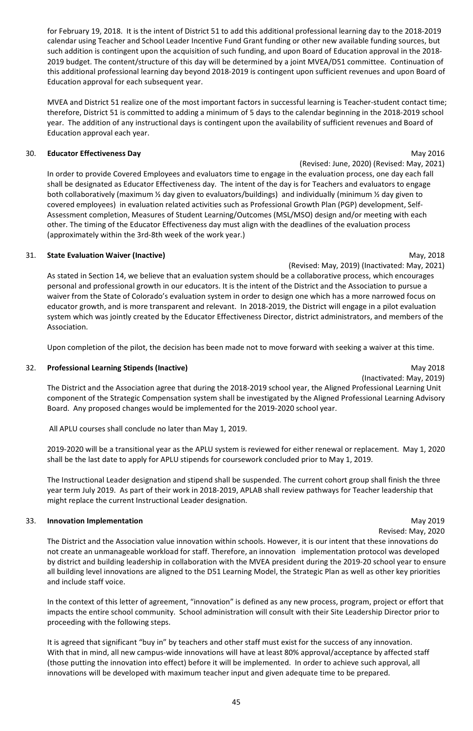45

for February 19, 2018. It is the intent of District 51 to add this additional professional learning day to the 2018-2019 calendar using Teacher and School Leader Incentive Fund Grant funding or other new available funding sources, but such addition is contingent upon the acquisition of such funding, and upon Board of Education approval in the 2018- 2019 budget. The content/structure of this day will be determined by a joint MVEA/D51 committee. Continuation of this additional professional learning day beyond 2018-2019 is contingent upon sufficient revenues and upon Board of Education approval for each subsequent year.

MVEA and District 51 realize one of the most important factors in successful learning is Teacher-student contact time; therefore, District 51 is committed to adding a minimum of 5 days to the calendar beginning in the 2018-2019 school year. The addition of any instructional days is contingent upon the availability of sufficient revenues and Board of Education approval each year.

## <span id="page-45-0"></span>30. **Educator Effectiveness Day** May 2016

(Revised: June, 2020) (Revised: May, 2021) In order to provide Covered Employees and evaluators time to engage in the evaluation process, one day each fall shall be designated as Educator Effectiveness day. The intent of the day is for Teachers and evaluators to engage both collaboratively (maximum ½ day given to evaluators/buildings) and individually (minimum ½ day given to covered employees) in evaluation related activities such as Professional Growth Plan (PGP) development, Self-Assessment completion, Measures of Student Learning/Outcomes (MSL/MSO) design and/or meeting with each other. The timing of the Educator Effectiveness day must align with the deadlines of the evaluation process (approximately within the 3rd-8th week of the work year.)

#### <span id="page-45-1"></span>31. **State Evaluation Waiver (Inactive)** May, 2018

(Revised: May, 2019) (Inactivated: May, 2021) As stated in Section 14, we believe that an evaluation system should be a collaborative process, which encourages personal and professional growth in our educators. It is the intent of the District and the Association to pursue a waiver from the State of Colorado's evaluation system in order to design one which has a more narrowed focus on educator growth, and is more transparent and relevant. In 2018-2019, the District will engage in a pilot evaluation system which was jointly created by the Educator Effectiveness Director, district administrators, and members of the Association.

Upon completion of the pilot, the decision has been made not to move forward with seeking a waiver at this time.

#### <span id="page-45-2"></span>32. **Professional Learning Stipends (Inactive)** May 2018

(Inactivated: May, 2019)

The District and the Association agree that during the 2018-2019 school year, the Aligned Professional Learning Unit component of the Strategic Compensation system shall be investigated by the Aligned Professional Learning Advisory Board. Any proposed changes would be implemented for the 2019-2020 school year.

All APLU courses shall conclude no later than May 1, 2019.

2019-2020 will be a transitional year as the APLU system is reviewed for either renewal or replacement. May 1, 2020 shall be the last date to apply for APLU stipends for coursework concluded prior to May 1, 2019.

The Instructional Leader designation and stipend shall be suspended. The current cohort group shall finish the three year term July 2019. As part of their work in 2018-2019, APLAB shall review pathways for Teacher leadership that might replace the current Instructional Leader designation.

### <span id="page-45-3"></span>33. **Innovation Implementation** May 2019

Revised: May, 2020

The District and the Association value innovation within schools. However, it is our intent that these innovations do not create an unmanageable workload for staff. Therefore, an innovation implementation protocol was developed by district and building leadership in collaboration with the MVEA president during the 2019-20 school year to ensure all building level innovations are aligned to the D51 Learning Model, the Strategic Plan as well as other key priorities and include staff voice.

In the context of this letter of agreement, "innovation" is defined as any new process, program, project or effort that impacts the entire school community. School administration will consult with their Site Leadership Director prior to proceeding with the following steps.

It is agreed that significant "buy in" by teachers and other staff must exist for the success of any innovation. With that in mind, all new campus-wide innovations will have at least 80% approval/acceptance by affected staff (those putting the innovation into effect) before it will be implemented. In order to achieve such approval, all innovations will be developed with maximum teacher input and given adequate time to be prepared.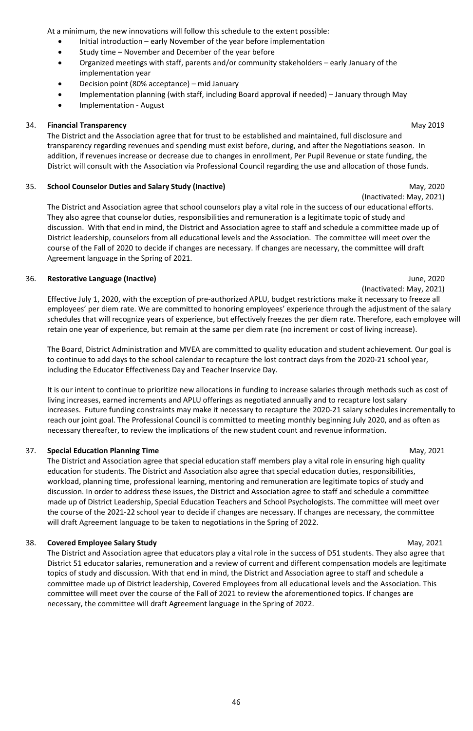At a minimum, the new innovations will follow this schedule to the extent possible:

- Initial introduction early November of the year before implementation
- Study time November and December of the year before
- Organized meetings with staff, parents and/or community stakeholders early January of the implementation year
- Decision point (80% acceptance) mid January
- Implementation planning (with staff, including Board approval if needed) January through May
- Implementation August

#### <span id="page-46-0"></span>34. **Financial Transparency** May 2019

The District and the Association agree that for trust to be established and maintained, full disclosure and transparency regarding revenues and spending must exist before, during, and after the Negotiations season. In addition, if revenues increase or decrease due to changes in enrollment, Per Pupil Revenue or state funding, the District will consult with the Association via Professional Council regarding the use and allocation of those funds.

#### <span id="page-46-1"></span>35. **School Counselor Duties and Salary Study (Inactive)** May, 2020

(Inactivated: May, 2021) The District and Association agree that school counselors play a vital role in the success of our educational efforts. They also agree that counselor duties, responsibilities and remuneration is a legitimate topic of study and discussion. With that end in mind, the District and Association agree to staff and schedule a committee made up of District leadership, counselors from all educational levels and the Association. The committee will meet over the course of the Fall of 2020 to decide if changes are necessary. If changes are necessary, the committee will draft Agreement language in the Spring of 2021.

#### <span id="page-46-2"></span>36. **Restorative Language (Inactive)** June, 2020

Effective July 1, 2020, with the exception of pre-authorized APLU, budget restrictions make it necessary to freeze all employees' per diem rate. We are committed to honoring employees' experience through the adjustment of the salary schedules that will recognize years of experience, but effectively freezes the per diem rate. Therefore, each employee will retain one year of experience, but remain at the same per diem rate (no increment or cost of living increase).

The Board, District Administration and MVEA are committed to quality education and student achievement. Our goal is to continue to add days to the school calendar to recapture the lost contract days from the 2020-21 school year, including the Educator Effectiveness Day and Teacher Inservice Day.

It is our intent to continue to prioritize new allocations in funding to increase salaries through methods such as cost of living increases, earned increments and APLU offerings as negotiated annually and to recapture lost salary increases. Future funding constraints may make it necessary to recapture the 2020-21 salary schedules incrementally to reach our joint goal. The Professional Council is committed to meeting monthly beginning July 2020, and as often as necessary thereafter, to review the implications of the new student count and revenue information.

#### <span id="page-46-3"></span>37. **Special Education Planning Time** May, 2021

The District and Association agree that special education staff members play a vital role in ensuring high quality education for students. The District and Association also agree that special education duties, responsibilities, workload, planning time, professional learning, mentoring and remuneration are legitimate topics of study and discussion. In order to address these issues, the District and Association agree to staff and schedule a committee made up of District Leadership, Special Education Teachers and School Psychologists. The committee will meet over the course of the 2021-22 school year to decide if changes are necessary. If changes are necessary, the committee will draft Agreement language to be taken to negotiations in the Spring of 2022.

#### <span id="page-46-4"></span>38. **Covered Employee Salary Study** May, 2021

The District and Association agree that educators play a vital role in the success of D51 students. They also agree that District 51 educator salaries, remuneration and a review of current and different compensation models are legitimate topics of study and discussion. With that end in mind, the District and Association agree to staff and schedule a committee made up of District leadership, Covered Employees from all educational levels and the Association. This committee will meet over the course of the Fall of 2021 to review the aforementioned topics. If changes are necessary, the committee will draft Agreement language in the Spring of 2022.

# (Inactivated: May, 2021)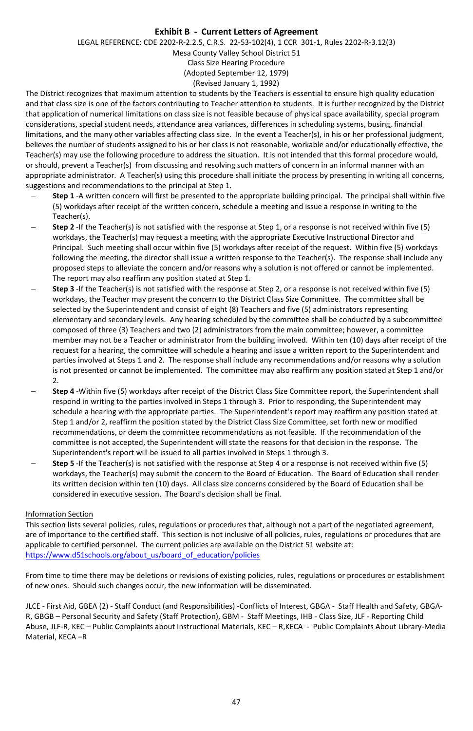### **Exhibit B - Current Letters of Agreement**

LEGAL REFERENCE: CDE 2202-R-2.2.5, C.R.S. 22-53-102(4), 1 CCR 301-1, Rules 2202-R-3.12(3) Mesa County Valley School District 51 Class Size Hearing Procedure (Adopted September 12, 1979) (Revised January 1, 1992)

The District recognizes that maximum attention to students by the Teachers is essential to ensure high quality education and that class size is one of the factors contributing to Teacher attention to students. It is further recognized by the District that application of numerical limitations on class size is not feasible because of physical space availability, special program considerations, special student needs, attendance area variances, differences in scheduling systems, busing, financial limitations, and the many other variables affecting class size. In the event a Teacher(s), in his or her professional judgment, believes the number of students assigned to his or her class is not reasonable, workable and/or educationally effective, the Teacher(s) may use the following procedure to address the situation. It is not intended that this formal procedure would, or should, prevent a Teacher(s) from discussing and resolving such matters of concern in an informal manner with an appropriate administrator. A Teacher(s) using this procedure shall initiate the process by presenting in writing all concerns, suggestions and recommendations to the principal at Step 1.

- − **Step 1** -A written concern will first be presented to the appropriate building principal. The principal shall within five (5) workdays after receipt of the written concern, schedule a meeting and issue a response in writing to the Teacher(s).
- **Step 2** -If the Teacher(s) is not satisfied with the response at Step 1, or a response is not received within five (5) workdays, the Teacher(s) may request a meeting with the appropriate Executive Instructional Director and Principal. Such meeting shall occur within five (5) workdays after receipt of the request. Within five (5) workdays following the meeting, the director shall issue a written response to the Teacher(s). The response shall include any proposed steps to alleviate the concern and/or reasons why a solution is not offered or cannot be implemented. The report may also reaffirm any position stated at Step 1.
- − **Step 3** -If the Teacher(s) is not satisfied with the response at Step 2, or a response is not received within five (5) workdays, the Teacher may present the concern to the District Class Size Committee. The committee shall be selected by the Superintendent and consist of eight (8) Teachers and five (5) administrators representing elementary and secondary levels. Any hearing scheduled by the committee shall be conducted by a subcommittee composed of three (3) Teachers and two (2) administrators from the main committee; however, a committee member may not be a Teacher or administrator from the building involved. Within ten (10) days after receipt of the request for a hearing, the committee will schedule a hearing and issue a written report to the Superintendent and parties involved at Steps 1 and 2. The response shall include any recommendations and/or reasons why a solution is not presented or cannot be implemented. The committee may also reaffirm any position stated at Step 1 and/or  $\mathcal{L}$
- − **Step 4** -Within five (5) workdays after receipt of the District Class Size Committee report, the Superintendent shall respond in writing to the parties involved in Steps 1 through 3. Prior to responding, the Superintendent may schedule a hearing with the appropriate parties. The Superintendent's report may reaffirm any position stated at Step 1 and/or 2, reaffirm the position stated by the District Class Size Committee, set forth new or modified recommendations, or deem the committee recommendations as not feasible. If the recommendation of the committee is not accepted, the Superintendent will state the reasons for that decision in the response. The Superintendent's report will be issued to all parties involved in Steps 1 through 3.
- − **Step 5** -If the Teacher(s) is not satisfied with the response at Step 4 or a response is not received within five (5) workdays, the Teacher(s) may submit the concern to the Board of Education. The Board of Education shall render its written decision within ten (10) days. All class size concerns considered by the Board of Education shall be considered in executive session. The Board's decision shall be final.

#### Information Section

This section lists several policies, rules, regulations or procedures that, although not a part of the negotiated agreement, are of importance to the certified staff. This section is not inclusive of all policies, rules, regulations or procedures that are applicable to certified personnel. The current policies are available on the District 51 website at: [https://www.d51schools.org/about\\_us/board\\_of\\_education/policies](https://www.d51schools.org/about_us/board_of_education/policies)

From time to time there may be deletions or revisions of existing policies, rules, regulations or procedures or establishment of new ones. Should such changes occur, the new information will be disseminated.

JLCE - First Aid, GBEA (2) - Staff Conduct (and Responsibilities) -Conflicts of Interest, GBGA - Staff Health and Safety, GBGA-R, GBGB – Personal Security and Safety (Staff Protection), GBM - Staff Meetings, IHB - Class Size, JLF - Reporting Child Abuse, JLF-R, KEC – Public Complaints about Instructional Materials, KEC – R,KECA - Public Complaints About Library-Media Material, KECA –R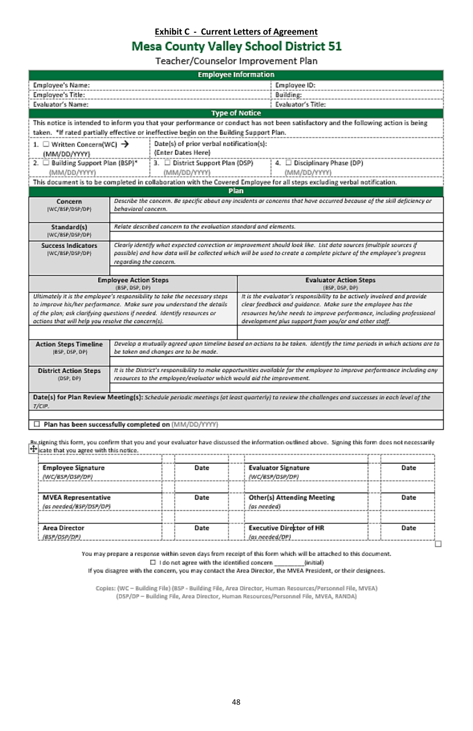# **Exhibit C - Current Letters of Agreement**<br>Mesa County Valley School District 51

Teacher/Counselor Improvement Plan

<span id="page-48-0"></span>

| <b>Employee Information</b>                                                             |                                                                                                                                                                                                                                          |                                                                                                                                                 |  |  |  |
|-----------------------------------------------------------------------------------------|------------------------------------------------------------------------------------------------------------------------------------------------------------------------------------------------------------------------------------------|-------------------------------------------------------------------------------------------------------------------------------------------------|--|--|--|
| Employee's Name:                                                                        |                                                                                                                                                                                                                                          | Employee ID:                                                                                                                                    |  |  |  |
| Employee's Title:                                                                       |                                                                                                                                                                                                                                          | Building:                                                                                                                                       |  |  |  |
| Evaluator's Name:                                                                       |                                                                                                                                                                                                                                          | Evaluator's Title:                                                                                                                              |  |  |  |
|                                                                                         | <b>Type of Notice</b>                                                                                                                                                                                                                    |                                                                                                                                                 |  |  |  |
|                                                                                         |                                                                                                                                                                                                                                          | This notice is intended to inform you that your performance or conduct has not been satisfactory and the following action is being              |  |  |  |
|                                                                                         | taken. *If rated partially effective or ineffective begin on the Building Support Plan.                                                                                                                                                  |                                                                                                                                                 |  |  |  |
| Date(s) of prior verbal notification(s):<br>1. $\Box$ Written Concern(WC) $\rightarrow$ |                                                                                                                                                                                                                                          |                                                                                                                                                 |  |  |  |
| (MM/DD/YYYY)                                                                            | (Enter Dates Here)                                                                                                                                                                                                                       |                                                                                                                                                 |  |  |  |
| 2. □ Building Support Plan {BSP}*                                                       | 3. □ District Support Plan (DSP)                                                                                                                                                                                                         | 4. □ Disciplinary Phase (DP)                                                                                                                    |  |  |  |
| (MM/DD/YYYY)                                                                            | (MM/DD/YYYY)                                                                                                                                                                                                                             | (MM/DD/YYYY)                                                                                                                                    |  |  |  |
|                                                                                         |                                                                                                                                                                                                                                          | This document is to be completed in collaboration with the Covered Employee for all steps excluding verbal notification.                        |  |  |  |
|                                                                                         | Plan                                                                                                                                                                                                                                     |                                                                                                                                                 |  |  |  |
| Concern                                                                                 | Describe the concern. Be specific about any incidents or concerns that have accurred because of the skill deficiency or                                                                                                                  |                                                                                                                                                 |  |  |  |
| (WC/BSP/DSP/DP)                                                                         | behavioral concern.                                                                                                                                                                                                                      |                                                                                                                                                 |  |  |  |
|                                                                                         |                                                                                                                                                                                                                                          |                                                                                                                                                 |  |  |  |
| Standard(s)<br>(WC/BSP/DSP/DP)                                                          | Relate described concern to the evoluation standard and elements.                                                                                                                                                                        |                                                                                                                                                 |  |  |  |
|                                                                                         |                                                                                                                                                                                                                                          |                                                                                                                                                 |  |  |  |
| <b>Success Indicators</b><br>(WC/BSP/DSP/DP)                                            | Clearly identify what expected correction or improvement should look like. List data sources (multiple sources if<br>passible) and how data will be collected which will be used to create a complete picture of the employee's progress |                                                                                                                                                 |  |  |  |
|                                                                                         | regarding the concern.                                                                                                                                                                                                                   |                                                                                                                                                 |  |  |  |
|                                                                                         |                                                                                                                                                                                                                                          |                                                                                                                                                 |  |  |  |
|                                                                                         | <b>Employee Action Steps</b>                                                                                                                                                                                                             | <b>Evaluator Action Steps</b>                                                                                                                   |  |  |  |
|                                                                                         | (BSP, DSP, DP)                                                                                                                                                                                                                           | (BSP, DSP, DP)                                                                                                                                  |  |  |  |
|                                                                                         | Ultimately it is the employee's responsibility to take the necessary steps                                                                                                                                                               | It is the evaluator's responsibility to be actively involved and provide                                                                        |  |  |  |
|                                                                                         | to improve his/her performance. Make sure you understand the details                                                                                                                                                                     | clear feedback and guidance. Make sure the employee has the                                                                                     |  |  |  |
|                                                                                         | of the plan; ask clarifying questions if needed. Identify resources or                                                                                                                                                                   | resources he/she needs to improve performance, including professional<br>development plus support from you/or and other staff.                  |  |  |  |
| actions that will help you resolve the concern(s).                                      |                                                                                                                                                                                                                                          |                                                                                                                                                 |  |  |  |
|                                                                                         |                                                                                                                                                                                                                                          |                                                                                                                                                 |  |  |  |
| <b>Action Steps Timeline</b>                                                            |                                                                                                                                                                                                                                          | Develop a mutually agreed upon timeline based on actions to be taken. Identify the time periods in which actions are to                         |  |  |  |
| (BSP, DSP, DP)                                                                          | be taken and changes are to be made.                                                                                                                                                                                                     |                                                                                                                                                 |  |  |  |
|                                                                                         |                                                                                                                                                                                                                                          |                                                                                                                                                 |  |  |  |
| <b>District Action Steps</b><br>(DSP, DP)                                               | It is the District's responsibility to make opportunities available for the employee to improve performance including any<br>resources to the employee/evaluator which would aid the improvement.                                        |                                                                                                                                                 |  |  |  |
|                                                                                         |                                                                                                                                                                                                                                          |                                                                                                                                                 |  |  |  |
|                                                                                         |                                                                                                                                                                                                                                          | Date(s) for Plan Review Meeting(s): Schedule periodic meetings (at least quarterly) to review the challenges and successes in each level of the |  |  |  |
| T/CIP.                                                                                  |                                                                                                                                                                                                                                          |                                                                                                                                                 |  |  |  |
|                                                                                         |                                                                                                                                                                                                                                          |                                                                                                                                                 |  |  |  |
|                                                                                         | □ Plan has been successfully completed on (MM/DD/YYYY)                                                                                                                                                                                   |                                                                                                                                                 |  |  |  |

 $\frac{Bu}{\frac{A}{2}}$ ing this form, you confirm that you and your evaluator have discussed the information outlined above. Signing this form does not necessarily  $\frac{A}{A}$  cate that you agree with this notice.

| <b>Employee Signature</b><br>(WC/BSP/OSP/DP)         | Date | <b>Evaluator Signature</b><br>(WC/BSP/DSP/DP)     | Date |
|------------------------------------------------------|------|---------------------------------------------------|------|
| <b>MVEA Representative</b><br>(as needed/BSP/DSP/OP) | Date | <b>Other(s) Attending Meeting</b><br>(as needed)  | Date |
| Area Director<br>(65P/0SP/DP)                        | Date | <b>Executive Director of HR</b><br>(as needed/DP) | Date |

You may prepare a response within seven days from receipt of this form which will be attached to this document.  $\Box\ \text{1 do not agree with the identified concern}\ \_\text{initial}\ (\text{with}\ \text{the} \ \text{of } \text{in} \ \text{of } \text{in} \ \text{of } \text{in} \ \text{of } \text{in} \ \text{of } \text{in} \ \text{of } \text{in} \ \text{of } \text{in} \ \text{of } \text{in} \ \text{of } \text{in} \ \text{of } \text{in} \ \text{of } \text{in} \ \text{of } \text{in} \ \text{of } \text{in} \ \text{of } \text{in} \ \text{of } \text{in} \ \text{of } \text{in} \ \text{of } \text{in} \ \$ 

Copies: (WC - Building File) (BSP - Building File, Area Director, Human Resources/Personnel File, MVEA) (DSP/DP - Building File, Area Director, Human Resources/Personnel File, MVEA, RANDA)